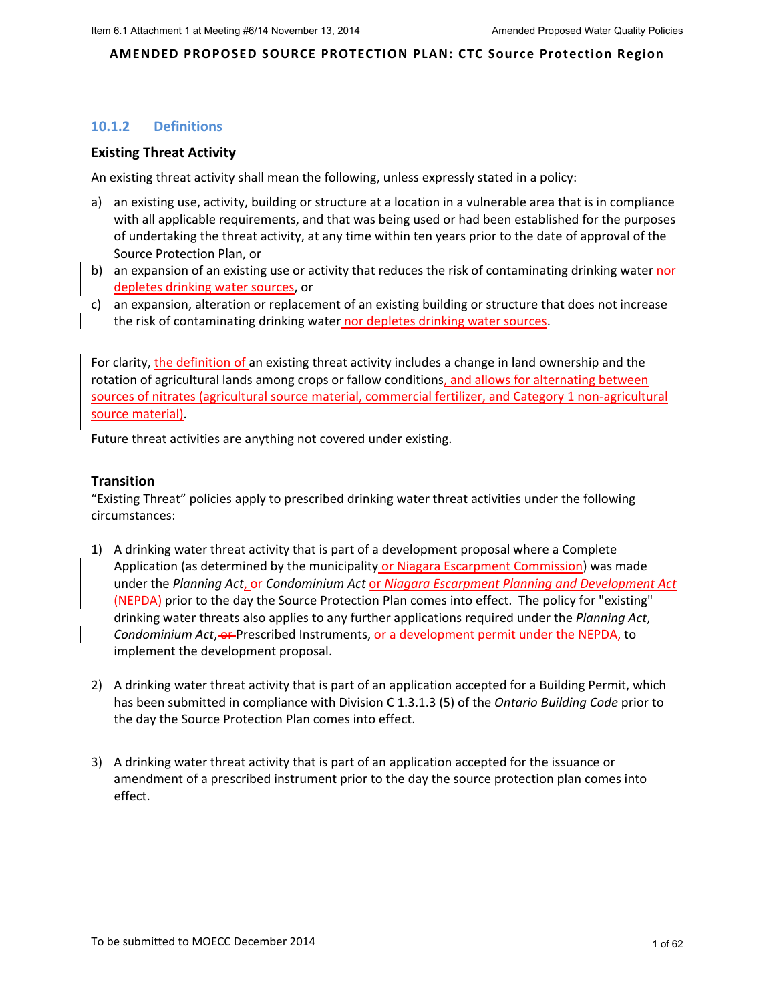# **10.1.2 Definitions**

## **Existing Threat Activity**

An existing threat activity shall mean the following, unless expressly stated in a policy:

- a) an existing use, activity, building or structure at a location in a vulnerable area that is in compliance with all applicable requirements, and that was being used or had been established for the purposes of undertaking the threat activity, at any time within ten years prior to the date of approval of the Source Protection Plan, or
- b) an expansion of an existing use or activity that reduces the risk of contaminating drinking water nor depletes drinking water sources, or
- c) an expansion, alteration or replacement of an existing building or structure that does not increase the risk of contaminating drinking water nor depletes drinking water sources.

For clarity, the definition of an existing threat activity includes a change in land ownership and the rotation of agricultural lands among crops or fallow conditions, and allows for alternating between sources of nitrates (agricultural source material, commercial fertilizer, and Category 1 non-agricultural source material).

Future threat activities are anything not covered under existing.

## **Transition**

"Existing Threat" policies apply to prescribed drinking water threat activities under the following circumstances:

- 1) A drinking water threat activity that is part of a development proposal where a Complete Application (as determined by the municipality or Niagara Escarpment Commission) was made under the *Planning Act*, or *Condominium Act* or *Niagara Escarpment Planning and Development Act* (NEPDA) prior to the day the Source Protection Plan comes into effect. The policy for "existing" drinking water threats also applies to any further applications required under the *Planning Act*, *Condominium Act*, or Prescribed Instruments, or a development permit under the NEPDA, to implement the development proposal.
- 2) A drinking water threat activity that is part of an application accepted for a Building Permit, which has been submitted in compliance with Division C 1.3.1.3 (5) of the *Ontario Building Code* prior to the day the Source Protection Plan comes into effect.
- 3) A drinking water threat activity that is part of an application accepted for the issuance or amendment of a prescribed instrument prior to the day the source protection plan comes into effect.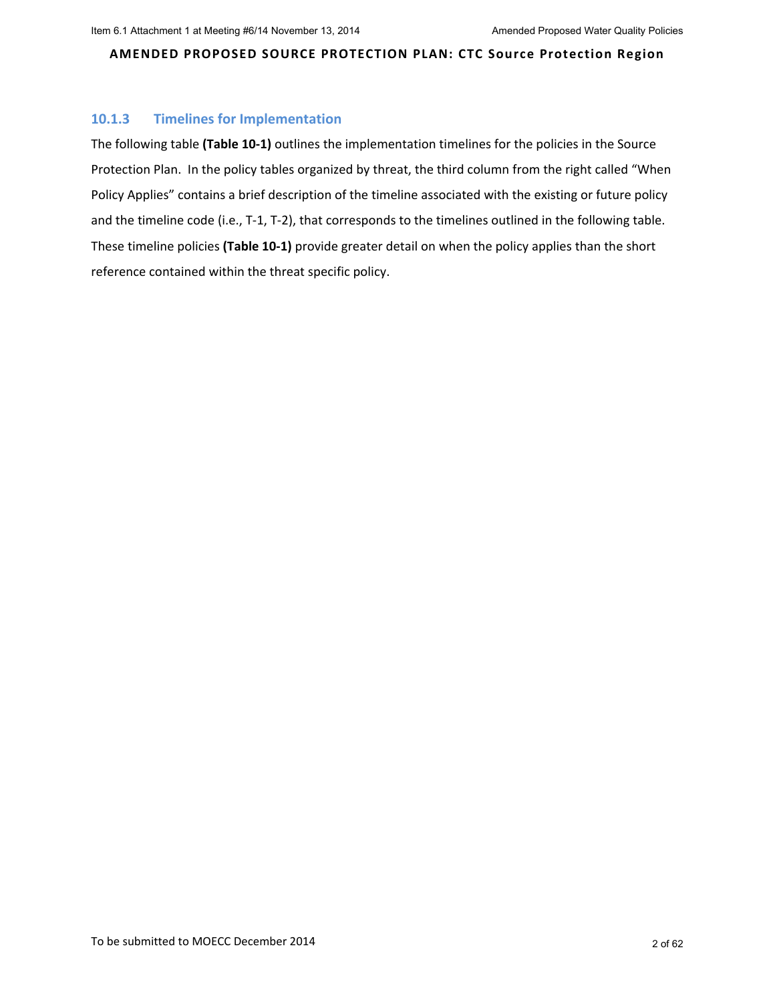## **10.1.3 Timelines for Implementation**

The following table **(Table 10‐1)** outlines the implementation timelines for the policies in the Source Protection Plan. In the policy tables organized by threat, the third column from the right called "When Policy Applies" contains a brief description of the timeline associated with the existing or future policy and the timeline code (i.e., T-1, T-2), that corresponds to the timelines outlined in the following table. These timeline policies **(Table 10‐1)** provide greater detail on when the policy applies than the short reference contained within the threat specific policy.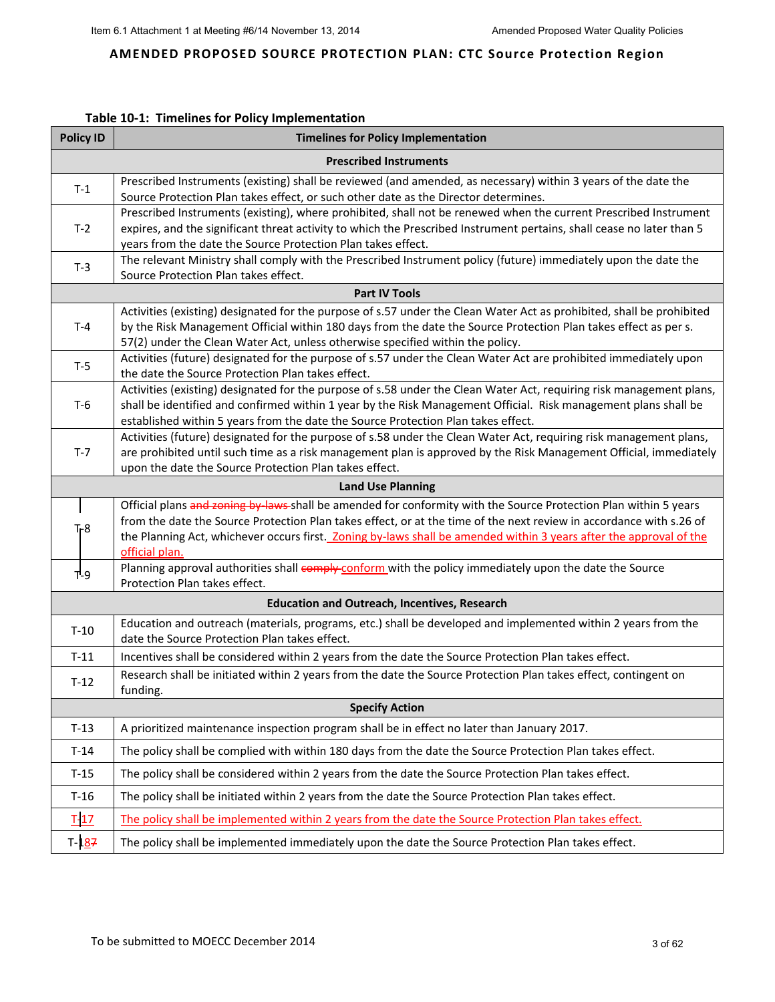## **Table 10‐1: Timelines for Policy Implementation**

| <b>Policy ID</b> | <b>Timelines for Policy Implementation</b>                                                                                                                                                                                              |
|------------------|-----------------------------------------------------------------------------------------------------------------------------------------------------------------------------------------------------------------------------------------|
|                  | <b>Prescribed Instruments</b>                                                                                                                                                                                                           |
| $T-1$            | Prescribed Instruments (existing) shall be reviewed (and amended, as necessary) within 3 years of the date the                                                                                                                          |
|                  | Source Protection Plan takes effect, or such other date as the Director determines.                                                                                                                                                     |
|                  | Prescribed Instruments (existing), where prohibited, shall not be renewed when the current Prescribed Instrument                                                                                                                        |
| $T-2$            | expires, and the significant threat activity to which the Prescribed Instrument pertains, shall cease no later than 5<br>years from the date the Source Protection Plan takes effect.                                                   |
|                  | The relevant Ministry shall comply with the Prescribed Instrument policy (future) immediately upon the date the                                                                                                                         |
| $T-3$            | Source Protection Plan takes effect.                                                                                                                                                                                                    |
|                  | <b>Part IV Tools</b>                                                                                                                                                                                                                    |
|                  | Activities (existing) designated for the purpose of s.57 under the Clean Water Act as prohibited, shall be prohibited                                                                                                                   |
| $T-4$            | by the Risk Management Official within 180 days from the date the Source Protection Plan takes effect as per s.                                                                                                                         |
|                  | 57(2) under the Clean Water Act, unless otherwise specified within the policy.<br>Activities (future) designated for the purpose of s.57 under the Clean Water Act are prohibited immediately upon                                      |
| $T-5$            | the date the Source Protection Plan takes effect.                                                                                                                                                                                       |
|                  | Activities (existing) designated for the purpose of s.58 under the Clean Water Act, requiring risk management plans,                                                                                                                    |
| $T-6$            | shall be identified and confirmed within 1 year by the Risk Management Official. Risk management plans shall be                                                                                                                         |
|                  | established within 5 years from the date the Source Protection Plan takes effect.                                                                                                                                                       |
|                  | Activities (future) designated for the purpose of s.58 under the Clean Water Act, requiring risk management plans,                                                                                                                      |
| $T-7$            | are prohibited until such time as a risk management plan is approved by the Risk Management Official, immediately                                                                                                                       |
|                  | upon the date the Source Protection Plan takes effect.                                                                                                                                                                                  |
|                  | <b>Land Use Planning</b>                                                                                                                                                                                                                |
|                  | Official plans and zoning by laws shall be amended for conformity with the Source Protection Plan within 5 years<br>from the date the Source Protection Plan takes effect, or at the time of the next review in accordance with s.26 of |
| $T-8$            | the Planning Act, whichever occurs first. Zoning by-laws shall be amended within 3 years after the approval of the                                                                                                                      |
|                  | official plan.                                                                                                                                                                                                                          |
| $T-9$            | Planning approval authorities shall comply conform with the policy immediately upon the date the Source                                                                                                                                 |
|                  | Protection Plan takes effect.                                                                                                                                                                                                           |
|                  | <b>Education and Outreach, Incentives, Research</b>                                                                                                                                                                                     |
| $T-10$           | Education and outreach (materials, programs, etc.) shall be developed and implemented within 2 years from the                                                                                                                           |
|                  | date the Source Protection Plan takes effect.                                                                                                                                                                                           |
| $T-11$           | Incentives shall be considered within 2 years from the date the Source Protection Plan takes effect.                                                                                                                                    |
| $T-12$           | Research shall be initiated within 2 years from the date the Source Protection Plan takes effect, contingent on<br>funding.                                                                                                             |
|                  | <b>Specify Action</b>                                                                                                                                                                                                                   |
| $T-13$           | A prioritized maintenance inspection program shall be in effect no later than January 2017.                                                                                                                                             |
| $T-14$           | The policy shall be complied with within 180 days from the date the Source Protection Plan takes effect.                                                                                                                                |
| $T-15$           | The policy shall be considered within 2 years from the date the Source Protection Plan takes effect.                                                                                                                                    |
| $T-16$           | The policy shall be initiated within 2 years from the date the Source Protection Plan takes effect.                                                                                                                                     |
| $T-17$           | The policy shall be implemented within 2 years from the date the Source Protection Plan takes effect.                                                                                                                                   |
| $T-187$          | The policy shall be implemented immediately upon the date the Source Protection Plan takes effect.                                                                                                                                      |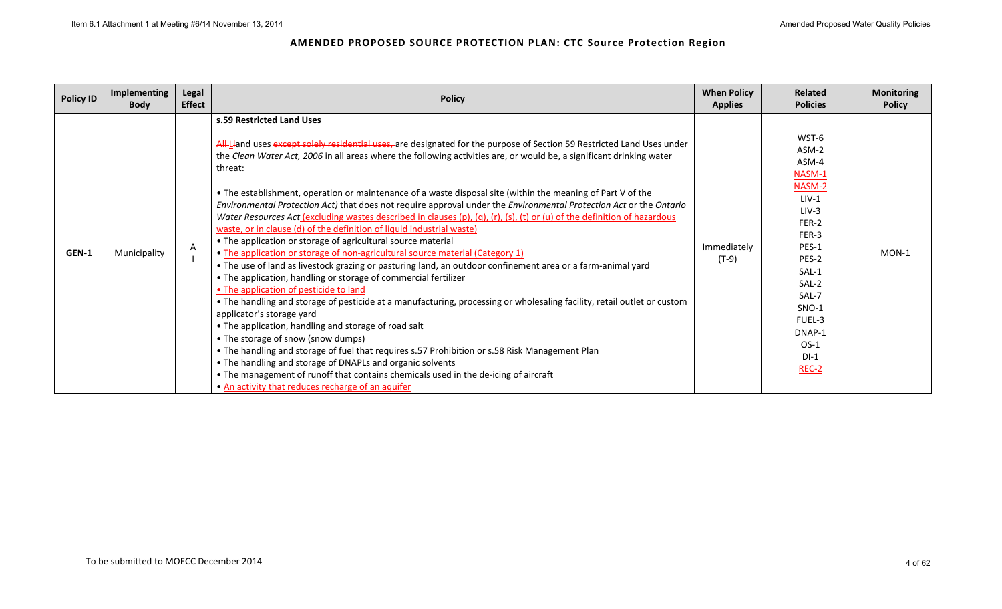| <b>Policy ID</b> | <b>Implementing</b><br><b>Body</b> | Legal<br><b>Effect</b> | <b>Policy</b>                                                                                                                                                                                                                                                                                                                                                                                                                                                                                                                                                                                                                                                                                                                                                                                                                                                                                                                                                                                                                                                                                                                                                                                                                                                                                                                                                                                                                                                                                                                                                                                                                                                                  | <b>When Policy</b><br><b>Applies</b> | <b>Related</b><br><b>Policies</b>                                                                                                                                                              | <b>Monitoring</b><br><b>Policy</b> |
|------------------|------------------------------------|------------------------|--------------------------------------------------------------------------------------------------------------------------------------------------------------------------------------------------------------------------------------------------------------------------------------------------------------------------------------------------------------------------------------------------------------------------------------------------------------------------------------------------------------------------------------------------------------------------------------------------------------------------------------------------------------------------------------------------------------------------------------------------------------------------------------------------------------------------------------------------------------------------------------------------------------------------------------------------------------------------------------------------------------------------------------------------------------------------------------------------------------------------------------------------------------------------------------------------------------------------------------------------------------------------------------------------------------------------------------------------------------------------------------------------------------------------------------------------------------------------------------------------------------------------------------------------------------------------------------------------------------------------------------------------------------------------------|--------------------------------------|------------------------------------------------------------------------------------------------------------------------------------------------------------------------------------------------|------------------------------------|
| GEN-1            | Municipality                       | A                      | s.59 Restricted Land Uses<br>All-Lland uses except solely residential uses, are designated for the purpose of Section 59 Restricted Land Uses under<br>the Clean Water Act, 2006 in all areas where the following activities are, or would be, a significant drinking water<br>threat:<br>• The establishment, operation or maintenance of a waste disposal site (within the meaning of Part V of the<br>Environmental Protection Act) that does not require approval under the Environmental Protection Act or the Ontario<br>Water Resources Act (excluding wastes described in clauses (p), (q), (r), (s), (t) or (u) of the definition of hazardous<br>waste, or in clause (d) of the definition of liquid industrial waste)<br>• The application or storage of agricultural source material<br>• The application or storage of non-agricultural source material (Category 1)<br>• The use of land as livestock grazing or pasturing land, an outdoor confinement area or a farm-animal yard<br>• The application, handling or storage of commercial fertilizer<br>• The application of pesticide to land<br>• The handling and storage of pesticide at a manufacturing, processing or wholesaling facility, retail outlet or custom<br>applicator's storage yard<br>• The application, handling and storage of road salt<br>• The storage of snow (snow dumps)<br>. The handling and storage of fuel that requires s.57 Prohibition or s.58 Risk Management Plan<br>• The handling and storage of DNAPLs and organic solvents<br>• The management of runoff that contains chemicals used in the de-icing of aircraft<br>• An activity that reduces recharge of an aquifer | Immediately<br>(T-9)                 | WST-6<br>ASM-2<br>ASM-4<br>NASM-1<br>NASM-2<br>$LIV-1$<br>$LIV-3$<br>FER-2<br>FER-3<br>PES-1<br>PES-2<br>SAL-1<br>SAL-2<br>SAL-7<br>$SNO-1$<br>FUEL-3<br>DNAP-1<br>$OS-1$<br>$DI-1$<br>$REC-2$ | MON-1                              |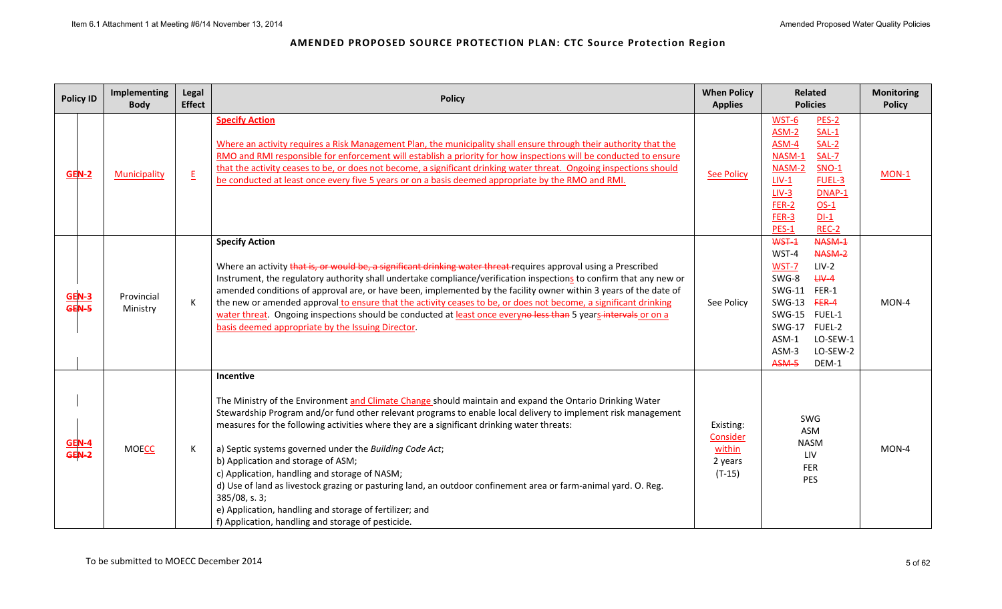| <b>Policy ID</b>                  | Implementing<br><b>Body</b> | Legal<br><b>Effect</b>   | <b>Policy</b>                                                                                                                                                                                                                                                                                                                                                                                                                                                                                                                                                                                                                                                                                                                                  | <b>When Policy</b><br><b>Applies</b>                   | <b>Related</b><br><b>Policies</b>                                                                                                                                                                                    | <b>Monitoring</b><br><b>Policy</b> |
|-----------------------------------|-----------------------------|--------------------------|------------------------------------------------------------------------------------------------------------------------------------------------------------------------------------------------------------------------------------------------------------------------------------------------------------------------------------------------------------------------------------------------------------------------------------------------------------------------------------------------------------------------------------------------------------------------------------------------------------------------------------------------------------------------------------------------------------------------------------------------|--------------------------------------------------------|----------------------------------------------------------------------------------------------------------------------------------------------------------------------------------------------------------------------|------------------------------------|
| <b>GEN-2</b>                      | Municipality                | $\underline{\mathsf{E}}$ | <b>Specify Action</b><br>Where an activity requires a Risk Management Plan, the municipality shall ensure through their authority that the<br>RMO and RMI responsible for enforcement will establish a priority for how inspections will be conducted to ensure<br>that the activity ceases to be, or does not become, a significant drinking water threat. Ongoing inspections should<br>be conducted at least once every five 5 years or on a basis deemed appropriate by the RMO and RMI.                                                                                                                                                                                                                                                   | <b>See Policy</b>                                      | WST-6<br>PES-2<br>$ASM-2$<br>SAL-1<br>SAL-2<br>ASM-4<br>NASM-1<br>$SAL-7$<br>$SNO-1$<br>NASM-2<br>FUEL-3<br>$LIV-1$<br>$LIV-3$<br>DNAP-1<br>FER-2<br>$OS-1$<br>$FER-3$<br>$DI-1$<br>REC-2<br><b>PES-1</b>            | MON-1                              |
| $rac{\text{GEN-3}}{\text{GEN-5}}$ | Provincial<br>Ministry      | K                        | <b>Specify Action</b><br>Where an activity that is, or would be, a significant drinking water threat requires approval using a Prescribed<br>Instrument, the regulatory authority shall undertake compliance/verification inspections to confirm that any new or<br>amended conditions of approval are, or have been, implemented by the facility owner within 3 years of the date of<br>the new or amended approval to ensure that the activity ceases to be, or does not become, a significant drinking<br>water threat. Ongoing inspections should be conducted at least once everyno less than 5 years intervals or on a<br>basis deemed appropriate by the Issuing Director.                                                              | See Policy                                             | WST-1<br>NASM-1<br>WST-4<br>NASM-2<br>WST-7<br>$LIV-2$<br>$H V - 4$<br>SWG-8<br><b>SWG-11</b><br>FER-1<br>SWG-13 FER-4<br>SWG-15 FUEL-1<br>SWG-17 FUEL-2<br>ASM-1<br>LO-SEW-1<br>ASM-3<br>LO-SEW-2<br>ASM-5<br>DEM-1 | MON-4                              |
| GEN-4<br>GEN-2                    | <b>MOECC</b>                | К                        | Incentive<br>The Ministry of the Environment and Climate Change should maintain and expand the Ontario Drinking Water<br>Stewardship Program and/or fund other relevant programs to enable local delivery to implement risk management<br>measures for the following activities where they are a significant drinking water threats:<br>a) Septic systems governed under the Building Code Act;<br>b) Application and storage of ASM;<br>c) Application, handling and storage of NASM;<br>d) Use of land as livestock grazing or pasturing land, an outdoor confinement area or farm-animal yard. O. Reg.<br>$385/08$ , s. 3;<br>e) Application, handling and storage of fertilizer; and<br>f) Application, handling and storage of pesticide. | Existing:<br>Consider<br>within<br>2 years<br>$(T-15)$ | SWG<br>ASM<br><b>NASM</b><br>LIV<br>FER<br>PES                                                                                                                                                                       | MON-4                              |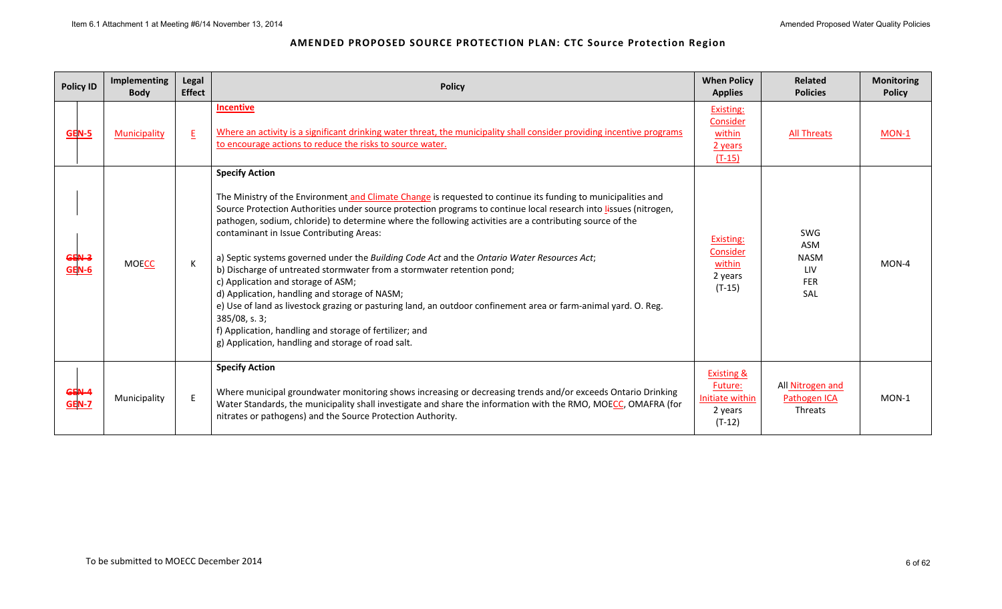| <b>Policy ID</b>      | Implementing<br><b>Body</b> | Legal<br><b>Effect</b> | <b>Policy</b>                                                                                                                                                                                                                                                                                                                                                                                                                                                                                                                                                                                                                                                                                                                                                                                                                                                                                                                               | <b>When Policy</b><br><b>Applies</b>                                       | <b>Related</b><br><b>Policies</b>                     | <b>Monitoring</b><br><b>Policy</b> |
|-----------------------|-----------------------------|------------------------|---------------------------------------------------------------------------------------------------------------------------------------------------------------------------------------------------------------------------------------------------------------------------------------------------------------------------------------------------------------------------------------------------------------------------------------------------------------------------------------------------------------------------------------------------------------------------------------------------------------------------------------------------------------------------------------------------------------------------------------------------------------------------------------------------------------------------------------------------------------------------------------------------------------------------------------------|----------------------------------------------------------------------------|-------------------------------------------------------|------------------------------------|
| <b>GEN-5</b>          | <b>Municipality</b>         | E                      | <b>Incentive</b><br>Where an activity is a significant drinking water threat, the municipality shall consider providing incentive programs<br>to encourage actions to reduce the risks to source water.                                                                                                                                                                                                                                                                                                                                                                                                                                                                                                                                                                                                                                                                                                                                     | Existing:<br>Consider<br>within<br>2 years<br>$(T-15)$                     | <b>All Threats</b>                                    | MON-1                              |
| GEN-3<br><b>GEN-6</b> | <b>MOECC</b>                |                        | <b>Specify Action</b><br>The Ministry of the Environment and Climate Change is requested to continue its funding to municipalities and<br>Source Protection Authorities under source protection programs to continue local research into lissues (nitrogen,<br>pathogen, sodium, chloride) to determine where the following activities are a contributing source of the<br>contaminant in Issue Contributing Areas:<br>a) Septic systems governed under the Building Code Act and the Ontario Water Resources Act;<br>b) Discharge of untreated stormwater from a stormwater retention pond;<br>c) Application and storage of ASM;<br>d) Application, handling and storage of NASM;<br>e) Use of land as livestock grazing or pasturing land, an outdoor confinement area or farm-animal yard. O. Reg.<br>$385/08$ , s. 3;<br>f) Application, handling and storage of fertilizer; and<br>g) Application, handling and storage of road salt. | Existing:<br>Consider<br>within<br>2 years<br>$(T-15)$                     | SWG<br>ASM<br><b>NASM</b><br>LIV<br><b>FER</b><br>SAL | MON-4                              |
| GEN-4<br>GEN-7        | Municipality                | E                      | <b>Specify Action</b><br>Where municipal groundwater monitoring shows increasing or decreasing trends and/or exceeds Ontario Drinking<br>Water Standards, the municipality shall investigate and share the information with the RMO, MOECC, OMAFRA (for<br>nitrates or pathogens) and the Source Protection Authority.                                                                                                                                                                                                                                                                                                                                                                                                                                                                                                                                                                                                                      | <b>Existing &amp;</b><br>Future:<br>Initiate within<br>2 years<br>$(T-12)$ | All Nitrogen and<br>Pathogen ICA<br>Threats           | $MON-1$                            |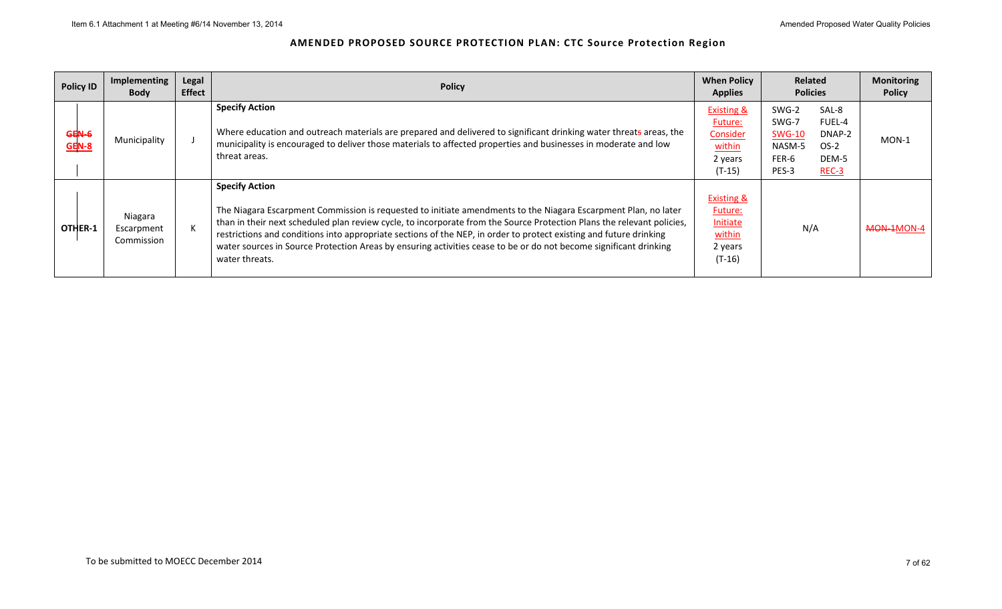| <b>Policy ID</b>      | Implementing<br><b>Body</b>         | Legal<br><b>Effect</b> | <b>Policy</b>                                                                                                                                                                                                                                                                                                                                                                                                                                                                                                                  | <b>When Policy</b><br>Related<br><b>Policies</b><br><b>Applies</b>                   |                                                                                                                        |            |
|-----------------------|-------------------------------------|------------------------|--------------------------------------------------------------------------------------------------------------------------------------------------------------------------------------------------------------------------------------------------------------------------------------------------------------------------------------------------------------------------------------------------------------------------------------------------------------------------------------------------------------------------------|--------------------------------------------------------------------------------------|------------------------------------------------------------------------------------------------------------------------|------------|
| GEN-6<br><b>GEN-8</b> | Municipality                        |                        | <b>Specify Action</b><br>Where education and outreach materials are prepared and delivered to significant drinking water threats areas, the<br>municipality is encouraged to deliver those materials to affected properties and businesses in moderate and low<br>threat areas.                                                                                                                                                                                                                                                | <b>Existing &amp;</b><br>Future:<br>Consider<br>within<br>2 years<br>$(T-15)$        | SWG-2<br>SAL-8<br>SWG-7<br>FUEL-4<br><b>SWG-10</b><br>DNAP-2<br>$OS-2$<br>NASM-5<br>FER-6<br>DEM-5<br>PES-3<br>$REC-3$ | MON-1      |
| OTHER-1               | Niagara<br>Escarpment<br>Commission |                        | <b>Specify Action</b><br>The Niagara Escarpment Commission is requested to initiate amendments to the Niagara Escarpment Plan, no later<br>than in their next scheduled plan review cycle, to incorporate from the Source Protection Plans the relevant policies,<br>restrictions and conditions into appropriate sections of the NEP, in order to protect existing and future drinking<br>water sources in Source Protection Areas by ensuring activities cease to be or do not become significant drinking<br>water threats. | <b>Existing &amp;</b><br>Future:<br><b>Initiate</b><br>within<br>2 years<br>$(T-16)$ | N/A                                                                                                                    | MON-1MON-4 |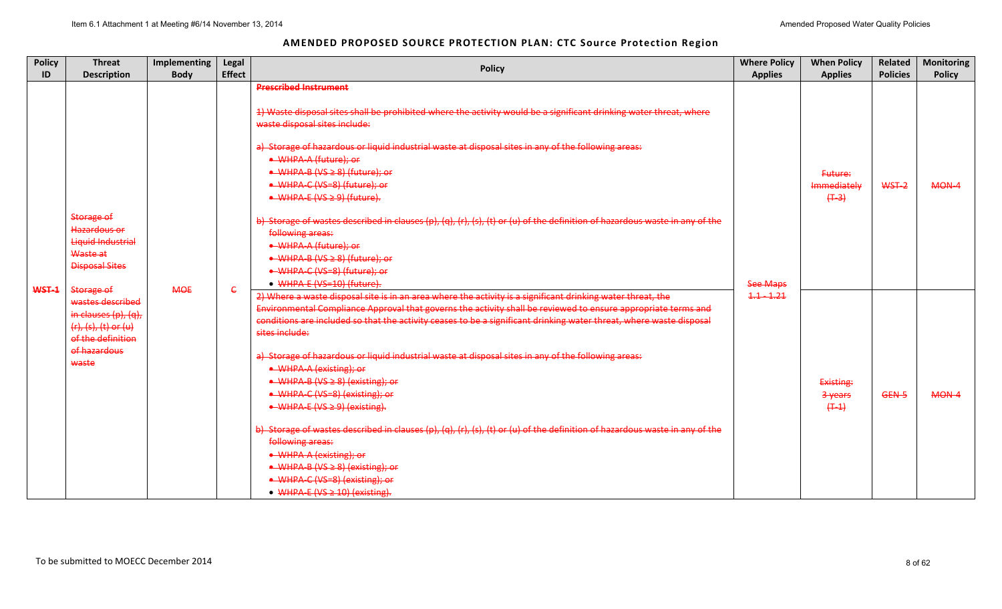| <b>Policy</b><br>ID | <b>Threat</b><br><b>Description</b>                                                                                      | <b>Implementing</b><br><b>Body</b>                                                                                                                                                                                                                                                                                                                                                                                                                                                                                                                                                                                                                                                                                                                                                                                     | Legal<br><b>Effect</b>                                                                                                                                                                                                                     | <b>Policy</b>                                                                                                                                                                                                                                                            | <b>Where Policy</b><br><b>Applies</b> | <b>When Policy</b><br><b>Applies</b> | Related<br><b>Policies</b> | <b>Monitoring</b><br><b>Policy</b> |
|---------------------|--------------------------------------------------------------------------------------------------------------------------|------------------------------------------------------------------------------------------------------------------------------------------------------------------------------------------------------------------------------------------------------------------------------------------------------------------------------------------------------------------------------------------------------------------------------------------------------------------------------------------------------------------------------------------------------------------------------------------------------------------------------------------------------------------------------------------------------------------------------------------------------------------------------------------------------------------------|--------------------------------------------------------------------------------------------------------------------------------------------------------------------------------------------------------------------------------------------|--------------------------------------------------------------------------------------------------------------------------------------------------------------------------------------------------------------------------------------------------------------------------|---------------------------------------|--------------------------------------|----------------------------|------------------------------------|
|                     |                                                                                                                          |                                                                                                                                                                                                                                                                                                                                                                                                                                                                                                                                                                                                                                                                                                                                                                                                                        |                                                                                                                                                                                                                                            | <b>Prescribed Instrument</b>                                                                                                                                                                                                                                             |                                       |                                      |                            |                                    |
|                     |                                                                                                                          |                                                                                                                                                                                                                                                                                                                                                                                                                                                                                                                                                                                                                                                                                                                                                                                                                        | 1) Waste disposal sites shall be prohibited where the activity would be a significant drinking water threat, where<br>waste disposal sites include:                                                                                        |                                                                                                                                                                                                                                                                          |                                       |                                      |                            |                                    |
|                     |                                                                                                                          |                                                                                                                                                                                                                                                                                                                                                                                                                                                                                                                                                                                                                                                                                                                                                                                                                        | a) Storage of hazardous or liquid industrial waste at disposal sites in any of the following areas:<br>• WHPA-A (future); or<br>• WHPA-B (VS ≥ 8) (future); or<br>• WHPA-C (VS=8) (future); or<br>$\bullet$ WHPA-E (VS $\geq$ 9) (future). |                                                                                                                                                                                                                                                                          | Future:<br>Immediately<br>$(+3)$      | WST-2                                | MON-4                      |                                    |
| WST-1               | Storage of<br>Hazardous or<br>Liquid Industrial<br>Waste at<br><b>Disposal Sites</b><br>Storage of                       | <b>MOE</b>                                                                                                                                                                                                                                                                                                                                                                                                                                                                                                                                                                                                                                                                                                                                                                                                             | $\epsilon$                                                                                                                                                                                                                                 | b) Storage of wastes described in clauses (p), (q), (r), (s), (t) or (u) of the definition of hazardous waste in any of the<br>following areas:<br>• WHPA-A (future); or<br>• WHPA-B (VS ≥ 8) (future); or<br>• WHPA-C (VS=8) (future); or<br>• WHPA-E (VS=10) (future). | <b>See Maps</b>                       |                                      |                            |                                    |
|                     | wastes described<br>in clauses $(p)$ , $(q)$ ,<br>$(r), (s), (t)$ or $(u)$<br>of the definition<br>of hazardous<br>waste | Environmental Compliance Approval that governs the activity shall be reviewed to ensure appropriate terms and<br>conditions are included so that the activity ceases to be a significant drinking water threat, where waste disposal<br>sites include:<br>a) Storage of hazardous or liquid industrial waste at disposal sites in any of the following areas:<br>• WHPA-A (existing); or<br>• WHPA-B (VS ≥ 8) (existing); or<br>• WHPA-C (VS=8) (existing); or<br>$\bullet$ WHPA-E (VS $\geq$ 9) (existing).<br>b) Storage of wastes described in clauses (p), (q), (r), (s), (t) or (u) of the definition of hazardous waste in any of the<br>following areas:<br>• WHPA-A (existing); or<br>$\triangle$ WHPA-B (VS $\geq$ 8) (existing); or<br>• WHPA-C (VS-8) (existing); or<br>• WHPA-E (VS $\geq$ 10) (existing). | 2) Where a waste disposal site is in an area where the activity is a significant drinking water threat, the                                                                                                                                | $1.1 - 1.21$                                                                                                                                                                                                                                                             | Existing:<br>3 years<br>$(+ - 1)$     | GEN-5                                | MON-4                      |                                    |
|                     |                                                                                                                          |                                                                                                                                                                                                                                                                                                                                                                                                                                                                                                                                                                                                                                                                                                                                                                                                                        |                                                                                                                                                                                                                                            |                                                                                                                                                                                                                                                                          |                                       |                                      |                            |                                    |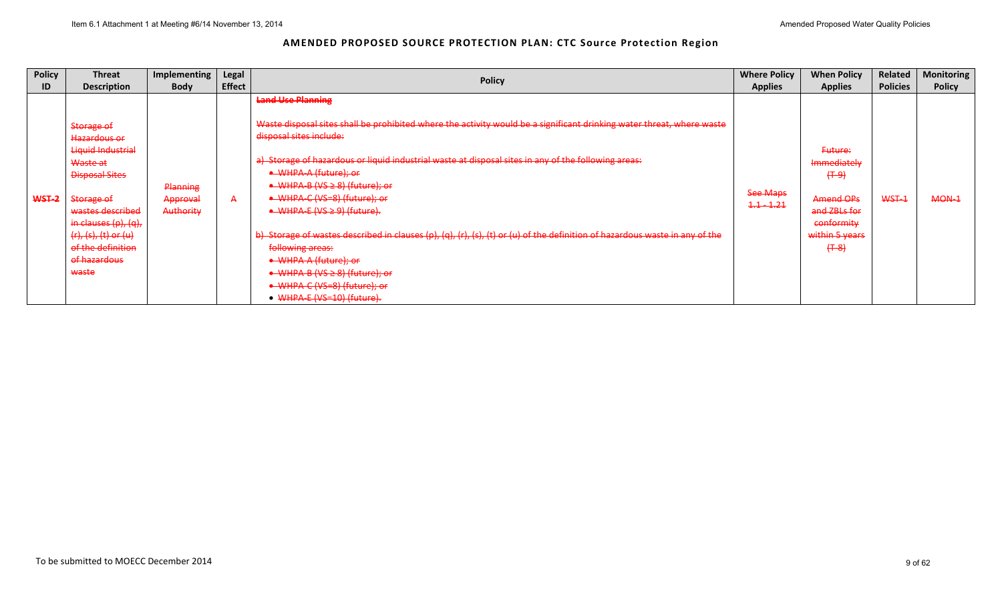| <b>Policy</b> | <b>Threat</b>                                                                                                                                                                                                              | Implementing                             | Legal         | <b>Policy</b>                                                                                                                                                                                                                                                                                                                                                                                                                                                                                                                                                                                                                                                                                                           | <b>Where Policy</b>      | <b>When Policy</b>                                                                                            | Related         | <b>Monitoring</b> |
|---------------|----------------------------------------------------------------------------------------------------------------------------------------------------------------------------------------------------------------------------|------------------------------------------|---------------|-------------------------------------------------------------------------------------------------------------------------------------------------------------------------------------------------------------------------------------------------------------------------------------------------------------------------------------------------------------------------------------------------------------------------------------------------------------------------------------------------------------------------------------------------------------------------------------------------------------------------------------------------------------------------------------------------------------------------|--------------------------|---------------------------------------------------------------------------------------------------------------|-----------------|-------------------|
| ID            | <b>Description</b>                                                                                                                                                                                                         | <b>Body</b>                              | <b>Effect</b> |                                                                                                                                                                                                                                                                                                                                                                                                                                                                                                                                                                                                                                                                                                                         | <b>Applies</b>           | <b>Applies</b>                                                                                                | <b>Policies</b> | <b>Policy</b>     |
| WST-2         | Storage of<br>Hazardous or<br>Liquid Industrial<br>Waste at<br><b>Disposal Sites</b><br>Storage of<br>wastes described<br>in clauses $(p)$ , $(q)$ ,<br>(r), (s), (t) or (u)<br>of the definition<br>of hazardous<br>waste | Planning<br>Approval<br><b>Authority</b> | $\mathsf{A}$  | <b>Land Use Planning</b><br>Waste disposal sites shall be prohibited where the activity would be a significant drinking water threat, where waste<br>disposal sites include:<br>a) Storage of hazardous or liquid industrial waste at disposal sites in any of the following areas:<br>• WHPA-A (future); or<br>• WHPA-B (VS ≥ 8) (future); or<br>• WHPA-C (VS=8) (future); or<br>$\rightarrow$ WHPA-E (VS $\geq$ 9) (future).<br>b) Storage of wastes described in clauses (p), (q), (r), (s), (t) or (u) of the definition of hazardous waste in any of the<br>following areas:<br>• WHPA-A (future); or<br>$\bullet$ WHPA-B (VS $\geq$ 8) (future); or<br>• WHPA-C (VS=8) (future); or<br>• WHPA-E (VS=10) (future). | See Maps<br>$1.1 - 1.21$ | Future:<br>Immediately<br>$(+ - 9)$<br>Amend OPs<br>and ZBLs for<br>conformity<br>within 5 years<br>$(+ - 8)$ | WST-1           | $MON-1$           |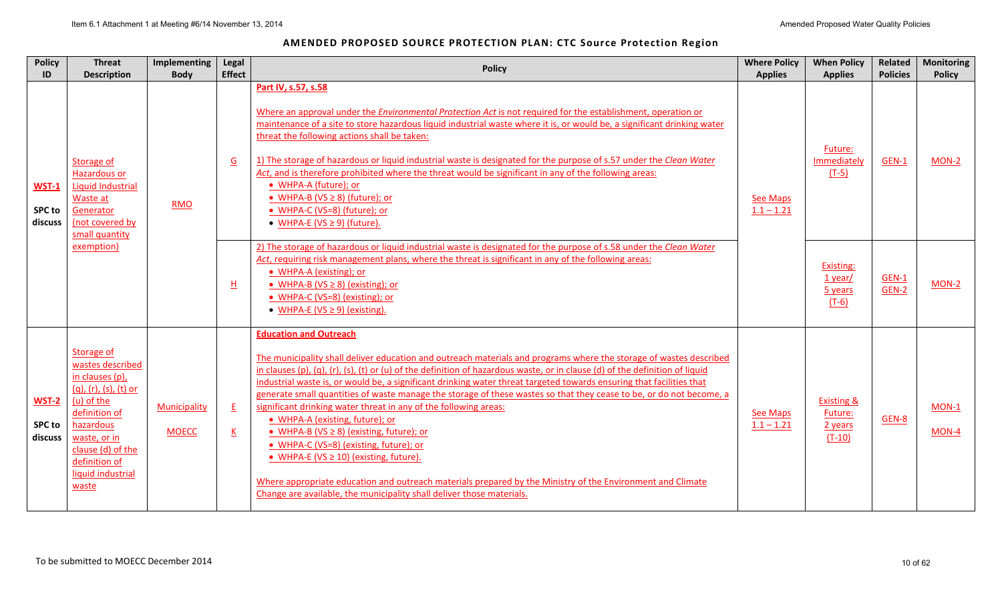| <b>Policy</b><br>ID                      | <b>Threat</b><br><b>Description</b>                                                                                                                                                                                   | <b>Implementing</b><br><b>Body</b> | Legal<br><b>Effect</b>                                                                                                                          | <b>Policy</b>                                                                                                                                                                                                                                                                                                                                                                                                                                                                                                                                                                                                                                                                                                                                                                                                                                                                                                                                                              | <b>Where Policy</b><br><b>Applies</b> | <b>When Policy</b><br><b>Applies</b>                    | Related<br><b>Policies</b> | <b>Monitoring</b><br><b>Policy</b> |
|------------------------------------------|-----------------------------------------------------------------------------------------------------------------------------------------------------------------------------------------------------------------------|------------------------------------|-------------------------------------------------------------------------------------------------------------------------------------------------|----------------------------------------------------------------------------------------------------------------------------------------------------------------------------------------------------------------------------------------------------------------------------------------------------------------------------------------------------------------------------------------------------------------------------------------------------------------------------------------------------------------------------------------------------------------------------------------------------------------------------------------------------------------------------------------------------------------------------------------------------------------------------------------------------------------------------------------------------------------------------------------------------------------------------------------------------------------------------|---------------------------------------|---------------------------------------------------------|----------------------------|------------------------------------|
| <b>WST-1</b><br><b>SPC to</b><br>discuss | Storage of<br><b>Hazardous or</b><br>Liquid Industrial<br>Waste at<br>Generator<br>(not covered by<br>small quantity                                                                                                  | <b>RMO</b>                         | $\underline{G}$                                                                                                                                 | Part IV, s.57, s.58<br>Where an approval under the <i>Environmental Protection Act</i> is not required for the establishment, operation or<br>maintenance of a site to store hazardous liquid industrial waste where it is, or would be, a significant drinking water<br>threat the following actions shall be taken:<br>1) The storage of hazardous or liquid industrial waste is designated for the purpose of s.57 under the Clean Water<br>Act, and is therefore prohibited where the threat would be significant in any of the following areas:<br>· WHPA-A (future); or<br>• WHPA-B (VS $\geq$ 8) (future); or<br>• WHPA-C (VS=8) (future); or<br>• WHPA-E (VS $\geq$ 9) (future).                                                                                                                                                                                                                                                                                   | <b>See Maps</b><br>$1.1 - 1.21$       | Future:<br>Immediately<br>$(T-5)$                       | GEN-1                      | MON-2                              |
|                                          | exemption)                                                                                                                                                                                                            |                                    | • WHPA-A (existing); or<br>旦<br>• WHPA-B ( $VS \ge 8$ ) (existing); or<br>• WHPA-C (VS=8) (existing); or<br>• WHPA-E ( $VS \ge 9$ ) (existing). | 2) The storage of hazardous or liquid industrial waste is designated for the purpose of s.58 under the Clean Water<br>Act, requiring risk management plans, where the threat is significant in any of the following areas:                                                                                                                                                                                                                                                                                                                                                                                                                                                                                                                                                                                                                                                                                                                                                 |                                       | Existing:<br>$1$ year/<br>5 years<br>$(T-6)$            | <b>GEN-1</b><br>GEN-2      | MON-2                              |
| <b>WST-2</b><br><b>SPC to</b><br>discuss | Storage of<br>wastes described<br>in clauses (p),<br>$(q)$ , $(r)$ , $(s)$ , $(t)$ or<br>(u) of the<br>definition of<br>hazardous<br>waste, or in<br>clause (d) of the<br>definition of<br>liquid industrial<br>waste | Municipality<br><b>MOECC</b>       | E<br>$\underline{\mathsf{K}}$                                                                                                                   | <b>Education and Outreach</b><br>The municipality shall deliver education and outreach materials and programs where the storage of wastes described<br>in clauses (p), (q), (r), (s), (t) or (u) of the definition of hazardous waste, or in clause (d) of the definition of liquid<br>industrial waste is, or would be, a significant drinking water threat targeted towards ensuring that facilities that<br>generate small quantities of waste manage the storage of these wastes so that they cease to be, or do not become, a<br>significant drinking water threat in any of the following areas:<br>• WHPA-A (existing, future); or<br>• WHPA-B (VS $\geq$ 8) (existing, future); or<br>• WHPA-C (VS=8) (existing, future); or<br>• WHPA-E (VS $\geq$ 10) (existing, future).<br>Where appropriate education and outreach materials prepared by the Ministry of the Environment and Climate<br>Change are available, the municipality shall deliver those materials. | <b>See Maps</b><br>$1.1 - 1.21$       | <b>Existing &amp;</b><br>Future:<br>2 years<br>$(T-10)$ | GEN-8                      | MON-1<br>MON-4                     |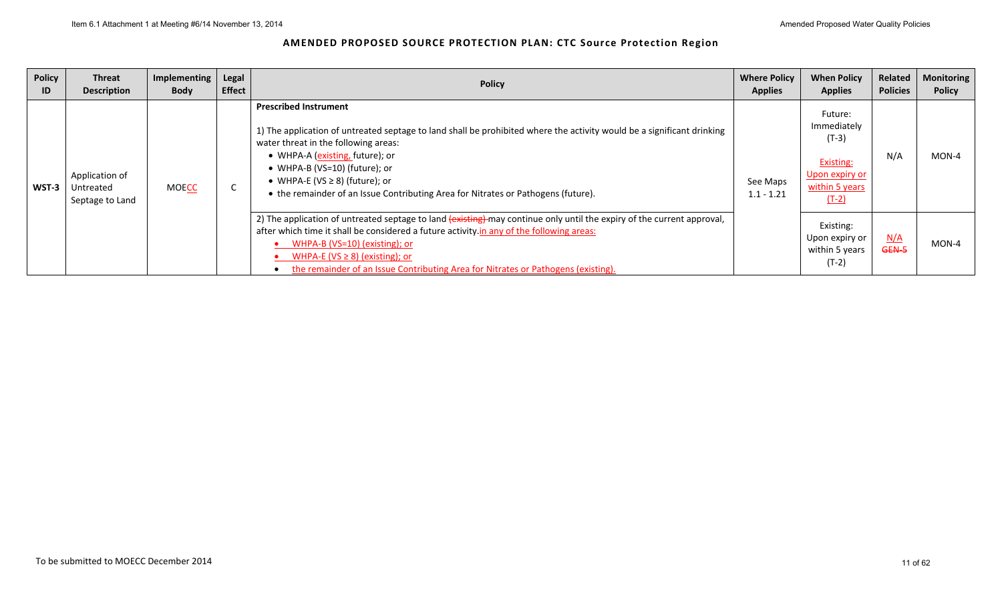| <b>Policy</b><br>ID | <b>Threat</b><br><b>Description</b>            | Implementing<br><b>Body</b>                                                                                                                                                                                                                                                                                                                                                      | <b>Legal</b><br><b>Effect</b> | <b>Policy</b>                                                                                                                                                                                                                                                                                                                                                                                  | <b>Where Policy</b><br><b>Applies</b> | <b>When Policy</b><br><b>Applies</b>                                                          | Related<br><b>Policies</b> | <b>Monitoring</b><br><b>Policy</b> |
|---------------------|------------------------------------------------|----------------------------------------------------------------------------------------------------------------------------------------------------------------------------------------------------------------------------------------------------------------------------------------------------------------------------------------------------------------------------------|-------------------------------|------------------------------------------------------------------------------------------------------------------------------------------------------------------------------------------------------------------------------------------------------------------------------------------------------------------------------------------------------------------------------------------------|---------------------------------------|-----------------------------------------------------------------------------------------------|----------------------------|------------------------------------|
| WST-3               | Application of<br>Untreated<br>Septage to Land | <b>MOECC</b>                                                                                                                                                                                                                                                                                                                                                                     | ◡                             | <b>Prescribed Instrument</b><br>1) The application of untreated septage to land shall be prohibited where the activity would be a significant drinking<br>water threat in the following areas:<br>• WHPA-A (existing, future); or<br>• WHPA-B (VS=10) (future); or<br>• WHPA-E (VS $\geq$ 8) (future); or<br>• the remainder of an Issue Contributing Area for Nitrates or Pathogens (future). | See Maps<br>$1.1 - 1.21$              | Future:<br>Immediately<br>$(T-3)$<br>Existing:<br>Upon expiry or<br>within 5 years<br>$(T-2)$ | N/A                        | $MON-4$                            |
|                     |                                                | 2) The application of untreated septage to land (existing) may continue only until the expiry of the current approval,<br>after which time it shall be considered a future activity in any of the following areas:<br>WHPA-B (VS=10) (existing); or<br>WHPA-E ( $VS \ge 8$ ) (existing); or<br>the remainder of an Issue Contributing Area for Nitrates or Pathogens (existing). |                               | Existing:<br>Upon expiry or<br>within 5 years<br>$(T-2)$                                                                                                                                                                                                                                                                                                                                       | N/A<br>GEN-5                          | MON-4                                                                                         |                            |                                    |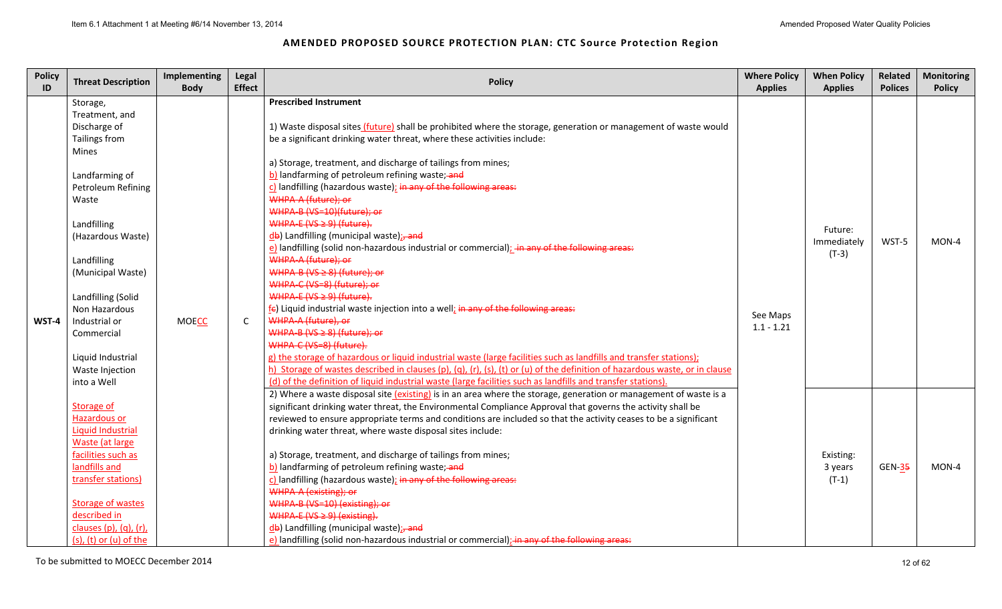| <b>Policy</b><br>ID | <b>Threat Description</b> | Implementing<br><b>Body</b> | Legal<br><b>Effect</b> | <b>Policy</b>                                                                                                               | <b>Where Policy</b><br><b>Applies</b>                            | <b>When Policy</b><br><b>Applies</b> | Related<br><b>Polices</b> | <b>Monitoring</b><br><b>Policy</b> |  |
|---------------------|---------------------------|-----------------------------|------------------------|-----------------------------------------------------------------------------------------------------------------------------|------------------------------------------------------------------|--------------------------------------|---------------------------|------------------------------------|--|
|                     | Storage,                  |                             |                        | <b>Prescribed Instrument</b>                                                                                                |                                                                  |                                      |                           |                                    |  |
|                     | Treatment, and            |                             |                        |                                                                                                                             |                                                                  |                                      |                           |                                    |  |
|                     | Discharge of              |                             |                        | 1) Waste disposal sites (future) shall be prohibited where the storage, generation or management of waste would             |                                                                  |                                      |                           |                                    |  |
|                     | Tailings from             |                             |                        | be a significant drinking water threat, where these activities include:                                                     |                                                                  |                                      |                           |                                    |  |
|                     | Mines                     |                             |                        |                                                                                                                             |                                                                  |                                      |                           |                                    |  |
|                     |                           |                             |                        | a) Storage, treatment, and discharge of tailings from mines;                                                                |                                                                  |                                      |                           |                                    |  |
|                     | Landfarming of            |                             |                        | b) landfarming of petroleum refining waste; and                                                                             |                                                                  |                                      |                           |                                    |  |
|                     | Petroleum Refining        |                             |                        |                                                                                                                             | c) landfilling (hazardous waste); in any of the following areas: |                                      |                           |                                    |  |
|                     | Waste                     |                             |                        | WHPA-A (future); or                                                                                                         |                                                                  |                                      |                           |                                    |  |
|                     |                           |                             |                        | WHPA-B (VS=10)(future); or                                                                                                  |                                                                  |                                      |                           |                                    |  |
|                     | Landfilling               |                             |                        | WHPA-E (VS ≥ 9) (future).                                                                                                   |                                                                  | Future:                              |                           |                                    |  |
|                     | (Hazardous Waste)         |                             |                        | db) Landfilling (municipal waste); and                                                                                      |                                                                  | Immediately                          | WST-5                     | MON-4                              |  |
|                     |                           |                             |                        | e) landfilling (solid non-hazardous industrial or commercial); in any of the following areas:                               |                                                                  | $(T-3)$                              |                           |                                    |  |
|                     | Landfilling               |                             |                        | WHPA-A (future); or                                                                                                         |                                                                  |                                      |                           |                                    |  |
|                     | (Municipal Waste)         |                             |                        | WHPA-B ( $VS \ge 8$ ) (future); or                                                                                          |                                                                  |                                      |                           |                                    |  |
|                     |                           |                             |                        | WHPA-C (VS=8) (future); or                                                                                                  | See Maps                                                         |                                      |                           |                                    |  |
|                     | Landfilling (Solid        |                             |                        | WHPA-E ( $VS \ge 9$ ) (future).                                                                                             |                                                                  |                                      |                           |                                    |  |
|                     | Non Hazardous             |                             |                        | $f$ E) Liquid industrial waste injection into a well; in any of the following areas:                                        |                                                                  |                                      |                           |                                    |  |
| WST-4               | Industrial or             | <b>MOECC</b>                | $\mathsf{C}$           | WHPA-A (future), or                                                                                                         | $1.1 - 1.21$                                                     |                                      |                           |                                    |  |
|                     | Commercial                |                             |                        | WHPA-B (VS $\geq$ 8) (future); or                                                                                           |                                                                  |                                      |                           |                                    |  |
|                     |                           |                             |                        | WHPA-C (VS=8) (future).                                                                                                     |                                                                  |                                      |                           |                                    |  |
|                     | Liquid Industrial         |                             |                        | g) the storage of hazardous or liquid industrial waste (large facilities such as landfills and transfer stations);          |                                                                  |                                      |                           |                                    |  |
|                     | Waste Injection           |                             |                        | h) Storage of wastes described in clauses (p), (q), (r), (s), (t) or (u) of the definition of hazardous waste, or in clause |                                                                  |                                      |                           |                                    |  |
|                     | into a Well               |                             |                        | (d) of the definition of liquid industrial waste (large facilities such as landfills and transfer stations)                 |                                                                  |                                      |                           |                                    |  |
|                     |                           |                             |                        | 2) Where a waste disposal site (existing) is in an area where the storage, generation or management of waste is a           |                                                                  |                                      |                           |                                    |  |
|                     | Storage of                |                             |                        | significant drinking water threat, the Environmental Compliance Approval that governs the activity shall be                 |                                                                  |                                      |                           |                                    |  |
|                     | <b>Hazardous or</b>       |                             |                        | reviewed to ensure appropriate terms and conditions are included so that the activity ceases to be a significant            |                                                                  |                                      |                           |                                    |  |
|                     | <b>Liquid Industrial</b>  |                             |                        | drinking water threat, where waste disposal sites include:                                                                  |                                                                  |                                      |                           |                                    |  |
|                     | Waste (at large           |                             |                        |                                                                                                                             |                                                                  |                                      |                           |                                    |  |
|                     | facilities such as        |                             |                        | a) Storage, treatment, and discharge of tailings from mines;                                                                |                                                                  | Existing:                            |                           |                                    |  |
|                     | landfills and             |                             |                        | b) landfarming of petroleum refining waste; and                                                                             |                                                                  | 3 years                              | <b>GEN-35</b>             | MON-4                              |  |
|                     | transfer stations)        |                             |                        | c) landfilling (hazardous waste); in any of the following areas:                                                            |                                                                  | $(T-1)$                              |                           |                                    |  |
|                     |                           |                             |                        | WHPA-A (existing); or                                                                                                       |                                                                  |                                      |                           |                                    |  |
|                     | <b>Storage of wastes</b>  |                             |                        | WHPA-B (VS=10) (existing); or                                                                                               |                                                                  |                                      |                           |                                    |  |
|                     | described in              |                             |                        | WHPA-E ( $VS \ge 9$ ) (existing).                                                                                           |                                                                  |                                      |                           |                                    |  |
|                     | clauses (p), (q), (r),    |                             |                        | db) Landfilling (municipal waste); and                                                                                      |                                                                  |                                      |                           |                                    |  |
|                     | $(s)$ , (t) or (u) of the |                             |                        | e) landfilling (solid non-hazardous industrial or commercial); in any of the following areas:                               |                                                                  |                                      |                           |                                    |  |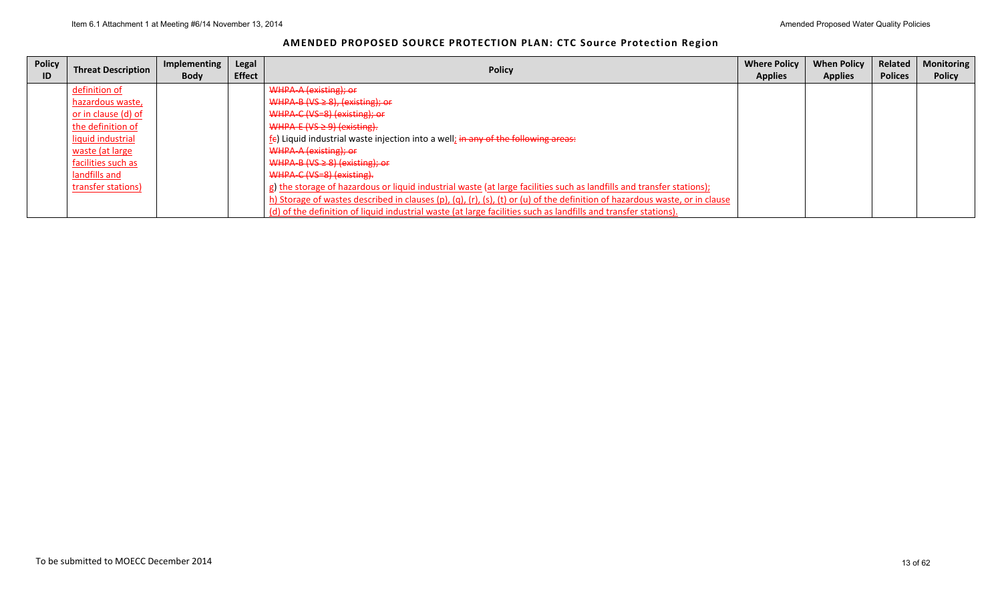| AMENDED PROPOSED SOURCE PROTECTION PLAN: CTC Source Protection Region |  |
|-----------------------------------------------------------------------|--|
|-----------------------------------------------------------------------|--|

| <b>Policy</b><br>ID | <b>Threat Description</b> | Implementing<br><b>Body</b> | Legal<br><b>Effect</b> | <b>Policy</b>                                                                                                               | <b>Where Policy</b><br><b>Applies</b> | <b>When Policy</b><br><b>Applies</b> | Related<br><b>Polices</b> | Monitoring<br><b>Policy</b> |
|---------------------|---------------------------|-----------------------------|------------------------|-----------------------------------------------------------------------------------------------------------------------------|---------------------------------------|--------------------------------------|---------------------------|-----------------------------|
|                     | definition of             |                             |                        | WHPA-A (existing); or                                                                                                       |                                       |                                      |                           |                             |
|                     | hazardous waste,          |                             |                        | WHPA-B ( $VS \ge 8$ ), (existing); or                                                                                       |                                       |                                      |                           |                             |
|                     | or in clause (d) of       |                             |                        | WHPA-C (VS-8) (existing); or                                                                                                |                                       |                                      |                           |                             |
|                     | the definition of         |                             |                        | WHPA-E $(VS \ge 9)$ (existing).                                                                                             |                                       |                                      |                           |                             |
|                     | liquid industrial         |                             |                        | $f_{\epsilon}$ ) Liquid industrial waste injection into a well; in any of the following areas:                              |                                       |                                      |                           |                             |
|                     | waste (at large           |                             |                        | WHPA-A (existing); or                                                                                                       |                                       |                                      |                           |                             |
|                     | facilities such as        |                             |                        | $WHPA-B (VS \geq 8) (existing); or$                                                                                         |                                       |                                      |                           |                             |
|                     | landfills and             |                             |                        | WHPA-C (VS=8) (existing).                                                                                                   |                                       |                                      |                           |                             |
|                     | transfer stations)        |                             |                        | g) the storage of hazardous or liquid industrial waste (at large facilities such as landfills and transfer stations);       |                                       |                                      |                           |                             |
|                     |                           |                             |                        | h) Storage of wastes described in clauses (p), (q), (r), (s), (t) or (u) of the definition of hazardous waste, or in clause |                                       |                                      |                           |                             |
|                     |                           |                             |                        | (d) of the definition of liquid industrial waste (at large facilities such as landfills and transfer stations).             |                                       |                                      |                           |                             |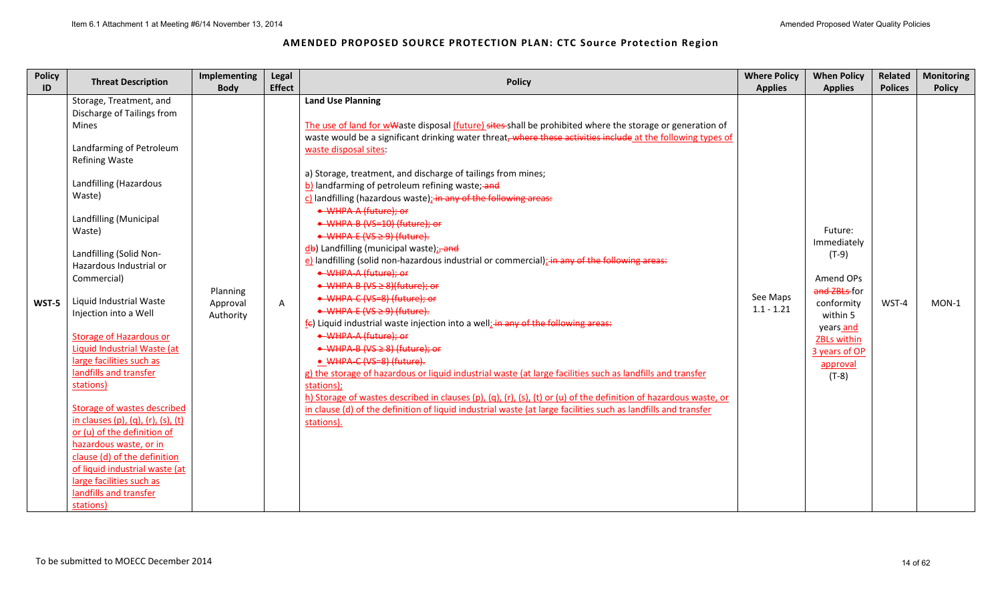| <b>Policy</b> | <b>Threat Description</b>                                                                                                                                                                                                                                                                                                                                                                                                                                                                                                                                                                                                                                                                                                          | Implementing                      | Legal         | <b>Policy</b>                                                                                                                                                                                                                                                                                                                                                                                                                                                                                                                                                                                                                                                                                                                                                                                                                                                                                                                                                                                                                                                                                                                                                                                                                                                                                                                                                                                                                                                    | <b>Where Policy</b>      | <b>When Policy</b>                                                                                                                                                  | Related        | <b>Monitoring</b> |
|---------------|------------------------------------------------------------------------------------------------------------------------------------------------------------------------------------------------------------------------------------------------------------------------------------------------------------------------------------------------------------------------------------------------------------------------------------------------------------------------------------------------------------------------------------------------------------------------------------------------------------------------------------------------------------------------------------------------------------------------------------|-----------------------------------|---------------|------------------------------------------------------------------------------------------------------------------------------------------------------------------------------------------------------------------------------------------------------------------------------------------------------------------------------------------------------------------------------------------------------------------------------------------------------------------------------------------------------------------------------------------------------------------------------------------------------------------------------------------------------------------------------------------------------------------------------------------------------------------------------------------------------------------------------------------------------------------------------------------------------------------------------------------------------------------------------------------------------------------------------------------------------------------------------------------------------------------------------------------------------------------------------------------------------------------------------------------------------------------------------------------------------------------------------------------------------------------------------------------------------------------------------------------------------------------|--------------------------|---------------------------------------------------------------------------------------------------------------------------------------------------------------------|----------------|-------------------|
| ID            |                                                                                                                                                                                                                                                                                                                                                                                                                                                                                                                                                                                                                                                                                                                                    | <b>Body</b>                       | <b>Effect</b> |                                                                                                                                                                                                                                                                                                                                                                                                                                                                                                                                                                                                                                                                                                                                                                                                                                                                                                                                                                                                                                                                                                                                                                                                                                                                                                                                                                                                                                                                  | <b>Applies</b>           | <b>Applies</b>                                                                                                                                                      | <b>Polices</b> | <b>Policy</b>     |
| WST-5         | Storage, Treatment, and<br>Discharge of Tailings from<br><b>Mines</b><br>Landfarming of Petroleum<br><b>Refining Waste</b><br>Landfilling (Hazardous<br>Waste)<br>Landfilling (Municipal<br>Waste)<br>Landfilling (Solid Non-<br>Hazardous Industrial or<br>Commercial)<br>Liquid Industrial Waste<br>Injection into a Well<br><b>Storage of Hazardous or</b><br>Liquid Industrial Waste (at<br>large facilities such as<br>landfills and transfer<br>stations)<br>Storage of wastes described<br>in clauses (p), (q), (r), (s), (t)<br>or (u) of the definition of<br>hazardous waste, or in<br>clause (d) of the definition<br>of liquid industrial waste (at<br>large facilities such as<br>landfills and transfer<br>stations) | Planning<br>Approval<br>Authority | A             | <b>Land Use Planning</b><br>The use of land for wwaste disposal (future) sites shall be prohibited where the storage or generation of<br>waste would be a significant drinking water threat, where these activities include at the following types of<br>waste disposal sites:<br>a) Storage, treatment, and discharge of tailings from mines;<br>b) landfarming of petroleum refining waste; and<br>c) landfilling (hazardous waste); in any of the following areas:<br>• WHPA-A (future); or<br>• WHPA-B (VS=10) (future); or<br>$\rightarrow$ WHPA-E (VS $\geq$ 9) (future).<br>db) Landfilling (municipal waste); and<br>e) landfilling (solid non-hazardous industrial or commercial); in any of the following areas:<br>• WHPA-A (future); or<br>$\rightarrow$ WHPA-B (VS $\geq$ 8)(future): or<br>• WHPA-C (VS=8) (future); or<br>$\rightarrow$ WHPA-E (VS $\geq$ 9) (future).<br>$f_{\epsilon}$ ) Liquid industrial waste injection into a well; in any of the following areas:<br>• WHPA-A (future); or<br>• WHPA-B (VS ≥ 8) (future); or<br>• WHPA-C (VS=8) (future).<br>g) the storage of hazardous or liquid industrial waste (at large facilities such as landfills and transfer<br>stations);<br>h) Storage of wastes described in clauses (p), (q), (r), (s), (t) or (u) of the definition of hazardous waste, or<br>in clause (d) of the definition of liquid industrial waste (at large facilities such as landfills and transfer<br>stations). | See Maps<br>$1.1 - 1.21$ | Future:<br>Immediately<br>$(T-9)$<br>Amend OPs<br>and ZBLs-for<br>conformity<br>within 5<br>years and<br><b>ZBLs within</b><br>3 years of OP<br>approval<br>$(T-8)$ | WST-4          | $MON-1$           |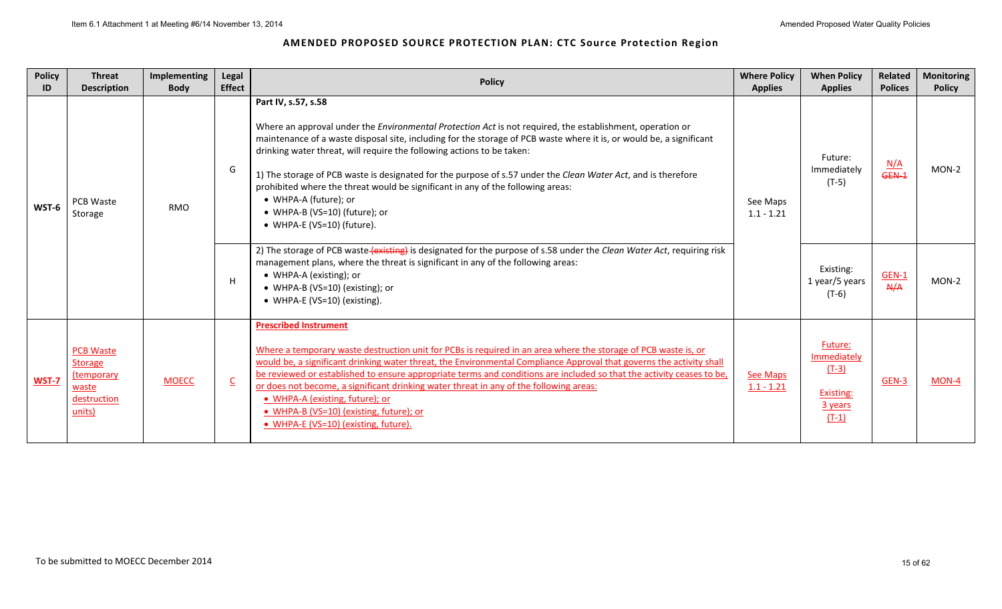| <b>Policy</b><br>ID | <b>Threat</b><br><b>Description</b>                                                | <b>Implementing</b><br><b>Body</b> | Legal<br><b>Effect</b>  | <b>Policy</b>                                                                                                                                                                                                                                                                                                                                                                                                                                                                                                                                                                                                                         | <b>Where Policy</b><br><b>Applies</b> | <b>When Policy</b><br><b>Applies</b>                                 | Related<br><b>Polices</b> | <b>Monitoring</b><br><b>Policy</b> |
|---------------------|------------------------------------------------------------------------------------|------------------------------------|-------------------------|---------------------------------------------------------------------------------------------------------------------------------------------------------------------------------------------------------------------------------------------------------------------------------------------------------------------------------------------------------------------------------------------------------------------------------------------------------------------------------------------------------------------------------------------------------------------------------------------------------------------------------------|---------------------------------------|----------------------------------------------------------------------|---------------------------|------------------------------------|
| WST-6               | <b>PCB Waste</b><br>Storage                                                        | <b>RMO</b>                         | G                       | Part IV, s.57, s.58<br>Where an approval under the <i>Environmental Protection Act</i> is not required, the establishment, operation or<br>maintenance of a waste disposal site, including for the storage of PCB waste where it is, or would be, a significant<br>drinking water threat, will require the following actions to be taken:<br>1) The storage of PCB waste is designated for the purpose of s.57 under the Clean Water Act, and is therefore<br>prohibited where the threat would be significant in any of the following areas:<br>• WHPA-A (future); or<br>• WHPA-B (VS=10) (future); or<br>• WHPA-E (VS=10) (future). | See Maps<br>$1.1 - 1.21$              | Future:<br>Immediately<br>$(T-5)$                                    | N/A<br>GEN-1              | $MON-2$                            |
|                     |                                                                                    |                                    | H                       | 2) The storage of PCB waste (existing) is designated for the purpose of s.58 under the Clean Water Act, requiring risk<br>management plans, where the threat is significant in any of the following areas:<br>• WHPA-A (existing); or<br>• WHPA-B (VS=10) (existing); or<br>• WHPA-E (VS=10) (existing).                                                                                                                                                                                                                                                                                                                              |                                       | Existing:<br>1 year/5 years<br>$(T-6)$                               | <b>GEN-1</b><br>A/A       | MON-2                              |
| WST-7               | <b>PCB Waste</b><br><b>Storage</b><br>(temporary<br>waste<br>destruction<br>units) | <b>MOECC</b>                       | $\overline{\mathsf{c}}$ | <b>Prescribed Instrument</b><br>Where a temporary waste destruction unit for PCBs is required in an area where the storage of PCB waste is, or<br>would be, a significant drinking water threat, the Environmental Compliance Approval that governs the activity shall<br>be reviewed or established to ensure appropriate terms and conditions are included so that the activity ceases to be<br>or does not become, a significant drinking water threat in any of the following areas:<br>• WHPA-A (existing, future); or<br>• WHPA-B (VS=10) (existing, future); or<br>• WHPA-E (VS=10) (existing, future).                        | <b>See Maps</b><br>$1.1 - 1.21$       | Future:<br>Immediately<br>$(T-3)$<br>Existing:<br>3 years<br>$(T-1)$ | GEN-3                     | MON-4                              |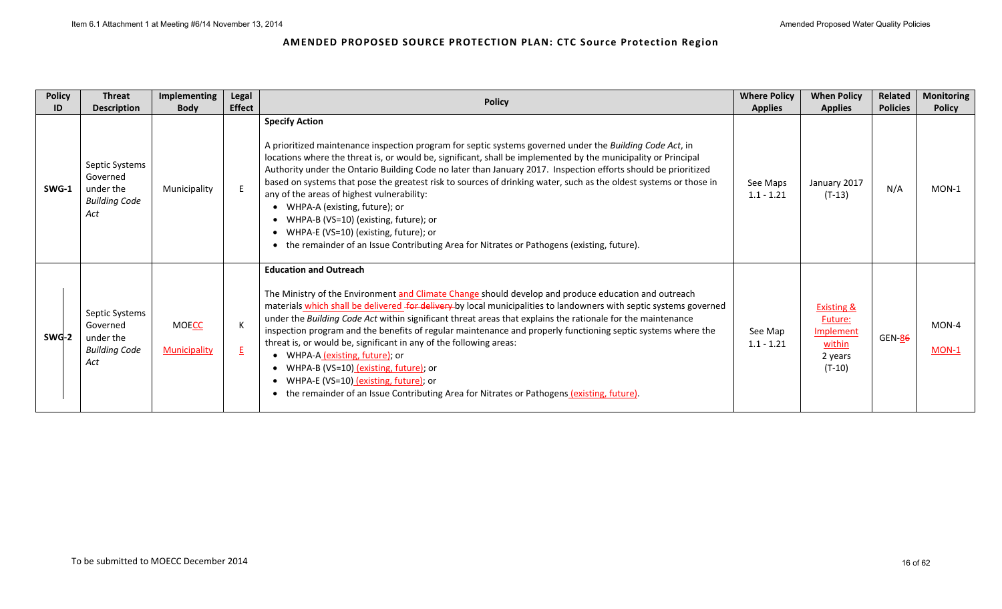| <b>Policy</b> | <b>Threat</b>                                                                                | Implementing                        | Legal                | <b>Policy</b>                                                                                                                                                                                                                                                                                                                                                                                                                                                                                                                                                                                                                                                                                                                                                                            | <b>Where Policy</b>                        | <b>When Policy</b>                                                             | Related                | <b>Monitoring</b>        |
|---------------|----------------------------------------------------------------------------------------------|-------------------------------------|----------------------|------------------------------------------------------------------------------------------------------------------------------------------------------------------------------------------------------------------------------------------------------------------------------------------------------------------------------------------------------------------------------------------------------------------------------------------------------------------------------------------------------------------------------------------------------------------------------------------------------------------------------------------------------------------------------------------------------------------------------------------------------------------------------------------|--------------------------------------------|--------------------------------------------------------------------------------|------------------------|--------------------------|
| ID<br>SWG-1   | <b>Description</b><br>Septic Systems<br>Governed<br>under the<br><b>Building Code</b><br>Act | <b>Body</b><br>Municipality         | <b>Effect</b><br>E   | <b>Specify Action</b><br>A prioritized maintenance inspection program for septic systems governed under the Building Code Act, in<br>locations where the threat is, or would be, significant, shall be implemented by the municipality or Principal<br>Authority under the Ontario Building Code no later than January 2017. Inspection efforts should be prioritized<br>based on systems that pose the greatest risk to sources of drinking water, such as the oldest systems or those in<br>any of the areas of highest vulnerability:<br>• WHPA-A (existing, future); or<br>• WHPA-B (VS=10) (existing, future); or<br>• WHPA-E (VS=10) (existing, future); or<br>• the remainder of an Issue Contributing Area for Nitrates or Pathogens (existing, future).                         | <b>Applies</b><br>See Maps<br>$1.1 - 1.21$ | <b>Applies</b><br>January 2017<br>$(T-13)$                                     | <b>Policies</b><br>N/A | <b>Policy</b><br>$MON-1$ |
| SWG-2         | Septic Systems<br>Governed<br>under the<br><b>Building Code</b><br>Act                       | <b>MOECC</b><br><b>Municipality</b> | K<br>$E_{\parallel}$ | <b>Education and Outreach</b><br>The Ministry of the Environment and Climate Change should develop and produce education and outreach<br>materials which shall be delivered for delivery by local municipalities to landowners with septic systems governed<br>under the Building Code Act within significant threat areas that explains the rationale for the maintenance<br>inspection program and the benefits of regular maintenance and properly functioning septic systems where the<br>threat is, or would be, significant in any of the following areas:<br>• WHPA-A (existing, future); or<br>• WHPA-B (VS=10) (existing, future); or<br>• WHPA-E (VS=10) (existing, future); or<br>• the remainder of an Issue Contributing Area for Nitrates or Pathogens (existing, future). | See Map<br>$1.1 - 1.21$                    | <b>Existing &amp;</b><br>Future:<br>Implement<br>within<br>2 years<br>$(T-10)$ | GEN-86                 | MON-4<br>$MON-1$         |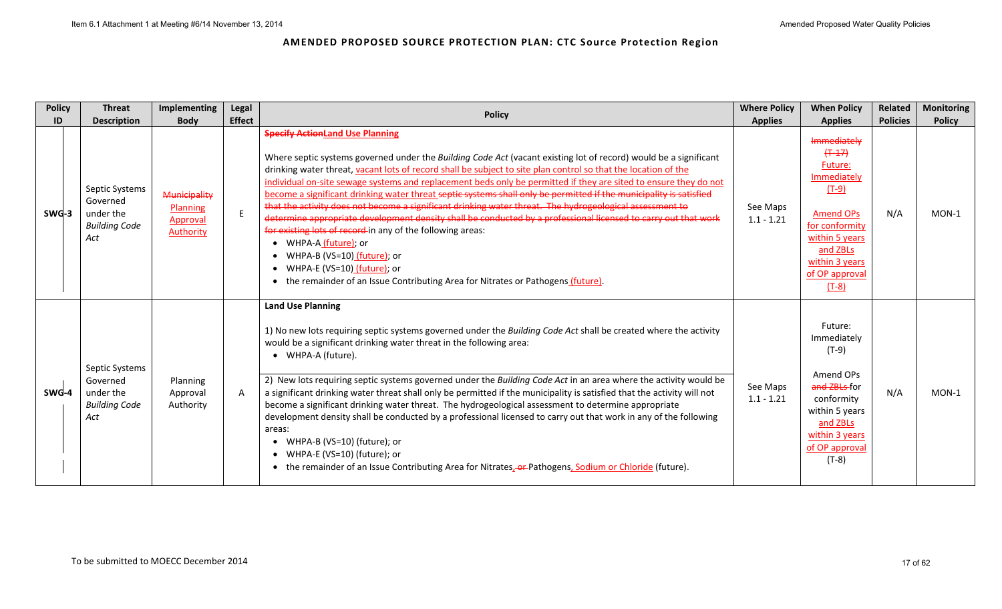| <b>Policy</b> | <b>Threat</b>                                                          | <b>Implementing</b>                                             | <b>Legal</b>  | <b>Policy</b>                                                                                                                                                                                                                                                                                                                                                                                                                                                                                                                                                                                                                                                                                                                                                                                                                                                                                                                                                                                      | <b>Where Policy</b>      | <b>When Policy</b>                                                                                                                                                               | Related         | <b>Monitoring</b> |
|---------------|------------------------------------------------------------------------|-----------------------------------------------------------------|---------------|----------------------------------------------------------------------------------------------------------------------------------------------------------------------------------------------------------------------------------------------------------------------------------------------------------------------------------------------------------------------------------------------------------------------------------------------------------------------------------------------------------------------------------------------------------------------------------------------------------------------------------------------------------------------------------------------------------------------------------------------------------------------------------------------------------------------------------------------------------------------------------------------------------------------------------------------------------------------------------------------------|--------------------------|----------------------------------------------------------------------------------------------------------------------------------------------------------------------------------|-----------------|-------------------|
| ID            | <b>Description</b>                                                     | <b>Body</b>                                                     | <b>Effect</b> |                                                                                                                                                                                                                                                                                                                                                                                                                                                                                                                                                                                                                                                                                                                                                                                                                                                                                                                                                                                                    | <b>Applies</b>           | <b>Applies</b>                                                                                                                                                                   | <b>Policies</b> | <b>Policy</b>     |
| SWG-3         | Septic Systems<br>Governed<br>under the<br><b>Building Code</b><br>Act | <b>Municipality</b><br>Planning<br>Approval<br><b>Authority</b> | E             | <b>Specify ActionLand Use Planning</b><br>Where septic systems governed under the Building Code Act (vacant existing lot of record) would be a significant<br>drinking water threat, vacant lots of record shall be subject to site plan control so that the location of the<br>individual on-site sewage systems and replacement beds only be permitted if they are sited to ensure they do not<br>become a significant drinking water threat septic systems shall only be permitted if the municipality is satisfied<br>that the activity does not become a significant drinking water threat. The hydrogeological assessment to<br>determine appropriate development density shall be conducted by a professional licensed to carry out that work<br>for existing lots of record-in any of the following areas:<br>• WHPA-A (future); or<br>• WHPA-B (VS=10) (future); or<br>• WHPA-E (VS=10) (future); or<br>• the remainder of an Issue Contributing Area for Nitrates or Pathogens (future). | See Maps<br>$1.1 - 1.21$ | Immediately<br>$(+ -17)$<br>Future:<br>Immediately<br>$(T-9)$<br><b>Amend OPs</b><br>for conformity<br>within 5 years<br>and ZBLs<br>within 3 years<br>of OP approval<br>$(T-8)$ | N/A             | $MON-1$           |
| SWG-4         | Septic Systems<br>Governed<br>under the<br><b>Building Code</b><br>Act | Planning<br>Approval<br>Authority                               | $\mathsf{A}$  | <b>Land Use Planning</b><br>1) No new lots requiring septic systems governed under the Building Code Act shall be created where the activity<br>would be a significant drinking water threat in the following area:<br>• WHPA-A (future).<br>2) New lots requiring septic systems governed under the Building Code Act in an area where the activity would be<br>a significant drinking water threat shall only be permitted if the municipality is satisfied that the activity will not<br>become a significant drinking water threat. The hydrogeological assessment to determine appropriate<br>development density shall be conducted by a professional licensed to carry out that work in any of the following<br>areas:<br>• WHPA-B (VS=10) (future); or<br>• WHPA-E (VS=10) (future); or<br>• the remainder of an Issue Contributing Area for Nitrates, or Pathogens, Sodium or Chloride (future).                                                                                          | See Maps<br>$1.1 - 1.21$ | Future:<br>Immediately<br>$(T-9)$<br>Amend OPs<br>and ZBLs-for<br>conformity<br>within 5 years<br>and ZBLs<br>within 3 years<br>of OP approval<br>$(T-8)$                        | N/A             | $MON-1$           |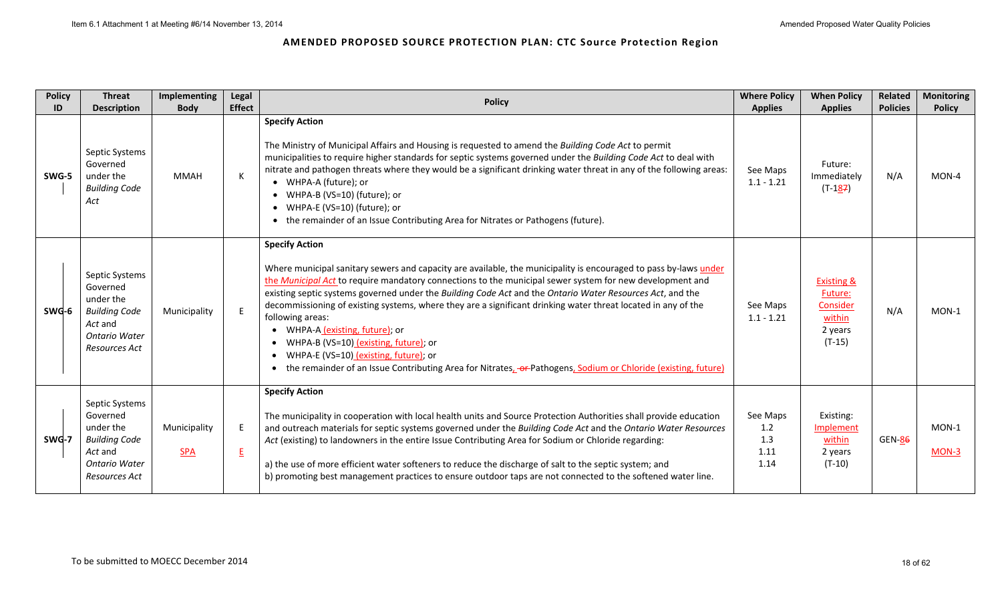| <b>Policy</b> | <b>Threat</b>                                                                                                       | Implementing               | Legal                | <b>Policy</b>                                                                                                                                                                                                                                                                                                                                                                                                                                                                                                                                                                                                                                                                                                                                                 | <b>Where Policy</b>                    | <b>When Policy</b>                                                            | Related         | <b>Monitoring</b> |
|---------------|---------------------------------------------------------------------------------------------------------------------|----------------------------|----------------------|---------------------------------------------------------------------------------------------------------------------------------------------------------------------------------------------------------------------------------------------------------------------------------------------------------------------------------------------------------------------------------------------------------------------------------------------------------------------------------------------------------------------------------------------------------------------------------------------------------------------------------------------------------------------------------------------------------------------------------------------------------------|----------------------------------------|-------------------------------------------------------------------------------|-----------------|-------------------|
| ID            | <b>Description</b>                                                                                                  | <b>Body</b>                | <b>Effect</b>        |                                                                                                                                                                                                                                                                                                                                                                                                                                                                                                                                                                                                                                                                                                                                                               | <b>Applies</b>                         | <b>Applies</b>                                                                | <b>Policies</b> | <b>Policy</b>     |
| SWG-5         | Septic Systems<br>Governed<br>under the<br><b>Building Code</b><br>Act                                              | <b>MMAH</b>                | K.                   | <b>Specify Action</b><br>The Ministry of Municipal Affairs and Housing is requested to amend the Building Code Act to permit<br>municipalities to require higher standards for septic systems governed under the Building Code Act to deal with<br>nitrate and pathogen threats where they would be a significant drinking water threat in any of the following areas:<br>• WHPA-A (future); or<br>• WHPA-B (VS=10) (future); or<br>• WHPA-E (VS=10) (future); or<br>• the remainder of an Issue Contributing Area for Nitrates or Pathogens (future).                                                                                                                                                                                                        | See Maps<br>$1.1 - 1.21$               | Future:<br>Immediately<br>$(T-187)$                                           | N/A             | MON-4             |
| SWG-6         | Septic Systems<br>Governed<br>under the<br><b>Building Code</b><br>Act and<br><b>Ontario Water</b><br>Resources Act | Municipality               | E                    | <b>Specify Action</b><br>Where municipal sanitary sewers and capacity are available, the municipality is encouraged to pass by-laws under<br>the Municipal Act to require mandatory connections to the municipal sewer system for new development and<br>existing septic systems governed under the Building Code Act and the Ontario Water Resources Act, and the<br>decommissioning of existing systems, where they are a significant drinking water threat located in any of the<br>following areas:<br>• WHPA-A (existing, future); or<br>WHPA-B (VS=10) (existing, future); or<br>$\bullet$<br>WHPA-E (VS=10) (existing, future); or<br>• the remainder of an Issue Contributing Area for Nitrates, -or-Pathogens, Sodium or Chloride (existing, future) | See Maps<br>$1.1 - 1.21$               | <b>Existing &amp;</b><br>Future:<br>Consider<br>within<br>2 years<br>$(T-15)$ | N/A             | MON-1             |
| SWG-7         | Septic Systems<br>Governed<br>under the<br><b>Building Code</b><br>Act and<br><b>Ontario Water</b><br>Resources Act | Municipality<br><b>SPA</b> | E<br>$E_{\parallel}$ | <b>Specify Action</b><br>The municipality in cooperation with local health units and Source Protection Authorities shall provide education<br>and outreach materials for septic systems governed under the Building Code Act and the Ontario Water Resources<br>Act (existing) to landowners in the entire Issue Contributing Area for Sodium or Chloride regarding:<br>a) the use of more efficient water softeners to reduce the discharge of salt to the septic system; and<br>b) promoting best management practices to ensure outdoor taps are not connected to the softened water line.                                                                                                                                                                 | See Maps<br>1.2<br>1.3<br>1.11<br>1.14 | Existing:<br>Implement<br>within<br>2 years<br>$(T-10)$                       | <b>GEN-86</b>   | MON-1<br>MON-3    |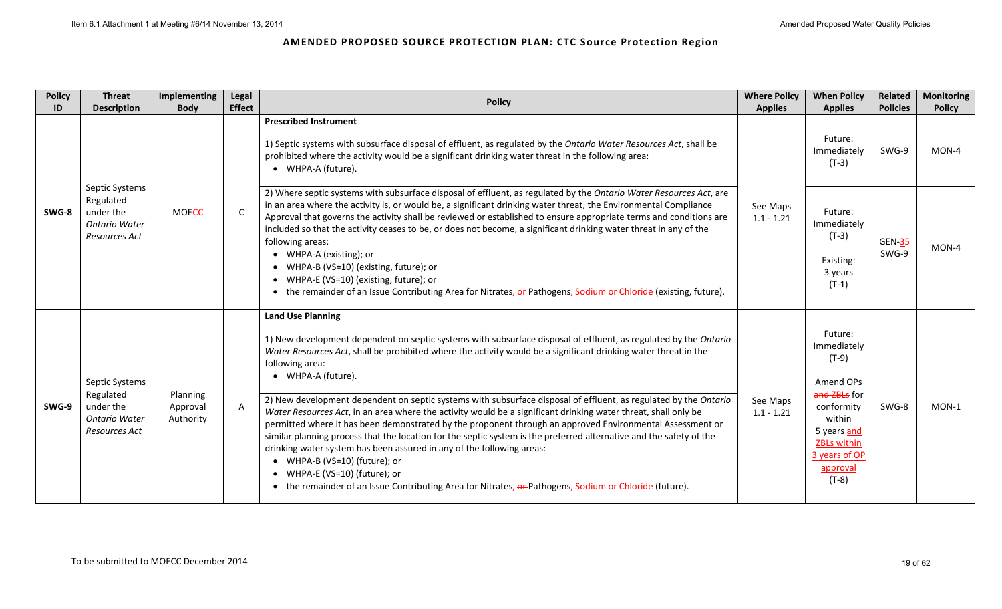| <b>Policy</b> | <b>Threat</b>                                                                     | Implementing                      | Legal         | <b>Policy</b>                                                                                                                                                                                                                                                                                                                                                                                                                                                                                                                                                                                                                                                                                                                                                                                                                                                                                                                                                                                                                           | <b>Where Policy</b>      | <b>When Policy</b>                                                                                                                                                  | Related                                                     | <b>Monitoring</b> |
|---------------|-----------------------------------------------------------------------------------|-----------------------------------|---------------|-----------------------------------------------------------------------------------------------------------------------------------------------------------------------------------------------------------------------------------------------------------------------------------------------------------------------------------------------------------------------------------------------------------------------------------------------------------------------------------------------------------------------------------------------------------------------------------------------------------------------------------------------------------------------------------------------------------------------------------------------------------------------------------------------------------------------------------------------------------------------------------------------------------------------------------------------------------------------------------------------------------------------------------------|--------------------------|---------------------------------------------------------------------------------------------------------------------------------------------------------------------|-------------------------------------------------------------|-------------------|
| ID            | <b>Description</b>                                                                | <b>Body</b>                       | <b>Effect</b> |                                                                                                                                                                                                                                                                                                                                                                                                                                                                                                                                                                                                                                                                                                                                                                                                                                                                                                                                                                                                                                         | <b>Applies</b>           | <b>Applies</b>                                                                                                                                                      |                                                             | <b>Policy</b>     |
|               |                                                                                   |                                   |               | <b>Prescribed Instrument</b><br>1) Septic systems with subsurface disposal of effluent, as regulated by the Ontario Water Resources Act, shall be<br>prohibited where the activity would be a significant drinking water threat in the following area:<br>• WHPA-A (future).                                                                                                                                                                                                                                                                                                                                                                                                                                                                                                                                                                                                                                                                                                                                                            |                          | Future:<br>Immediately<br>$(T-3)$                                                                                                                                   | <b>Policies</b><br>SWG-9<br><b>GEN-35</b><br>SWG-9<br>SWG-8 | MON-4             |
| SWG-8         | Septic Systems<br>Regulated<br>under the<br><b>Ontario Water</b><br>Resources Act | <b>MOECC</b>                      | $\mathsf{C}$  | 2) Where septic systems with subsurface disposal of effluent, as regulated by the Ontario Water Resources Act, are<br>in an area where the activity is, or would be, a significant drinking water threat, the Environmental Compliance<br>Approval that governs the activity shall be reviewed or established to ensure appropriate terms and conditions are<br>included so that the activity ceases to be, or does not become, a significant drinking water threat in any of the<br>following areas:<br>• WHPA-A (existing); or<br>WHPA-B (VS=10) (existing, future); or<br>• WHPA-E (VS=10) (existing, future); or<br>• the remainder of an Issue Contributing Area for Nitrates, or Pathogens, Sodium or Chloride (existing, future).                                                                                                                                                                                                                                                                                                | See Maps<br>$1.1 - 1.21$ | Future:<br>Immediately<br>$(T-3)$<br>Existing:<br>3 years<br>$(T-1)$                                                                                                |                                                             | MON-4             |
| SWG-9         | Septic Systems<br>Regulated<br>under the<br><b>Ontario Water</b><br>Resources Act | Planning<br>Approval<br>Authority | $\mathsf{A}$  | <b>Land Use Planning</b><br>1) New development dependent on septic systems with subsurface disposal of effluent, as regulated by the Ontario<br>Water Resources Act, shall be prohibited where the activity would be a significant drinking water threat in the<br>following area:<br>• WHPA-A (future).<br>2) New development dependent on septic systems with subsurface disposal of effluent, as regulated by the Ontario<br>Water Resources Act, in an area where the activity would be a significant drinking water threat, shall only be<br>permitted where it has been demonstrated by the proponent through an approved Environmental Assessment or<br>similar planning process that the location for the septic system is the preferred alternative and the safety of the<br>drinking water system has been assured in any of the following areas:<br>• WHPA-B (VS=10) (future); or<br>• WHPA-E (VS=10) (future); or<br>• the remainder of an Issue Contributing Area for Nitrates, er-Pathogens, Sodium or Chloride (future). | See Maps<br>$1.1 - 1.21$ | Future:<br>Immediately<br>$(T-9)$<br>Amend OPs<br>and ZBLs for<br>conformity<br>within<br>5 years and<br><b>ZBLs within</b><br>3 years of OP<br>approval<br>$(T-8)$ |                                                             | MON-1             |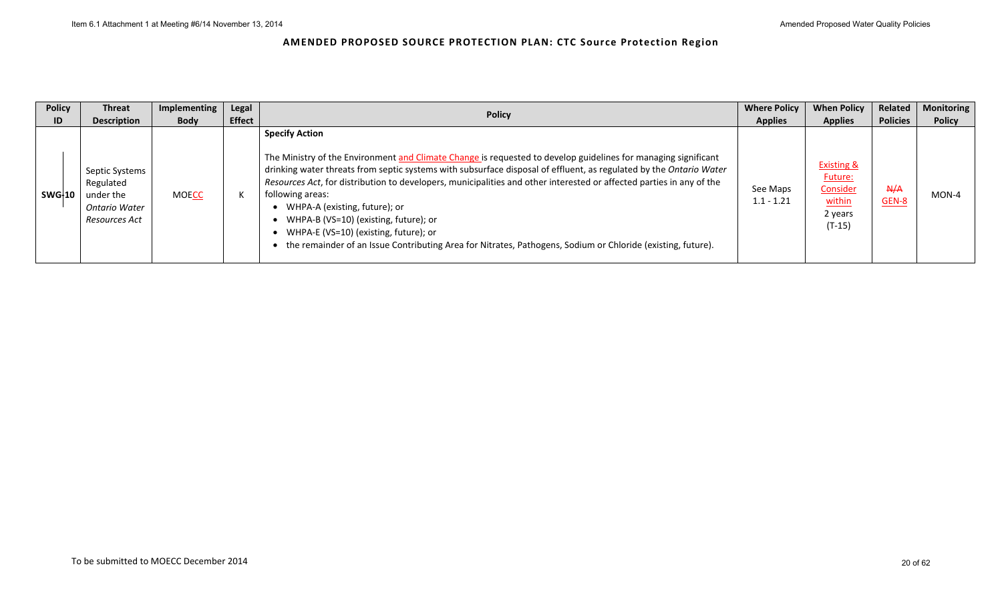| <b>Policy</b> | <b>Threat</b>                                                              | Implementing | Legal         | <b>Policy</b>                                                                                                                                                                                                                                                                                                                                                                                                                                                                                                                                                                                                                               | <b>Where Policy</b>      | <b>When Policy</b>                                                            | Related             | <b>Monitoring</b> |
|---------------|----------------------------------------------------------------------------|--------------|---------------|---------------------------------------------------------------------------------------------------------------------------------------------------------------------------------------------------------------------------------------------------------------------------------------------------------------------------------------------------------------------------------------------------------------------------------------------------------------------------------------------------------------------------------------------------------------------------------------------------------------------------------------------|--------------------------|-------------------------------------------------------------------------------|---------------------|-------------------|
| ID            | <b>Description</b>                                                         | <b>Body</b>  | <b>Effect</b> |                                                                                                                                                                                                                                                                                                                                                                                                                                                                                                                                                                                                                                             | <b>Applies</b>           | <b>Applies</b>                                                                | <b>Policies</b>     | <b>Policy</b>     |
| SWG-10        | Septic Systems<br>Regulated<br>under the<br>Ontario Water<br>Resources Act | <b>MOECC</b> | К             | <b>Specify Action</b><br>The Ministry of the Environment and Climate Change is requested to develop guidelines for managing significant<br>drinking water threats from septic systems with subsurface disposal of effluent, as regulated by the Ontario Water<br>Resources Act, for distribution to developers, municipalities and other interested or affected parties in any of the<br>following areas:<br>WHPA-A (existing, future); or<br>WHPA-B (VS=10) (existing, future); or<br>WHPA-E (VS=10) (existing, future); or<br>the remainder of an Issue Contributing Area for Nitrates, Pathogens, Sodium or Chloride (existing, future). | See Maps<br>$1.1 - 1.21$ | <b>Existing &amp;</b><br>Future:<br>Consider<br>within<br>2 years<br>$(T-15)$ | A/A<br><b>GEN-8</b> | $MON-4$           |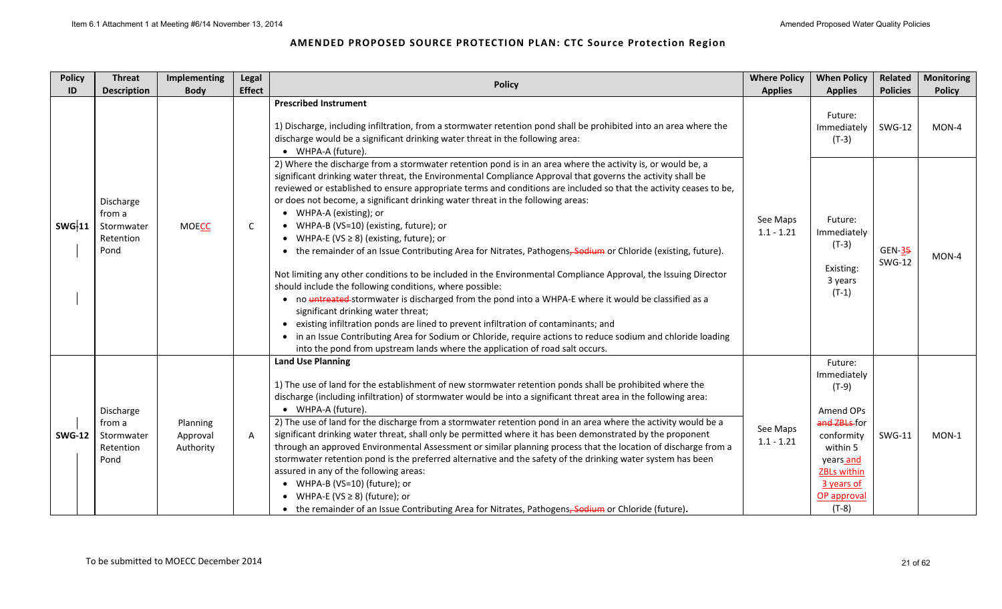| <b>Policy</b> | <b>Threat</b>                                          | Implementing                      | Legal         | <b>Policy</b>                                                                                                                                                                                                                                                                                                                                                                                                                                                                                                                                                                                                                                                                                                                                                                                                                                                                                                                                                                                                                                                                                                                                                                                                                                                                                      | <b>Where Policy</b>      | <b>When Policy</b>                                                                                                                                                  | Related                   | <b>Monitoring</b> |
|---------------|--------------------------------------------------------|-----------------------------------|---------------|----------------------------------------------------------------------------------------------------------------------------------------------------------------------------------------------------------------------------------------------------------------------------------------------------------------------------------------------------------------------------------------------------------------------------------------------------------------------------------------------------------------------------------------------------------------------------------------------------------------------------------------------------------------------------------------------------------------------------------------------------------------------------------------------------------------------------------------------------------------------------------------------------------------------------------------------------------------------------------------------------------------------------------------------------------------------------------------------------------------------------------------------------------------------------------------------------------------------------------------------------------------------------------------------------|--------------------------|---------------------------------------------------------------------------------------------------------------------------------------------------------------------|---------------------------|-------------------|
| ID            | <b>Description</b>                                     | <b>Body</b>                       | <b>Effect</b> |                                                                                                                                                                                                                                                                                                                                                                                                                                                                                                                                                                                                                                                                                                                                                                                                                                                                                                                                                                                                                                                                                                                                                                                                                                                                                                    | <b>Applies</b>           | <b>Applies</b>                                                                                                                                                      | <b>Policies</b>           | <b>Policy</b>     |
|               |                                                        |                                   |               | <b>Prescribed Instrument</b><br>1) Discharge, including infiltration, from a stormwater retention pond shall be prohibited into an area where the<br>discharge would be a significant drinking water threat in the following area:<br>• WHPA-A (future).                                                                                                                                                                                                                                                                                                                                                                                                                                                                                                                                                                                                                                                                                                                                                                                                                                                                                                                                                                                                                                           |                          | Future:<br>Immediately<br>$(T-3)$                                                                                                                                   | <b>SWG-12</b>             | MON-4             |
| <b>SWG-11</b> | Discharge<br>from a<br>Stormwater<br>Retention<br>Pond | <b>MOECC</b>                      | $\mathsf{C}$  | 2) Where the discharge from a stormwater retention pond is in an area where the activity is, or would be, a<br>significant drinking water threat, the Environmental Compliance Approval that governs the activity shall be<br>reviewed or established to ensure appropriate terms and conditions are included so that the activity ceases to be,<br>or does not become, a significant drinking water threat in the following areas:<br>• WHPA-A (existing); or<br>• WHPA-B (VS=10) (existing, future); or<br>• WHPA-E (VS $\geq$ 8) (existing, future); or<br>• the remainder of an Issue Contributing Area for Nitrates, Pathogens, Sodium or Chloride (existing, future).<br>Not limiting any other conditions to be included in the Environmental Compliance Approval, the Issuing Director<br>should include the following conditions, where possible:<br>• no untreated-stormwater is discharged from the pond into a WHPA-E where it would be classified as a<br>significant drinking water threat;<br>• existing infiltration ponds are lined to prevent infiltration of contaminants; and<br>• in an Issue Contributing Area for Sodium or Chloride, require actions to reduce sodium and chloride loading<br>into the pond from upstream lands where the application of road salt occurs. | See Maps<br>$1.1 - 1.21$ | Future:<br>Immediately<br>$(T-3)$<br>Existing:<br>3 years<br>$(T-1)$                                                                                                | $GEN-35$<br><b>SWG-12</b> | MON-4             |
| <b>SWG-12</b> | Discharge<br>from a<br>Stormwater<br>Retention<br>Pond | Planning<br>Approval<br>Authority | $\mathsf{A}$  | <b>Land Use Planning</b><br>1) The use of land for the establishment of new stormwater retention ponds shall be prohibited where the<br>discharge (including infiltration) of stormwater would be into a significant threat area in the following area:<br>• WHPA-A (future).<br>2) The use of land for the discharge from a stormwater retention pond in an area where the activity would be a<br>significant drinking water threat, shall only be permitted where it has been demonstrated by the proponent<br>through an approved Environmental Assessment or similar planning process that the location of discharge from a<br>stormwater retention pond is the preferred alternative and the safety of the drinking water system has been<br>assured in any of the following areas:<br>• WHPA-B (VS=10) (future); or<br>• WHPA-E (VS $\geq$ 8) (future); or<br>• the remainder of an Issue Contributing Area for Nitrates, Pathogens, Sodium or Chloride (future).                                                                                                                                                                                                                                                                                                                            | See Maps<br>$1.1 - 1.21$ | Future:<br>Immediately<br>$(T-9)$<br>Amend OPs<br>and ZBLs-for<br>conformity<br>within 5<br>years and<br><b>ZBLs within</b><br>3 years of<br>OP approval<br>$(T-8)$ | <b>SWG-11</b>             | $MON-1$           |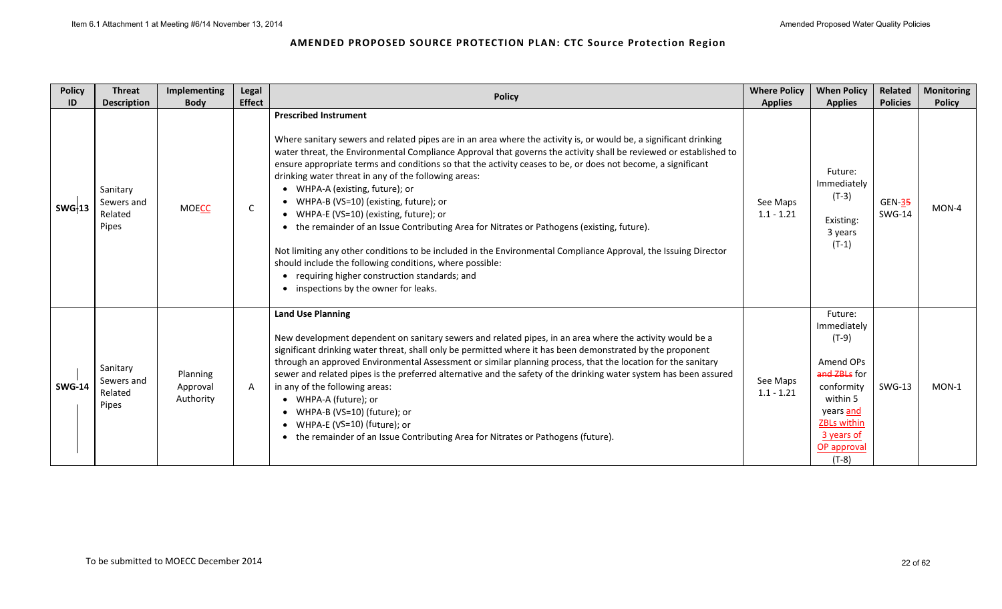| <b>Policy</b><br>ID | <b>Threat</b><br><b>Description</b>        | Implementing<br><b>Body</b>       | Legal<br><b>Effect</b> | <b>Policy</b>                                                                                                                                                                                                                                                                                                                                                                                                                                                                                                                                                                                                                                                                                                                                                                                                                                                                                                                                    | <b>Where Policy</b><br><b>Applies</b> | <b>When Policy</b><br><b>Applies</b>                                                                                                                                | Related<br><b>Policies</b> | <b>Monitoring</b><br><b>Policy</b> |
|---------------------|--------------------------------------------|-----------------------------------|------------------------|--------------------------------------------------------------------------------------------------------------------------------------------------------------------------------------------------------------------------------------------------------------------------------------------------------------------------------------------------------------------------------------------------------------------------------------------------------------------------------------------------------------------------------------------------------------------------------------------------------------------------------------------------------------------------------------------------------------------------------------------------------------------------------------------------------------------------------------------------------------------------------------------------------------------------------------------------|---------------------------------------|---------------------------------------------------------------------------------------------------------------------------------------------------------------------|----------------------------|------------------------------------|
| SWG <sub>13</sub>   | Sanitary<br>Sewers and<br>Related<br>Pipes | <b>MOECC</b>                      | C                      | <b>Prescribed Instrument</b><br>Where sanitary sewers and related pipes are in an area where the activity is, or would be, a significant drinking<br>water threat, the Environmental Compliance Approval that governs the activity shall be reviewed or established to<br>ensure appropriate terms and conditions so that the activity ceases to be, or does not become, a significant<br>drinking water threat in any of the following areas:<br>• WHPA-A (existing, future); or<br>• WHPA-B (VS=10) (existing, future); or<br>• WHPA-E (VS=10) (existing, future); or<br>• the remainder of an Issue Contributing Area for Nitrates or Pathogens (existing, future).<br>Not limiting any other conditions to be included in the Environmental Compliance Approval, the Issuing Director<br>should include the following conditions, where possible:<br>• requiring higher construction standards; and<br>• inspections by the owner for leaks. | See Maps<br>$1.1 - 1.21$              | Future:<br>Immediately<br>$(T-3)$<br>Existing:<br>3 years<br>$(T-1)$                                                                                                | $GEN-35$<br><b>SWG-14</b>  | MON-4                              |
| <b>SWG-14</b>       | Sanitary<br>Sewers and<br>Related<br>Pipes | Planning<br>Approval<br>Authority | $\mathsf{A}$           | <b>Land Use Planning</b><br>New development dependent on sanitary sewers and related pipes, in an area where the activity would be a<br>significant drinking water threat, shall only be permitted where it has been demonstrated by the proponent<br>through an approved Environmental Assessment or similar planning process, that the location for the sanitary<br>sewer and related pipes is the preferred alternative and the safety of the drinking water system has been assured<br>in any of the following areas:<br>• WHPA-A (future); or<br>• WHPA-B (VS=10) (future); or<br>WHPA-E (VS=10) (future); or<br>• the remainder of an Issue Contributing Area for Nitrates or Pathogens (future).                                                                                                                                                                                                                                          | See Maps<br>$1.1 - 1.21$              | Future:<br>Immediately<br>$(T-9)$<br>Amend OPs<br>and ZBLs for<br>conformity<br>within 5<br>years and<br><b>ZBLs within</b><br>3 years of<br>OP approval<br>$(T-8)$ | <b>SWG-13</b>              | $MON-1$                            |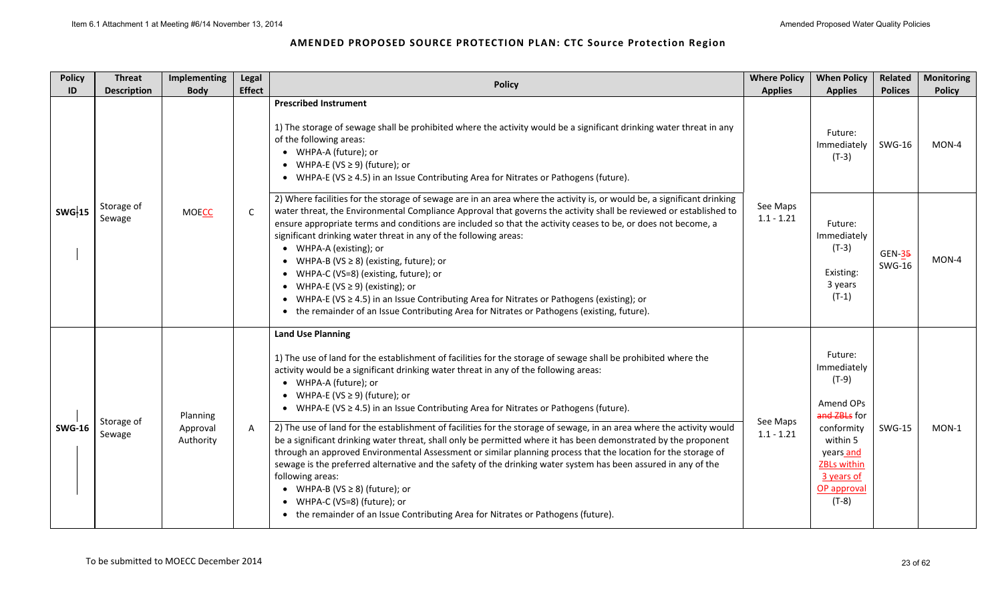| <b>Policy</b><br>ID | <b>Threat</b><br><b>Description</b> | Implementing<br><b>Body</b>       | Legal<br><b>Effect</b> | <b>Policy</b>                                                                                                                                                                                                                                                                                                                                                                                                                                                                                                                                                                                                                                                                                                                                                                                                                                                                                                                                                                                                                                                   | <b>Where Policy</b><br><b>Applies</b> | <b>When Policy</b><br><b>Applies</b>                                                                                                                              | Related<br><b>Polices</b>      | <b>Monitoring</b><br><b>Policy</b> |
|---------------------|-------------------------------------|-----------------------------------|------------------------|-----------------------------------------------------------------------------------------------------------------------------------------------------------------------------------------------------------------------------------------------------------------------------------------------------------------------------------------------------------------------------------------------------------------------------------------------------------------------------------------------------------------------------------------------------------------------------------------------------------------------------------------------------------------------------------------------------------------------------------------------------------------------------------------------------------------------------------------------------------------------------------------------------------------------------------------------------------------------------------------------------------------------------------------------------------------|---------------------------------------|-------------------------------------------------------------------------------------------------------------------------------------------------------------------|--------------------------------|------------------------------------|
|                     |                                     |                                   |                        | <b>Prescribed Instrument</b><br>1) The storage of sewage shall be prohibited where the activity would be a significant drinking water threat in any<br>of the following areas:<br>• WHPA-A (future); or<br>• WHPA-E (VS $\geq$ 9) (future); or<br>• WHPA-E (VS $\geq$ 4.5) in an Issue Contributing Area for Nitrates or Pathogens (future).                                                                                                                                                                                                                                                                                                                                                                                                                                                                                                                                                                                                                                                                                                                    |                                       | Future:<br>Immediately<br>$(T-3)$                                                                                                                                 | <b>SWG-16</b>                  | MON-4                              |
| <b>SWG-15</b>       | Storage of<br>Sewage                | <b>MOECC</b>                      | C.                     | 2) Where facilities for the storage of sewage are in an area where the activity is, or would be, a significant drinking<br>water threat, the Environmental Compliance Approval that governs the activity shall be reviewed or established to<br>ensure appropriate terms and conditions are included so that the activity ceases to be, or does not become, a<br>significant drinking water threat in any of the following areas:<br>• WHPA-A (existing); or<br>• WHPA-B (VS $\geq$ 8) (existing, future); or<br>• WHPA-C (VS=8) (existing, future); or<br>• WHPA-E (VS $\geq$ 9) (existing); or<br>• WHPA-E (VS $\geq$ 4.5) in an Issue Contributing Area for Nitrates or Pathogens (existing); or<br>• the remainder of an Issue Contributing Area for Nitrates or Pathogens (existing, future).                                                                                                                                                                                                                                                              | See Maps<br>$1.1 - 1.21$              | Future:<br>Immediately<br>$(T-3)$<br>Existing:<br>3 years<br>$(T-1)$                                                                                              | <b>GEN-35</b><br><b>SWG-16</b> | MON-4                              |
| <b>SWG-16</b>       | Storage of<br>Sewage                | Planning<br>Approval<br>Authority | $\mathsf{A}$           | <b>Land Use Planning</b><br>1) The use of land for the establishment of facilities for the storage of sewage shall be prohibited where the<br>activity would be a significant drinking water threat in any of the following areas:<br>• WHPA-A (future); or<br>• WHPA-E (VS $\geq$ 9) (future); or<br>• WHPA-E (VS $\geq$ 4.5) in an Issue Contributing Area for Nitrates or Pathogens (future).<br>2) The use of land for the establishment of facilities for the storage of sewage, in an area where the activity would<br>be a significant drinking water threat, shall only be permitted where it has been demonstrated by the proponent<br>through an approved Environmental Assessment or similar planning process that the location for the storage of<br>sewage is the preferred alternative and the safety of the drinking water system has been assured in any of the<br>following areas:<br>• WHPA-B (VS $\geq$ 8) (future); or<br>• WHPA-C (VS=8) (future); or<br>• the remainder of an Issue Contributing Area for Nitrates or Pathogens (future). | See Maps<br>$1.1 - 1.21$              | Future:<br>Immediately<br>$(T-9)$<br>Amend OPs<br>and ZBLs for<br>conformity<br>within 5<br>years and<br><b>ZBLs within</b><br>3 years of<br>OP approval<br>(T-8) | <b>SWG-15</b>                  | MON-1                              |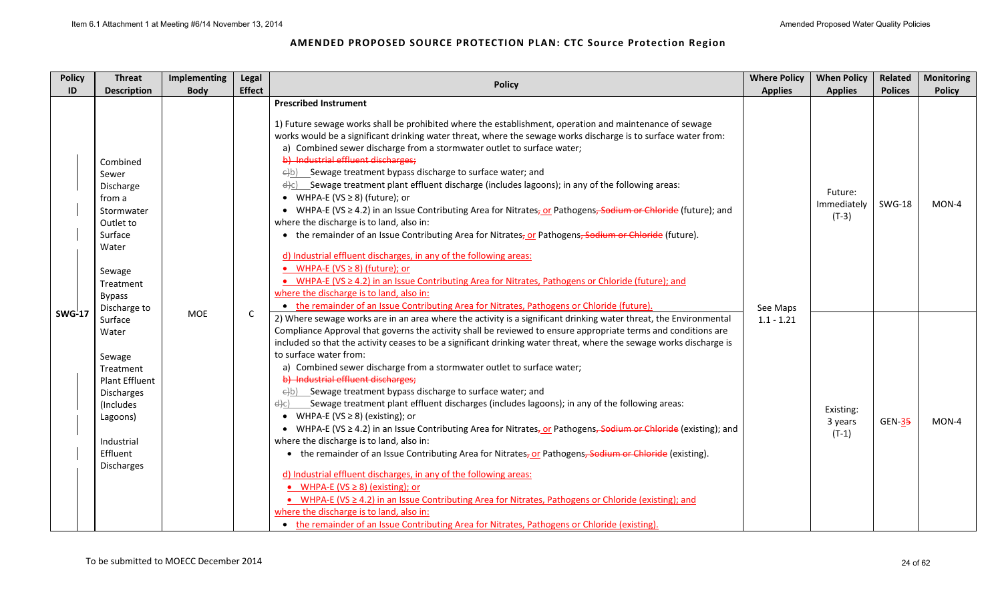| <b>Policy</b><br>ID | <b>Threat</b><br><b>Description</b>                                                                                                                    | Implementing<br><b>Body</b> | Legal<br><b>Effect</b> | <b>Policy</b>                                                                                                                                                                                                                                                                                                                                                                                                                                                                                                                                                                                                                                                                                                                                                                                                                                                                                                                                                                                                                                                                                                                                                                                                                                                                                                                                                                                                      | <b>Where Policy</b><br><b>Applies</b> | <b>When Policy</b><br><b>Applies</b> | Related<br><b>Polices</b> | <b>Monitoring</b><br><b>Policy</b> |
|---------------------|--------------------------------------------------------------------------------------------------------------------------------------------------------|-----------------------------|------------------------|--------------------------------------------------------------------------------------------------------------------------------------------------------------------------------------------------------------------------------------------------------------------------------------------------------------------------------------------------------------------------------------------------------------------------------------------------------------------------------------------------------------------------------------------------------------------------------------------------------------------------------------------------------------------------------------------------------------------------------------------------------------------------------------------------------------------------------------------------------------------------------------------------------------------------------------------------------------------------------------------------------------------------------------------------------------------------------------------------------------------------------------------------------------------------------------------------------------------------------------------------------------------------------------------------------------------------------------------------------------------------------------------------------------------|---------------------------------------|--------------------------------------|---------------------------|------------------------------------|
|                     | Combined<br>Sewer<br>Discharge<br>from a<br>Stormwater<br>Outlet to<br>Surface<br>Water<br>Sewage<br>Treatment<br><b>Bypass</b><br>Discharge to        |                             |                        | <b>Prescribed Instrument</b><br>1) Future sewage works shall be prohibited where the establishment, operation and maintenance of sewage<br>works would be a significant drinking water threat, where the sewage works discharge is to surface water from:<br>a) Combined sewer discharge from a stormwater outlet to surface water;<br>b) Industrial effluent discharges;<br>$\Theta$ b) Sewage treatment bypass discharge to surface water; and<br>$\frac{d}{c}$ Sewage treatment plant effluent discharge (includes lagoons); in any of the following areas:<br>• WHPA-E (VS $\geq$ 8) (future); or<br>• WHPA-E (VS ≥ 4.2) in an Issue Contributing Area for Nitrates <sub>7</sub> or Pathogens <del>, Sodium or Chloride</del> (future); and<br>where the discharge is to land, also in:<br>• the remainder of an Issue Contributing Area for Nitrates, or Pathogens, Sodium or Chloride (future).<br>d) Industrial effluent discharges, in any of the following areas:<br>• WHPA-E (VS $\geq$ 8) (future); or<br>• WHPA-E (VS $\geq$ 4.2) in an Issue Contributing Area for Nitrates, Pathogens or Chloride (future); and<br>where the discharge is to land, also in:<br>• the remainder of an Issue Contributing Area for Nitrates, Pathogens or Chloride (future).                                                                                                                                           | See Maps                              | Future:<br>Immediately<br>$(T-3)$    | <b>SWG-18</b>             | MON-4                              |
| <b>SWG-17</b>       | Surface<br>Water<br>Sewage<br>Treatment<br><b>Plant Effluent</b><br>Discharges<br>(Includes<br>Lagoons)<br>Industrial<br>Effluent<br><b>Discharges</b> | <b>MOE</b>                  | $\mathsf{C}$           | 2) Where sewage works are in an area where the activity is a significant drinking water threat, the Environmental<br>Compliance Approval that governs the activity shall be reviewed to ensure appropriate terms and conditions are<br>included so that the activity ceases to be a significant drinking water threat, where the sewage works discharge is<br>to surface water from:<br>a) Combined sewer discharge from a stormwater outlet to surface water;<br>b) Industrial effluent discharges;<br>$\Theta$ b) Sewage treatment bypass discharge to surface water; and<br>_Sewage treatment plant effluent discharges (includes lagoons); in any of the following areas:<br>el)c)<br>• WHPA-E (VS $\geq$ 8) (existing); or<br>• WHPA-E (VS $\geq$ 4.2) in an Issue Contributing Area for Nitrates <sub>z</sub> or Pathogens <del>, Sodium or Chloride</del> (existing); and<br>where the discharge is to land, also in:<br>• the remainder of an Issue Contributing Area for Nitrates, or Pathogens, Sodium or Chloride (existing).<br>d) Industrial effluent discharges, in any of the following areas:<br>• WHPA-E ( $VS \ge 8$ ) (existing); or<br>• WHPA-E (VS $\geq$ 4.2) in an Issue Contributing Area for Nitrates, Pathogens or Chloride (existing); and<br>where the discharge is to land, also in:<br>• the remainder of an Issue Contributing Area for Nitrates, Pathogens or Chloride (existing). | $1.1 - 1.21$                          | Existing:<br>3 years<br>$(T-1)$      | <b>GEN-35</b>             | MON-4                              |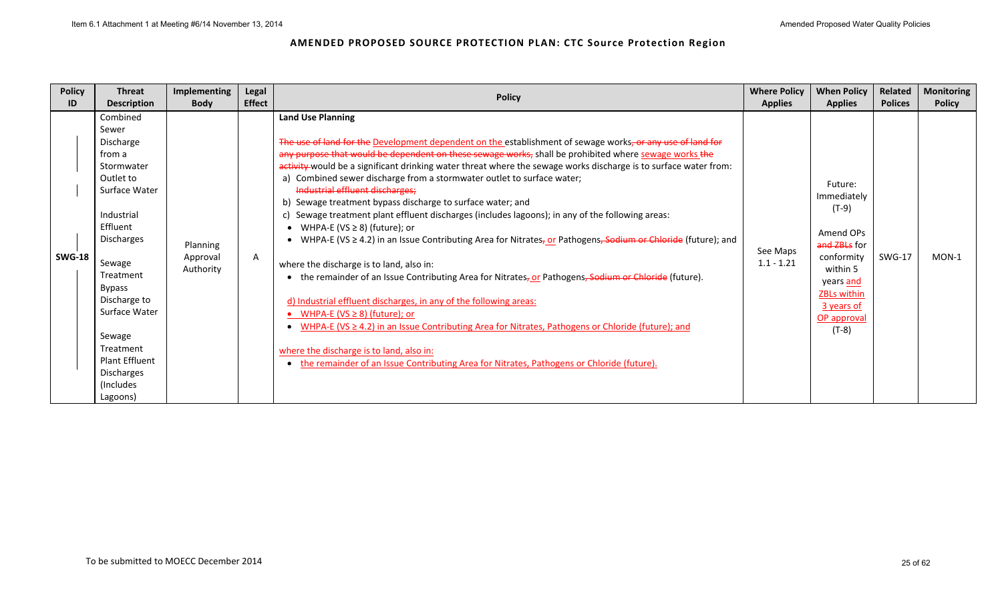| <b>Policy</b> | <b>Threat</b><br>Implementing                                                                                                                                                                                                                                                                                                                              | <b>Legal</b><br><b>Policy</b>                                                                                                                                                                                                                                                                                                                                                                                                                                                                                                                                                                                                                                                                                                                                                                                                                                                                                                                                                                                                                                                                                                                                                                                                                                                                                                                      | <b>Where Policy</b>                        | <b>When Policy</b>                                                                                                                                                                    | Related                         | Monitoring               |
|---------------|------------------------------------------------------------------------------------------------------------------------------------------------------------------------------------------------------------------------------------------------------------------------------------------------------------------------------------------------------------|----------------------------------------------------------------------------------------------------------------------------------------------------------------------------------------------------------------------------------------------------------------------------------------------------------------------------------------------------------------------------------------------------------------------------------------------------------------------------------------------------------------------------------------------------------------------------------------------------------------------------------------------------------------------------------------------------------------------------------------------------------------------------------------------------------------------------------------------------------------------------------------------------------------------------------------------------------------------------------------------------------------------------------------------------------------------------------------------------------------------------------------------------------------------------------------------------------------------------------------------------------------------------------------------------------------------------------------------------|--------------------------------------------|---------------------------------------------------------------------------------------------------------------------------------------------------------------------------------------|---------------------------------|--------------------------|
| ID            |                                                                                                                                                                                                                                                                                                                                                            |                                                                                                                                                                                                                                                                                                                                                                                                                                                                                                                                                                                                                                                                                                                                                                                                                                                                                                                                                                                                                                                                                                                                                                                                                                                                                                                                                    |                                            |                                                                                                                                                                                       |                                 |                          |
| <b>SWG-18</b> | <b>Description</b><br><b>Body</b><br>Combined<br>Sewer<br>Discharge<br>from a<br>Stormwater<br>Outlet to<br>Surface Water<br>Industrial<br>Effluent<br>Discharges<br>Planning<br>Approval<br>Sewage<br>Authority<br>Treatment<br><b>Bypass</b><br>Discharge to<br>Surface Water<br>Sewage<br>Treatment<br><b>Plant Effluent</b><br>Discharges<br>(Includes | <b>Effect</b><br><b>Land Use Planning</b><br>The use of land for the Development dependent on the establishment of sewage works, or any use of land for<br>any purpose that would be dependent on these sewage works, shall be prohibited where sewage works the<br>activity-would be a significant drinking water threat where the sewage works discharge is to surface water from:<br>a) Combined sewer discharge from a stormwater outlet to surface water;<br>Industrial effluent discharges;<br>b) Sewage treatment bypass discharge to surface water; and<br>Sewage treatment plant effluent discharges (includes lagoons); in any of the following areas:<br>C)<br>WHPA-E (VS $\geq$ 8) (future); or<br>WHPA-E (VS ≥ 4.2) in an Issue Contributing Area for Nitrates, or Pathogens, Sodium or Chloride (future); and<br>A<br>where the discharge is to land, also in:<br>the remainder of an Issue Contributing Area for Nitrates, or Pathogens, Sodium or Chloride (future).<br>d) Industrial effluent discharges, in any of the following areas:<br>WHPA-E (VS $\geq$ 8) (future); or<br>WHPA-E ( $VS \ge 4.2$ ) in an Issue Contributing Area for Nitrates, Pathogens or Chloride (future); and<br>where the discharge is to land, also in:<br>the remainder of an Issue Contributing Area for Nitrates, Pathogens or Chloride (future). | <b>Applies</b><br>See Maps<br>$1.1 - 1.21$ | <b>Applies</b><br>Future:<br>Immediately<br>$(T-9)$<br>Amend OPs<br>and ZBLs for<br>conformity<br>within 5<br>years and<br><b>ZBLs within</b><br>3 years of<br>OP approval<br>$(T-8)$ | <b>Polices</b><br><b>SWG-17</b> | <b>Policy</b><br>$MON-1$ |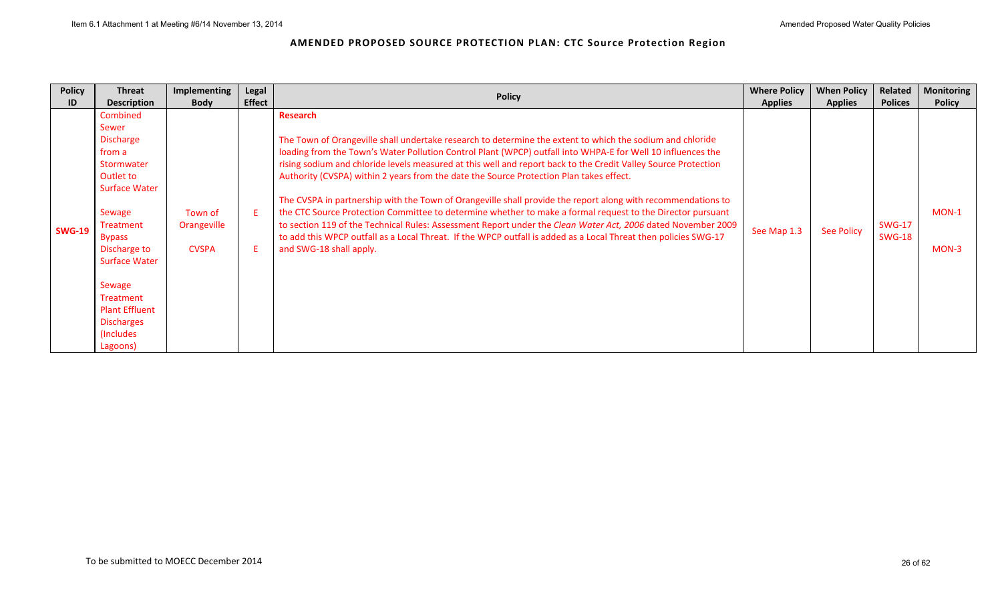| ID<br>Sewer                                                  | <b>Body</b><br><b>Description</b><br>Combined                                                                                                                                                                                               | <b>Effect</b> | <b>Policy</b>                                                                                                                                                                                                                                                                                                                                                                                                                                                                                                                                                                                                                                                                                                                                                                                                                                                                                                                                 |                |                   |                                |                    |
|--------------------------------------------------------------|---------------------------------------------------------------------------------------------------------------------------------------------------------------------------------------------------------------------------------------------|---------------|-----------------------------------------------------------------------------------------------------------------------------------------------------------------------------------------------------------------------------------------------------------------------------------------------------------------------------------------------------------------------------------------------------------------------------------------------------------------------------------------------------------------------------------------------------------------------------------------------------------------------------------------------------------------------------------------------------------------------------------------------------------------------------------------------------------------------------------------------------------------------------------------------------------------------------------------------|----------------|-------------------|--------------------------------|--------------------|
|                                                              |                                                                                                                                                                                                                                             |               |                                                                                                                                                                                                                                                                                                                                                                                                                                                                                                                                                                                                                                                                                                                                                                                                                                                                                                                                               | <b>Applies</b> | <b>Applies</b>    | <b>Polices</b>                 | <b>Policy</b>      |
| from a<br>Sewage<br><b>SWG-19</b><br><b>Bypass</b><br>Sewage | <b>Discharge</b><br>Stormwater<br>Outlet to<br><b>Surface Water</b><br>Town of<br>Orangeville<br>Treatment<br>Discharge to<br><b>CVSPA</b><br><b>Surface Water</b><br>Treatment<br><b>Plant Effluent</b><br><b>Discharges</b><br>(Includes) |               | Research<br>The Town of Orangeville shall undertake research to determine the extent to which the sodium and chloride<br>loading from the Town's Water Pollution Control Plant (WPCP) outfall into WHPA-E for Well 10 influences the<br>rising sodium and chloride levels measured at this well and report back to the Credit Valley Source Protection<br>Authority (CVSPA) within 2 years from the date the Source Protection Plan takes effect.<br>The CVSPA in partnership with the Town of Orangeville shall provide the report along with recommendations to<br>the CTC Source Protection Committee to determine whether to make a formal request to the Director pursuant<br>to section 119 of the Technical Rules: Assessment Report under the Clean Water Act, 2006 dated November 2009<br>to add this WPCP outfall as a Local Threat. If the WPCP outfall is added as a Local Threat then policies SWG-17<br>and SWG-18 shall apply. | See Map 1.3    | <b>See Policy</b> | <b>SWG-17</b><br><b>SWG-18</b> | $MON-1$<br>$MON-3$ |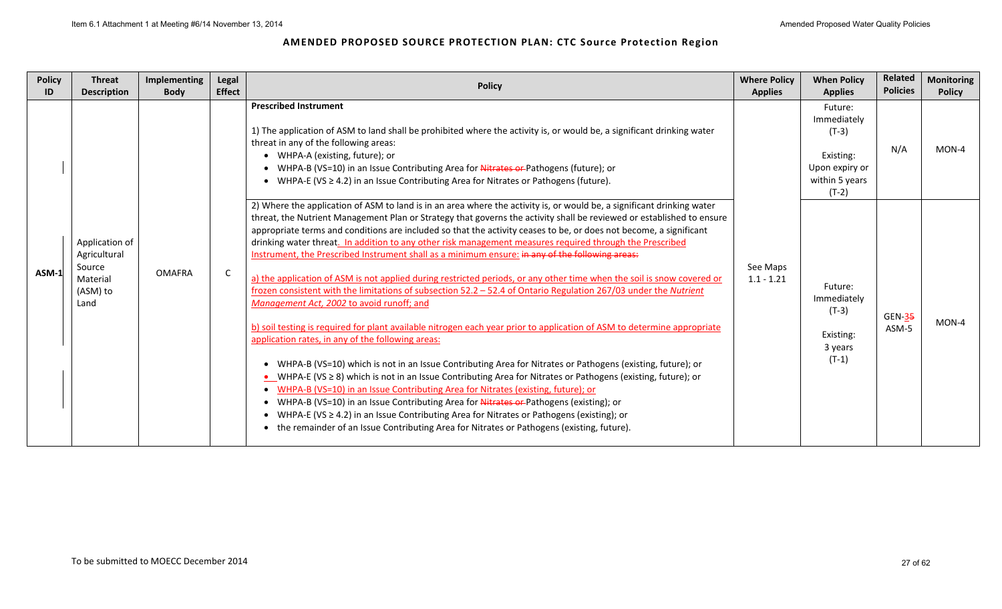| <b>Policy</b><br>ID | <b>Threat</b><br><b>Description</b>                                      | Implementing<br><b>Body</b> | Legal<br><b>Effect</b> | <b>Policy</b>                                                                                                                                                                                                                                                                                                                                                                                                                                                                                                                                                                                                                                                                                                                                                                                                                                                                                                                                                                                                                                                                                                                                                                                                                                                                                                                                                                                                                                                                                                                                                                                                                                                                       | <b>Where Policy</b><br><b>Applies</b> | <b>When Policy</b><br><b>Applies</b>                                                          | Related<br><b>Policies</b> | <b>Monitoring</b><br><b>Policy</b> |
|---------------------|--------------------------------------------------------------------------|-----------------------------|------------------------|-------------------------------------------------------------------------------------------------------------------------------------------------------------------------------------------------------------------------------------------------------------------------------------------------------------------------------------------------------------------------------------------------------------------------------------------------------------------------------------------------------------------------------------------------------------------------------------------------------------------------------------------------------------------------------------------------------------------------------------------------------------------------------------------------------------------------------------------------------------------------------------------------------------------------------------------------------------------------------------------------------------------------------------------------------------------------------------------------------------------------------------------------------------------------------------------------------------------------------------------------------------------------------------------------------------------------------------------------------------------------------------------------------------------------------------------------------------------------------------------------------------------------------------------------------------------------------------------------------------------------------------------------------------------------------------|---------------------------------------|-----------------------------------------------------------------------------------------------|----------------------------|------------------------------------|
|                     |                                                                          |                             |                        | <b>Prescribed Instrument</b><br>1) The application of ASM to land shall be prohibited where the activity is, or would be, a significant drinking water<br>threat in any of the following areas:<br>• WHPA-A (existing, future); or<br>• WHPA-B (VS=10) in an Issue Contributing Area for <b>Nitrates or</b> -Pathogens (future); or<br>• WHPA-E (VS $\geq$ 4.2) in an Issue Contributing Area for Nitrates or Pathogens (future).                                                                                                                                                                                                                                                                                                                                                                                                                                                                                                                                                                                                                                                                                                                                                                                                                                                                                                                                                                                                                                                                                                                                                                                                                                                   |                                       | Future:<br>Immediately<br>$(T-3)$<br>Existing:<br>Upon expiry or<br>within 5 years<br>$(T-2)$ | N/A                        | MON-4                              |
| $ASM-1$             | Application of<br>Agricultural<br>Source<br>Material<br>(ASM) to<br>Land | <b>OMAFRA</b>               | C                      | 2) Where the application of ASM to land is in an area where the activity is, or would be, a significant drinking water<br>threat, the Nutrient Management Plan or Strategy that governs the activity shall be reviewed or established to ensure<br>appropriate terms and conditions are included so that the activity ceases to be, or does not become, a significant<br>drinking water threat. In addition to any other risk management measures required through the Prescribed<br>Instrument, the Prescribed Instrument shall as a minimum ensure: in any of the following areas:<br>a) the application of ASM is not applied during restricted periods, or any other time when the soil is snow covered or<br>frozen consistent with the limitations of subsection 52.2 - 52.4 of Ontario Regulation 267/03 under the Nutrient<br>Management Act, 2002 to avoid runoff; and<br>b) soil testing is required for plant available nitrogen each year prior to application of ASM to determine appropriate<br>application rates, in any of the following areas:<br>• WHPA-B (VS=10) which is not in an Issue Contributing Area for Nitrates or Pathogens (existing, future); or<br>■ WHPA-E (VS ≥ 8) which is not in an Issue Contributing Area for Nitrates or Pathogens (existing, future); or<br>• WHPA-B (VS=10) in an Issue Contributing Area for Nitrates (existing, future); or<br>• WHPA-B (VS=10) in an Issue Contributing Area for Nitrates or Pathogens (existing); or<br>• WHPA-E (VS $\geq$ 4.2) in an Issue Contributing Area for Nitrates or Pathogens (existing); or<br>• the remainder of an Issue Contributing Area for Nitrates or Pathogens (existing, future). | See Maps<br>$1.1 - 1.21$              | Future:<br>Immediately<br>$(T-3)$<br>Existing:<br>3 years<br>$(T-1)$                          | <b>GEN-35</b><br>ASM-5     | MON-4                              |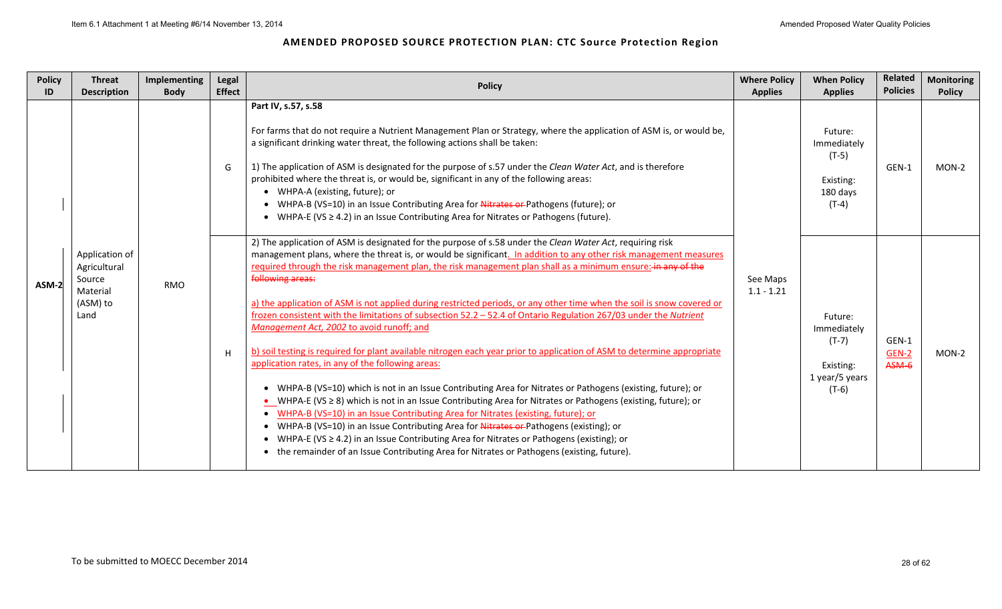| <b>Policy</b><br>ID | <b>Threat</b><br><b>Description</b>                                      | Implementing<br><b>Body</b> | Legal<br><b>Effect</b> | <b>Policy</b>                                                                                                                                                                                                                                                                                                                                                                                                                                                                                                                                                                                                                                                                                                                                                                                                                                                                                                                                                                                                                                                                                                                                                                                                                                                                                                                                                                                                                                                          | <b>Where Policy</b><br><b>Applies</b> | <b>When Policy</b><br><b>Applies</b>                                        | Related<br><b>Policies</b> | <b>Monitoring</b><br><b>Policy</b> |
|---------------------|--------------------------------------------------------------------------|-----------------------------|------------------------|------------------------------------------------------------------------------------------------------------------------------------------------------------------------------------------------------------------------------------------------------------------------------------------------------------------------------------------------------------------------------------------------------------------------------------------------------------------------------------------------------------------------------------------------------------------------------------------------------------------------------------------------------------------------------------------------------------------------------------------------------------------------------------------------------------------------------------------------------------------------------------------------------------------------------------------------------------------------------------------------------------------------------------------------------------------------------------------------------------------------------------------------------------------------------------------------------------------------------------------------------------------------------------------------------------------------------------------------------------------------------------------------------------------------------------------------------------------------|---------------------------------------|-----------------------------------------------------------------------------|----------------------------|------------------------------------|
|                     |                                                                          |                             | G                      | Part IV, s.57, s.58<br>For farms that do not require a Nutrient Management Plan or Strategy, where the application of ASM is, or would be,<br>a significant drinking water threat, the following actions shall be taken:<br>1) The application of ASM is designated for the purpose of s.57 under the Clean Water Act, and is therefore<br>prohibited where the threat is, or would be, significant in any of the following areas:<br>• WHPA-A (existing, future); or<br>• WHPA-B (VS=10) in an Issue Contributing Area for Nitrates or Pathogens (future); or<br>• WHPA-E (VS $\geq$ 4.2) in an Issue Contributing Area for Nitrates or Pathogens (future).                                                                                                                                                                                                                                                                                                                                                                                                                                                                                                                                                                                                                                                                                                                                                                                                           |                                       | Future:<br>Immediately<br>$(T-5)$<br>Existing:<br>180 days<br>$(T-4)$       | GEN-1                      | MON-2                              |
| ASM-2               | Application of<br>Agricultural<br>Source<br>Material<br>(ASM) to<br>Land | <b>RMO</b>                  | н                      | 2) The application of ASM is designated for the purpose of s.58 under the Clean Water Act, requiring risk<br>management plans, where the threat is, or would be significant. In addition to any other risk management measures<br>required through the risk management plan, the risk management plan shall as a minimum ensure: in any of the<br>following areas:<br>a) the application of ASM is not applied during restricted periods, or any other time when the soil is snow covered or<br>frozen consistent with the limitations of subsection 52.2 - 52.4 of Ontario Regulation 267/03 under the Nutrient<br>Management Act, 2002 to avoid runoff; and<br>b) soil testing is required for plant available nitrogen each year prior to application of ASM to determine appropriate<br>application rates, in any of the following areas:<br>• WHPA-B (VS=10) which is not in an Issue Contributing Area for Nitrates or Pathogens (existing, future); or<br>• WHPA-E (VS $\geq$ 8) which is not in an Issue Contributing Area for Nitrates or Pathogens (existing, future); or<br>• WHPA-B (VS=10) in an Issue Contributing Area for Nitrates (existing, future); or<br>• WHPA-B (VS=10) in an Issue Contributing Area for Nitrates or Pathogens (existing); or<br>• WHPA-E (VS $\geq$ 4.2) in an Issue Contributing Area for Nitrates or Pathogens (existing); or<br>• the remainder of an Issue Contributing Area for Nitrates or Pathogens (existing, future). | See Maps<br>$1.1 - 1.21$              | Future:<br>Immediately<br>$(T-7)$<br>Existing:<br>1 year/5 years<br>$(T-6)$ | GEN-1<br>GEN-2<br>ASM-6    | $MON-2$                            |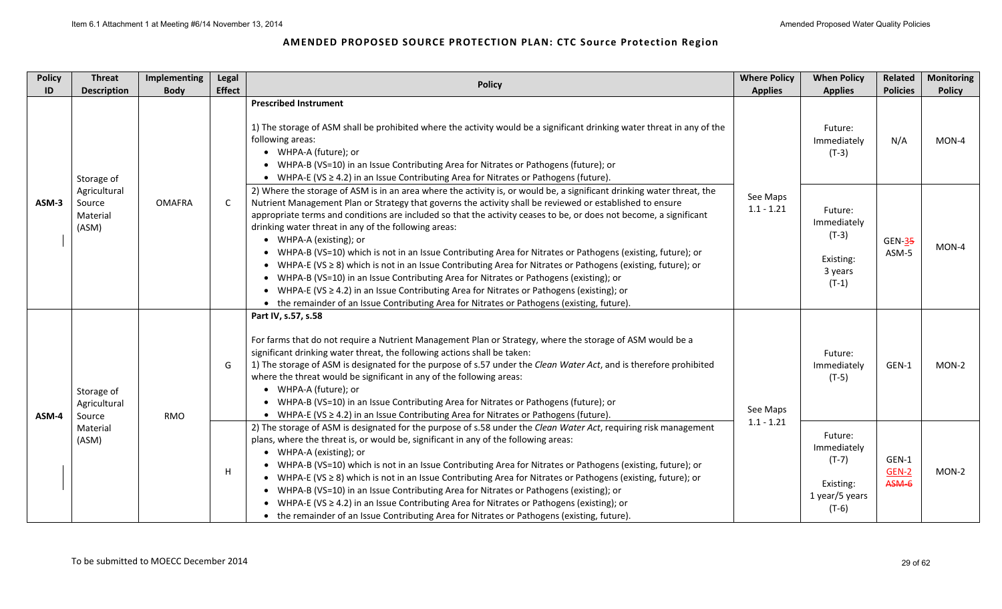| <b>Policy</b><br>ID | <b>Threat</b><br><b>Description</b>         | <b>Implementing</b><br><b>Body</b> | Legal<br><b>Effect</b> | <b>Policy</b>                                                                                                                                                                                                                                                                                                                                                                                                                                                                                                                                                                                                                                                                                                                                                                                                                                                                                                                                                              | <b>Where Policy</b><br><b>Applies</b> | <b>When Policy</b><br><b>Applies</b>                                        | Related<br><b>Policies</b>       | <b>Monitoring</b><br><b>Policy</b> |
|---------------------|---------------------------------------------|------------------------------------|------------------------|----------------------------------------------------------------------------------------------------------------------------------------------------------------------------------------------------------------------------------------------------------------------------------------------------------------------------------------------------------------------------------------------------------------------------------------------------------------------------------------------------------------------------------------------------------------------------------------------------------------------------------------------------------------------------------------------------------------------------------------------------------------------------------------------------------------------------------------------------------------------------------------------------------------------------------------------------------------------------|---------------------------------------|-----------------------------------------------------------------------------|----------------------------------|------------------------------------|
|                     | Storage of                                  |                                    |                        | <b>Prescribed Instrument</b><br>1) The storage of ASM shall be prohibited where the activity would be a significant drinking water threat in any of the<br>following areas:<br>• WHPA-A (future); or<br>• WHPA-B (VS=10) in an Issue Contributing Area for Nitrates or Pathogens (future); or<br>• WHPA-E (VS $\geq$ 4.2) in an Issue Contributing Area for Nitrates or Pathogens (future).                                                                                                                                                                                                                                                                                                                                                                                                                                                                                                                                                                                |                                       | Future:<br>Immediately<br>$(T-3)$                                           | N/A                              | MON-4                              |
| ASM-3               | Agricultural<br>Source<br>Material<br>(ASM) | <b>OMAFRA</b>                      | C                      | 2) Where the storage of ASM is in an area where the activity is, or would be, a significant drinking water threat, the<br>Nutrient Management Plan or Strategy that governs the activity shall be reviewed or established to ensure<br>appropriate terms and conditions are included so that the activity ceases to be, or does not become, a significant<br>drinking water threat in any of the following areas:<br>• WHPA-A (existing); or<br>• WHPA-B (VS=10) which is not in an Issue Contributing Area for Nitrates or Pathogens (existing, future); or<br>• WHPA-E (VS ≥ 8) which is not in an Issue Contributing Area for Nitrates or Pathogens (existing, future); or<br>• WHPA-B (VS=10) in an Issue Contributing Area for Nitrates or Pathogens (existing); or<br>• WHPA-E (VS $\geq$ 4.2) in an Issue Contributing Area for Nitrates or Pathogens (existing); or<br>• the remainder of an Issue Contributing Area for Nitrates or Pathogens (existing, future). | See Maps<br>$1.1 - 1.21$              | Future:<br>Immediately<br>$(T-3)$<br>Existing:<br>3 years<br>$(T-1)$        | <b>GEN-35</b><br>ASM-5           | MON-4                              |
| ASM-4               | Storage of<br>Agricultural<br>Source        | <b>RMO</b>                         | G                      | Part IV, s.57, s.58<br>For farms that do not require a Nutrient Management Plan or Strategy, where the storage of ASM would be a<br>significant drinking water threat, the following actions shall be taken:<br>1) The storage of ASM is designated for the purpose of s.57 under the Clean Water Act, and is therefore prohibited<br>where the threat would be significant in any of the following areas:<br>• WHPA-A (future); or<br>• WHPA-B (VS=10) in an Issue Contributing Area for Nitrates or Pathogens (future); or<br>• WHPA-E (VS $\geq$ 4.2) in an Issue Contributing Area for Nitrates or Pathogens (future).                                                                                                                                                                                                                                                                                                                                                 | See Maps                              | Future:<br>Immediately<br>$(T-5)$                                           | GEN-1                            | $MON-2$                            |
|                     | Material<br>(ASM)                           |                                    | H                      | 2) The storage of ASM is designated for the purpose of s.58 under the Clean Water Act, requiring risk management<br>plans, where the threat is, or would be, significant in any of the following areas:<br>• WHPA-A (existing); or<br>• WHPA-B (VS=10) which is not in an Issue Contributing Area for Nitrates or Pathogens (existing, future); or<br>• WHPA-E (VS $\geq$ 8) which is not in an Issue Contributing Area for Nitrates or Pathogens (existing, future); or<br>• WHPA-B (VS=10) in an Issue Contributing Area for Nitrates or Pathogens (existing); or<br>• WHPA-E (VS $\geq$ 4.2) in an Issue Contributing Area for Nitrates or Pathogens (existing); or<br>• the remainder of an Issue Contributing Area for Nitrates or Pathogens (existing, future).                                                                                                                                                                                                      | $1.1 - 1.21$                          | Future:<br>Immediately<br>$(T-7)$<br>Existing:<br>1 year/5 years<br>$(T-6)$ | GEN-1<br>$GEN-2$<br><b>ASM-6</b> | $MON-2$                            |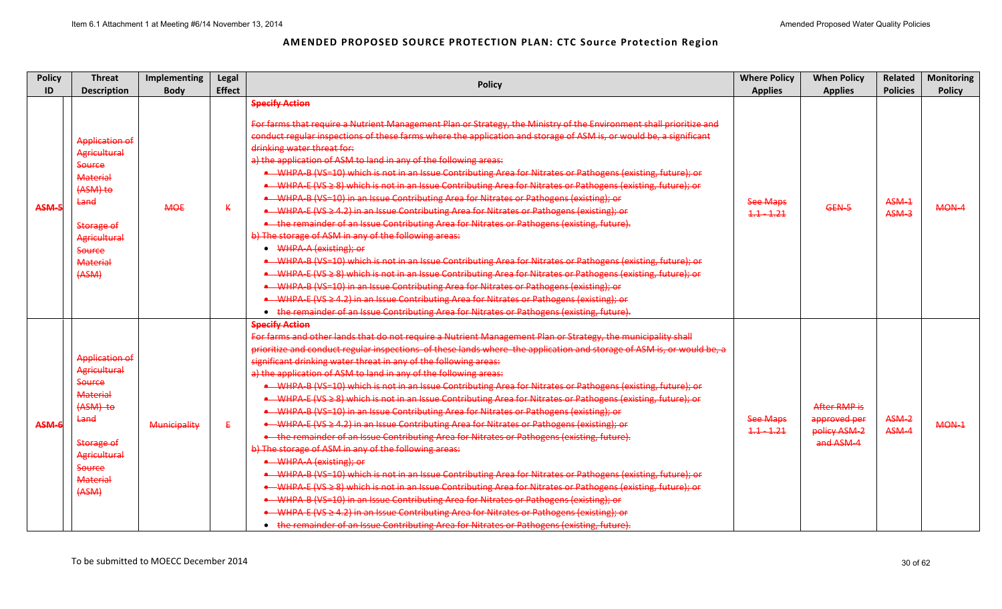| <b>Policy</b><br>ID | <b>Threat</b><br><b>Description</b>                                                                                                                                            | Implementing<br><b>Body</b> | Legal<br><b>Effect</b> | <b>Policy</b>                                                                                                                                                                                                                                                                                                                                                                                                                                                                                                                                                                                                                                                                                                                                                                                                                                                                                                                                                                                                                                                                                                                                                                                                                                                                                                                                                                                                                                                                                                                               | <b>Where Policy</b><br><b>Applies</b> | <b>When Policy</b><br><b>Applies</b>                      | <b>Related</b><br><b>Policies</b> | <b>Monitoring</b><br><b>Policy</b> |
|---------------------|--------------------------------------------------------------------------------------------------------------------------------------------------------------------------------|-----------------------------|------------------------|---------------------------------------------------------------------------------------------------------------------------------------------------------------------------------------------------------------------------------------------------------------------------------------------------------------------------------------------------------------------------------------------------------------------------------------------------------------------------------------------------------------------------------------------------------------------------------------------------------------------------------------------------------------------------------------------------------------------------------------------------------------------------------------------------------------------------------------------------------------------------------------------------------------------------------------------------------------------------------------------------------------------------------------------------------------------------------------------------------------------------------------------------------------------------------------------------------------------------------------------------------------------------------------------------------------------------------------------------------------------------------------------------------------------------------------------------------------------------------------------------------------------------------------------|---------------------------------------|-----------------------------------------------------------|-----------------------------------|------------------------------------|
|                     |                                                                                                                                                                                |                             |                        | <b>Specify Action</b><br>For farms that require a Nutrient Management Plan or Strategy, the Ministry of the Environment shall prioritize and                                                                                                                                                                                                                                                                                                                                                                                                                                                                                                                                                                                                                                                                                                                                                                                                                                                                                                                                                                                                                                                                                                                                                                                                                                                                                                                                                                                                |                                       |                                                           |                                   |                                    |
| ASM-5               | <b>Application of</b><br>Agricultural<br>Source<br><b>Material</b><br>(ASM) to<br>Land<br>Storage of<br>Agricultural<br><b>Source</b><br><b>Material</b><br>(ASM)              | <b>MOE</b>                  | K                      | conduct regular inspections of these farms where the application and storage of ASM is, or would be, a significant<br>drinking water threat for:<br>a) the application of ASM to land in any of the following areas:<br>• WHPA-B (VS=10) which is not in an Issue Contributing Area for Nitrates or Pathogens (existing, future); or<br>• WHPA E (VS ≥ 8) which is not in an Issue Contributing Area for Nitrates or Pathogens (existing, future); or<br>• WHPA B (VS=10) in an Issue Contributing Area for Nitrates or Pathogens (existing); or<br>• WHPA E (VS ≥ 4.2) in an Issue Contributing Area for Nitrates or Pathogens (existing); or<br>• the remainder of an Issue Contributing Area for Nitrates or Pathogens (existing, future).<br>b) The storage of ASM in any of the following areas:<br>• WHPA-A (existing); or<br>• WHPA-B (VS=10) which is not in an Issue Contributing Area for Nitrates or Pathogens (existing, future); or<br>• WHPA-E (VS ≥ 8) which is not in an Issue Contributing Area for Nitrates or Pathogens (existing, future); or<br>• WHPA-B (VS=10) in an Issue Contributing Area for Nitrates or Pathogens (existing); or<br>• WHPA-E (VS ≥ 4.2) in an Issue Contributing Area for Nitrates or Pathogens (existing); or<br>• the remainder of an Issue Contributing Area for Nitrates or Pathogens (existing, future).                                                                                                                                                                                   | <b>See Maps</b><br>$1.1 - 1.21$       | GEN-5                                                     | ASM-1<br>ASM-3                    | MON-4                              |
| ASM-6               | <b>Application of</b><br>Agricultural<br><b>Source</b><br>Material<br>(ASM) to<br>Land<br>Storage of<br><b>Agricultural</b><br><b>Source</b><br><b>Material</b><br>$4$ ASM $3$ | Municipality                | €                      | <b>Specify Action</b><br>For farms and other lands that do not require a Nutrient Management Plan or Strategy, the municipality shall<br>prioritize and conduct regular inspections of these lands where the application and storage of ASM is, or would be, a<br>significant drinking water threat in any of the following areas:<br>a) the application of ASM to land in any of the following areas:<br>• WHPA-B (VS=10) which is not in an Issue Contributing Area for Nitrates or Pathogens (existing, future); or<br>• WHPA-E (VS ≥ 8) which is not in an Issue Contributing Area for Nitrates or Pathogens (existing, future); or<br>• WHPA-B (VS=10) in an Issue Contributing Area for Nitrates or Pathogens (existing); or<br>• WHPA-E (VS ≥ 4.2) in an Issue Contributing Area for Nitrates or Pathogens (existing); or<br>• the remainder of an Issue Contributing Area for Nitrates or Pathogens (existing, future).<br>b) The storage of ASM in any of the following areas:<br>• WHPA-A (existing); or<br>• WHPA B (VS=10) which is not in an Issue Contributing Area for Nitrates or Pathogens (existing, future); or<br>• WHPA-E (VS ≥ 8) which is not in an Issue Contributing Area for Nitrates or Pathogens (existing, future); or<br>• WHPA B (VS=10) in an Issue Contributing Area for Nitrates or Pathogens (existing); or<br>• WHPA-E (VS ≥ 4.2) in an Issue Contributing Area for Nitrates or Pathogens (existing); or<br>• the remainder of an Issue Contributing Area for Nitrates or Pathogens (existing, future). | <b>See Maps</b><br>$1.1 - 1.21$       | After RMP is<br>approved per<br>policy ASM-2<br>and ASM-4 | ASM-2<br>ASM-4                    | MON-1                              |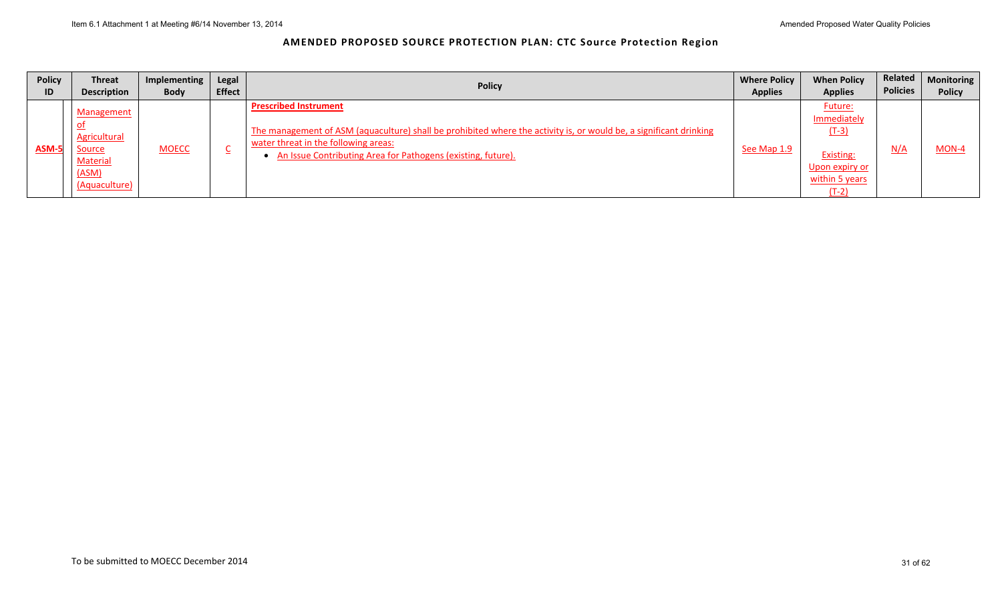| <b>Policy</b> | <b>Threat</b>                                                                            | Implementing | Legal         | <b>Policy</b>                                                                                                                                                                                                                                                | <b>Where Policy</b> | <b>When Policy</b>                                                                                          | Related         | <b>Monitoring</b> |
|---------------|------------------------------------------------------------------------------------------|--------------|---------------|--------------------------------------------------------------------------------------------------------------------------------------------------------------------------------------------------------------------------------------------------------------|---------------------|-------------------------------------------------------------------------------------------------------------|-----------------|-------------------|
| ID            | <b>Description</b>                                                                       | <b>Body</b>  | <b>Effect</b> |                                                                                                                                                                                                                                                              | <b>Applies</b>      | <b>Applies</b>                                                                                              | <b>Policies</b> | <b>Policy</b>     |
| ASM-5         | Management<br><b>Agricultural</b><br>Source<br><b>Material</b><br>(ASM)<br>(Aquaculture) | <b>MOECC</b> |               | <b>Prescribed Instrument</b><br>The management of ASM (aquaculture) shall be prohibited where the activity is, or would be, a significant drinking<br>water threat in the following areas:<br>• An Issue Contributing Area for Pathogens (existing, future). | See Map 1.9         | <b>Future:</b><br>Immediately<br>$(T-3)$<br><b>Existing:</b><br>Upon expiry or<br>within 5 years<br>$(T-2)$ | N/A             | $MON-4$           |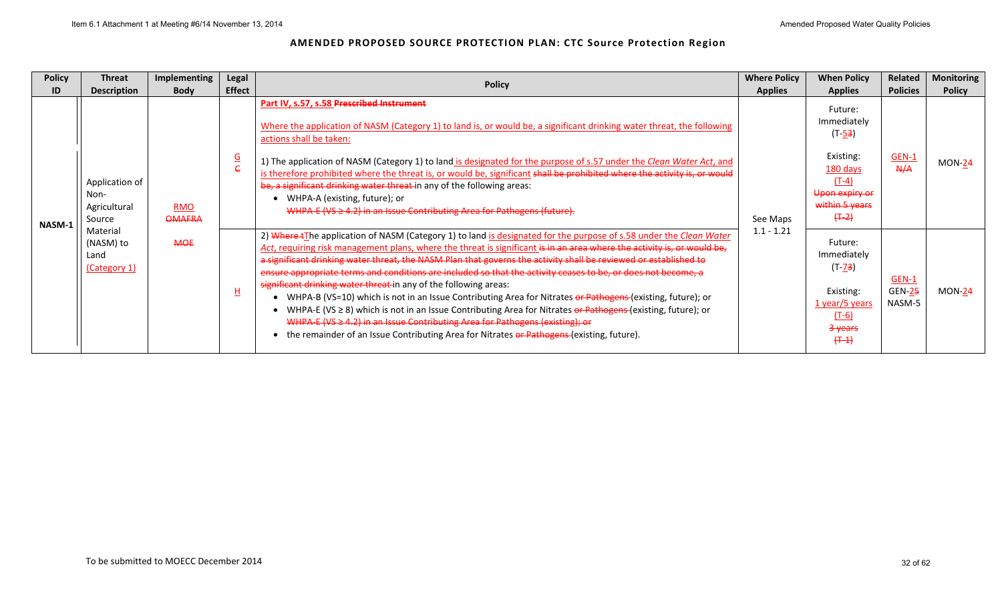| <b>Policy</b> | <b>Threat</b>                                    | <b>Implementing</b>         | Legal         | <b>Policy</b>                                                                                                                                                                                                                                                                                                                                                                                                                                                                                                                                                                                                                                                                                                                                                                                                                                                                                                                                                         | <b>Where Policy</b> | <b>When Policy</b>                                                                                                     | <b>Related</b>                          | <b>Monitoring</b> |
|---------------|--------------------------------------------------|-----------------------------|---------------|-----------------------------------------------------------------------------------------------------------------------------------------------------------------------------------------------------------------------------------------------------------------------------------------------------------------------------------------------------------------------------------------------------------------------------------------------------------------------------------------------------------------------------------------------------------------------------------------------------------------------------------------------------------------------------------------------------------------------------------------------------------------------------------------------------------------------------------------------------------------------------------------------------------------------------------------------------------------------|---------------------|------------------------------------------------------------------------------------------------------------------------|-----------------------------------------|-------------------|
| ID            | <b>Description</b>                               | <b>Body</b>                 | <b>Effect</b> |                                                                                                                                                                                                                                                                                                                                                                                                                                                                                                                                                                                                                                                                                                                                                                                                                                                                                                                                                                       | <b>Applies</b>      | <b>Applies</b>                                                                                                         | <b>Policies</b>                         | <b>Policy</b>     |
| NASM-1        | Application of<br>Non-<br>Agricultural<br>Source | <b>RMO</b><br><b>OMAFRA</b> | $rac{G}{C}$   | Part IV, s.57, s.58 Prescribed Instrument<br>Where the application of NASM (Category 1) to land is, or would be, a significant drinking water threat, the following<br>actions shall be taken:<br>1) The application of NASM (Category 1) to land is designated for the purpose of s.57 under the Clean Water Act, and<br>is therefore prohibited where the threat is, or would be, significant shall be prohibited where the activity is, or would<br>be, a significant drinking water threat in any of the following areas:<br>WHPA-A (existing, future); or<br>WHPA-E (VS ≥ 4.2) in an Issue Contributing Area for Pathogens (future).                                                                                                                                                                                                                                                                                                                             | See Maps            | Future:<br>Immediately<br>$(T-53)$<br>Existing:<br>180 days<br>$(T-4)$<br>Upon expiry or<br>within 5 years<br>$(+ -2)$ | <b>GEN-1</b><br>A/A                     | <b>MON-24</b>     |
|               | Material<br>(NASM) to<br>Land<br>(Category 1)    | <b>MOE</b>                  | H             | 2) Where +The application of NASM (Category 1) to land is designated for the purpose of s.58 under the Clean Water<br>Act, requiring risk management plans, where the threat is significant is in an area where the activity is, or would be,<br>a significant drinking water threat, the NASM Plan that governs the activity shall be reviewed or established to<br>ensure appropriate terms and conditions are included so that the activity ceases to be, or does not become, a<br>significant drinking water threat in any of the following areas:<br>WHPA-B (VS=10) which is not in an Issue Contributing Area for Nitrates or Pathogens-(existing, future); or<br>WHPA-E (VS $\geq$ 8) which is not in an Issue Contributing Area for Nitrates or Pathogens-(existing, future); or<br>WHPA-E (VS ≥ 4.2) in an Issue Contributing Area for Pathogens (existing); or<br>the remainder of an Issue Contributing Area for Nitrates or Pathogens (existing, future). | $1.1 - 1.21$        | Future:<br>Immediately<br>$(T - 73)$<br>Existing:<br>1 year/5 years<br>$(T-6)$<br>3-years<br>$(+ - 1)$                 | <b>GEN-1</b><br><b>GEN-25</b><br>NASM-5 | $MON-24$          |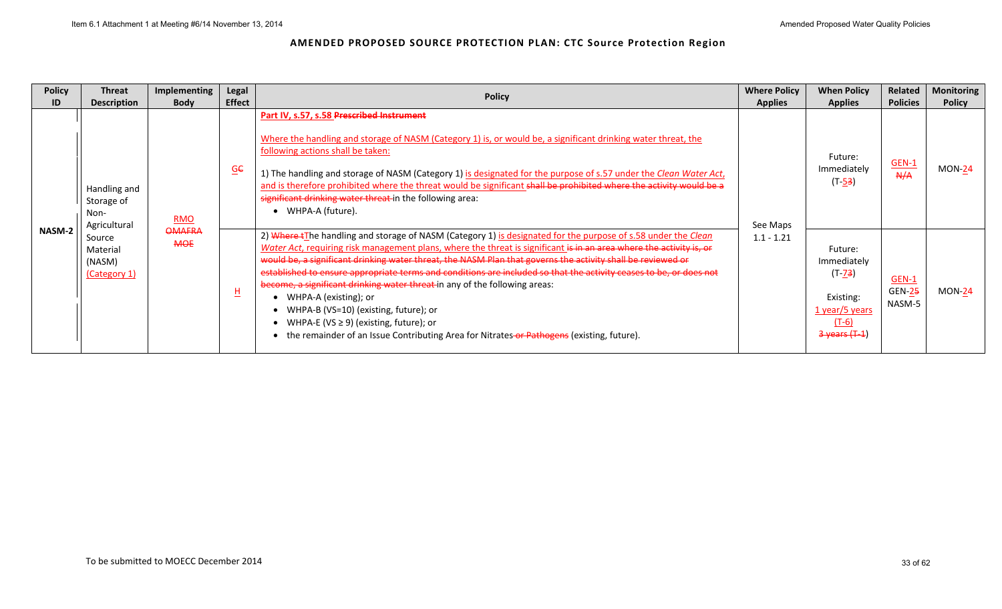| <b>Policy</b> | Threat                                             | <b>Implementing</b>         | Legal                    | <b>Policy</b>                                                                                                                                                                                                                                                                                                                                                                                                                                                                                                                                                                                                                                                                                                                                                             | <b>Where Policy</b> | <b>When Policy</b>                                                                                | <b>Related</b>                          | <b>Monitoring</b> |
|---------------|----------------------------------------------------|-----------------------------|--------------------------|---------------------------------------------------------------------------------------------------------------------------------------------------------------------------------------------------------------------------------------------------------------------------------------------------------------------------------------------------------------------------------------------------------------------------------------------------------------------------------------------------------------------------------------------------------------------------------------------------------------------------------------------------------------------------------------------------------------------------------------------------------------------------|---------------------|---------------------------------------------------------------------------------------------------|-----------------------------------------|-------------------|
| ID            | <b>Description</b>                                 | <b>Body</b>                 | <b>Effect</b>            |                                                                                                                                                                                                                                                                                                                                                                                                                                                                                                                                                                                                                                                                                                                                                                           | <b>Applies</b>      | <b>Applies</b>                                                                                    | <b>Policies</b>                         | <b>Policy</b>     |
| <b>NASM-2</b> | Handling and<br>Storage of<br>Non-<br>Agricultural | <b>RMO</b>                  | $\underline{\mathsf{G}}$ | Part IV, s.57, s.58 Prescribed Instrument<br>Where the handling and storage of NASM (Category 1) is, or would be, a significant drinking water threat, the<br>following actions shall be taken:<br>1) The handling and storage of NASM (Category 1) is designated for the purpose of s.57 under the Clean Water Act,<br>and is therefore prohibited where the threat would be significant shall be prohibited where the activity would be a<br>significant drinking water threat in the following area:<br>• WHPA-A (future).                                                                                                                                                                                                                                             | See Maps            | Future:<br>Immediately<br>$(T-53)$                                                                | <b>GEN-1</b><br>A/H                     | $MON-24$          |
|               | Source<br>Material<br>(NASM)<br>(Category 1)       | <b>OMAFRA</b><br><b>MOE</b> | $\overline{\mathsf{H}}$  | 2) Where +The handling and storage of NASM (Category 1) is designated for the purpose of s.58 under the Clean<br>Water Act, requiring risk management plans, where the threat is significant is in an area where the activity is, or<br>would be, a significant drinking water threat, the NASM Plan that governs the activity shall be reviewed or<br>established to ensure appropriate terms and conditions are included so that the activity ceases to be, or does not<br>become, a significant drinking water threat in any of the following areas:<br>WHPA-A (existing); or<br>• WHPA-B (VS=10) (existing, future); or<br>• WHPA-E (VS $\geq$ 9) (existing, future); or<br>the remainder of an Issue Contributing Area for Nitrates-or Pathogens (existing, future). | $1.1 - 1.21$        | Future:<br>Immediately<br>$(T - 73)$<br>Existing:<br>$1$ year/5 years<br>$(T-6)$<br>3 years (T-1) | <b>GEN-1</b><br><b>GEN-25</b><br>NASM-5 | $MON-24$          |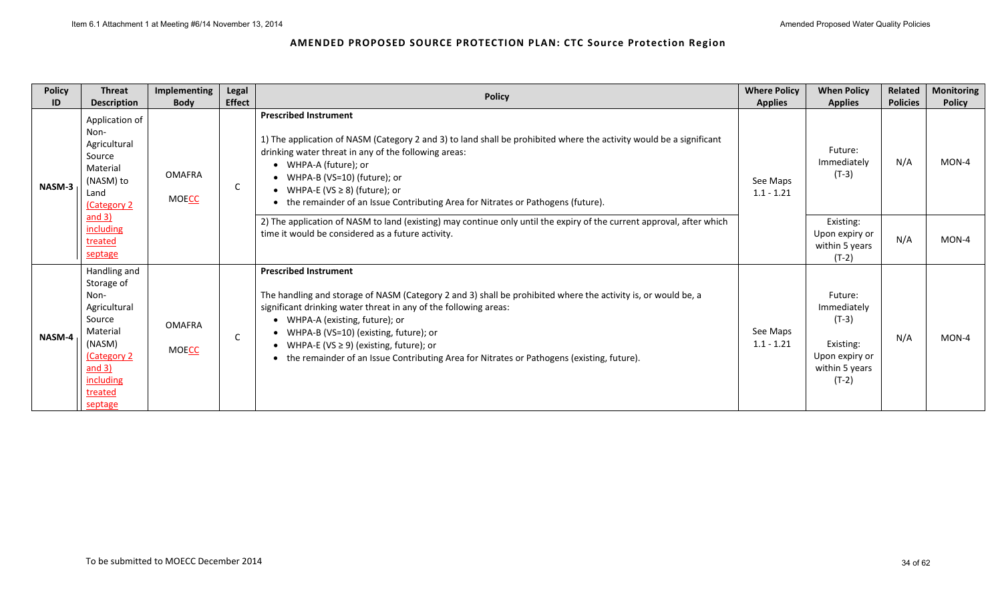| <b>Policy</b><br>ID | <b>Threat</b><br><b>Description</b>                                                                                                             | <b>Implementing</b><br><b>Body</b> | Legal<br><b>Effect</b> | <b>Policy</b>                                                                                                                                                                                                                                                                                                                                                                                                                                   | <b>Where Policy</b><br><b>Applies</b> | <b>When Policy</b><br><b>Applies</b>                                                          | Related<br><b>Policies</b> | <b>Monitoring</b><br><b>Policy</b> |
|---------------------|-------------------------------------------------------------------------------------------------------------------------------------------------|------------------------------------|------------------------|-------------------------------------------------------------------------------------------------------------------------------------------------------------------------------------------------------------------------------------------------------------------------------------------------------------------------------------------------------------------------------------------------------------------------------------------------|---------------------------------------|-----------------------------------------------------------------------------------------------|----------------------------|------------------------------------|
| NASM-3              | Application of<br>Non-<br>Agricultural<br>Source<br>Material<br>(NASM) to<br>Land<br>Category 2                                                 | <b>OMAFRA</b><br><b>MOECC</b>      | C                      | <b>Prescribed Instrument</b><br>1) The application of NASM (Category 2 and 3) to land shall be prohibited where the activity would be a significant<br>drinking water threat in any of the following areas:<br>• WHPA-A (future); or<br>• WHPA-B (VS=10) (future); or<br>• WHPA-E (VS $\geq$ 8) (future); or<br>• the remainder of an Issue Contributing Area for Nitrates or Pathogens (future).                                               | See Maps<br>$1.1 - 1.21$              | Future:<br>Immediately<br>$(T-3)$                                                             | N/A                        | MON-4                              |
|                     | and 3)<br>including<br>treated<br>septage                                                                                                       |                                    |                        | 2) The application of NASM to land (existing) may continue only until the expiry of the current approval, after which<br>time it would be considered as a future activity.                                                                                                                                                                                                                                                                      |                                       | Existing:<br>Upon expiry or<br>within 5 years<br>$(T-2)$                                      | N/A                        | MON-4                              |
| NASM-4              | Handling and<br>Storage of<br>Non-<br>Agricultural<br>Source<br>Material<br>(NASM)<br>Category 2<br>and $3)$<br>including<br>treated<br>septage | <b>OMAFRA</b><br><b>MOECC</b>      | C                      | <b>Prescribed Instrument</b><br>The handling and storage of NASM (Category 2 and 3) shall be prohibited where the activity is, or would be, a<br>significant drinking water threat in any of the following areas:<br>• WHPA-A (existing, future); or<br>• WHPA-B (VS=10) (existing, future); or<br>• WHPA-E (VS $\geq$ 9) (existing, future); or<br>• the remainder of an Issue Contributing Area for Nitrates or Pathogens (existing, future). | See Maps<br>$1.1 - 1.21$              | Future:<br>Immediately<br>$(T-3)$<br>Existing:<br>Upon expiry or<br>within 5 years<br>$(T-2)$ | N/A                        | MON-4                              |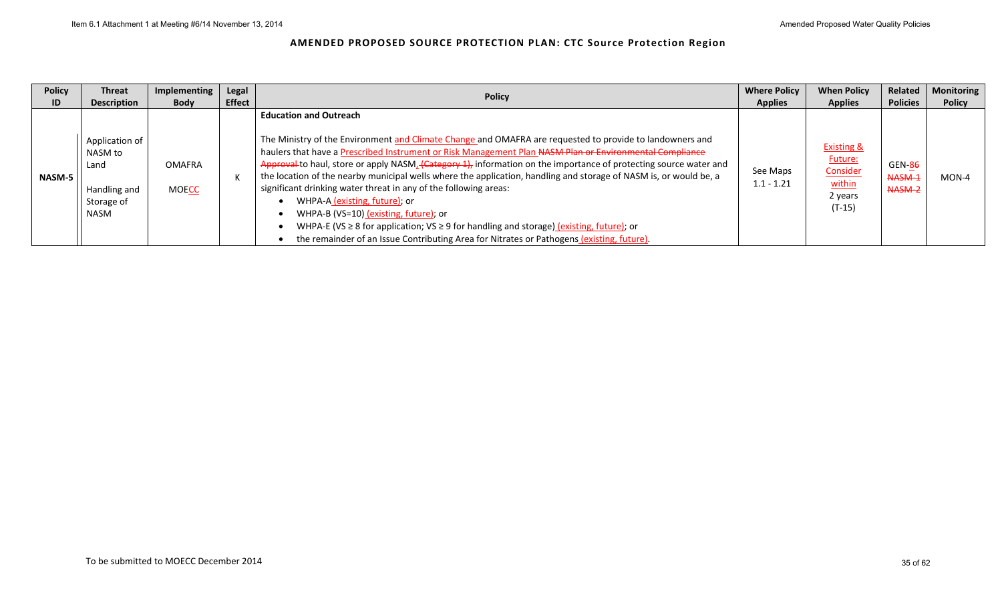| <b>Policy</b> | <b>Threat</b>                                                           | Implementing                  | Legal         |                                                                                                                                                                                                                                                                                                                                                                                                                                                                                                                                                                                                                                                                                                                                                                                                                                                            | <b>Where Policy</b>      | <b>When Policy</b>                                                            | Related                                  | <b>Monitoring</b> |
|---------------|-------------------------------------------------------------------------|-------------------------------|---------------|------------------------------------------------------------------------------------------------------------------------------------------------------------------------------------------------------------------------------------------------------------------------------------------------------------------------------------------------------------------------------------------------------------------------------------------------------------------------------------------------------------------------------------------------------------------------------------------------------------------------------------------------------------------------------------------------------------------------------------------------------------------------------------------------------------------------------------------------------------|--------------------------|-------------------------------------------------------------------------------|------------------------------------------|-------------------|
| ID            | <b>Description</b>                                                      | <b>Body</b>                   | <b>Effect</b> | <b>Policy</b>                                                                                                                                                                                                                                                                                                                                                                                                                                                                                                                                                                                                                                                                                                                                                                                                                                              | <b>Applies</b>           | <b>Applies</b>                                                                | <b>Policies</b>                          | <b>Policy</b>     |
| <b>NASM-5</b> | Application of<br>NASM to<br>Land<br>Handling and<br>Storage of<br>NASM | <b>OMAFRA</b><br><b>MOECC</b> |               | <b>Education and Outreach</b><br>The Ministry of the Environment and Climate Change and OMAFRA are requested to provide to landowners and<br>haulers that have a Prescribed Instrument or Risk Management Plan NASM Plan or Environmental Compliance<br>Approval to haul, store or apply NASM <sub>4</sub> (Category 1), information on the importance of protecting source water and<br>the location of the nearby municipal wells where the application, handling and storage of NASM is, or would be, a<br>significant drinking water threat in any of the following areas:<br>WHPA-A (existing, future); or<br>WHPA-B (VS=10) (existing, future); or<br>WHPA-E (VS $\geq$ 8 for application; VS $\geq$ 9 for handling and storage) (existing, future); or<br>the remainder of an Issue Contributing Area for Nitrates or Pathogens (existing, future). | See Maps<br>$1.1 - 1.21$ | <b>Existing &amp;</b><br>Future:<br>Consider<br>within<br>2 vears<br>$(T-15)$ | <b>GEN-86</b><br><b>NASM-1</b><br>NASM-2 | MON-4             |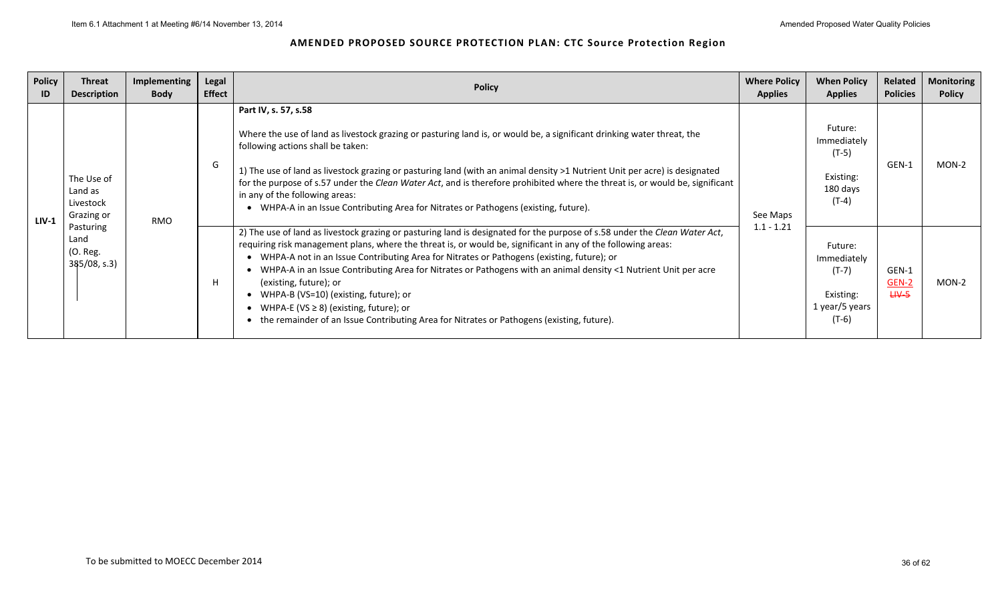| <b>Policy</b><br>ID | Threat<br><b>Description</b>                     | Implementing<br><b>Body</b> | Legal<br><b>Effect</b> | <b>Policy</b>                                                                                                                                                                                                                                                                                                                                                                                                                                                                                                                                                                                                                                                              | <b>Where Policy</b><br><b>Applies</b> | <b>When Policy</b><br><b>Applies</b>                                        | Related<br><b>Policies</b>  | <b>Monitoring</b><br><b>Policy</b> |
|---------------------|--------------------------------------------------|-----------------------------|------------------------|----------------------------------------------------------------------------------------------------------------------------------------------------------------------------------------------------------------------------------------------------------------------------------------------------------------------------------------------------------------------------------------------------------------------------------------------------------------------------------------------------------------------------------------------------------------------------------------------------------------------------------------------------------------------------|---------------------------------------|-----------------------------------------------------------------------------|-----------------------------|------------------------------------|
| $LIV-1$             | The Use of<br>Land as<br>Livestock<br>Grazing or | <b>RMO</b>                  | G                      | Part IV, s. 57, s.58<br>Where the use of land as livestock grazing or pasturing land is, or would be, a significant drinking water threat, the<br>following actions shall be taken:<br>1) The use of land as livestock grazing or pasturing land (with an animal density >1 Nutrient Unit per acre) is designated<br>for the purpose of s.57 under the Clean Water Act, and is therefore prohibited where the threat is, or would be, significant<br>in any of the following areas:<br>WHPA-A in an Issue Contributing Area for Nitrates or Pathogens (existing, future).                                                                                                  | See Maps                              | Future:<br>Immediately<br>$(T-5)$<br>Existing:<br>180 days<br>$(T-4)$       | GEN-1                       | $MON-2$                            |
|                     | Pasturing<br>Land<br>(O. Reg.<br>$385/08$ , s.3) |                             |                        | 2) The use of land as livestock grazing or pasturing land is designated for the purpose of s.58 under the Clean Water Act,<br>requiring risk management plans, where the threat is, or would be, significant in any of the following areas:<br>WHPA-A not in an Issue Contributing Area for Nitrates or Pathogens (existing, future); or<br>WHPA-A in an Issue Contributing Area for Nitrates or Pathogens with an animal density <1 Nutrient Unit per acre<br>(existing, future); or<br>WHPA-B (VS=10) (existing, future); or<br>WHPA-E (VS $\geq$ 8) (existing, future); or<br>the remainder of an Issue Contributing Area for Nitrates or Pathogens (existing, future). | $1.1 - 1.21$                          | Future:<br>Immediately<br>$(T-7)$<br>Existing:<br>1 year/5 years<br>$(T-6)$ | GEN-1<br>GEN-2<br>$H V - 5$ | MON-2                              |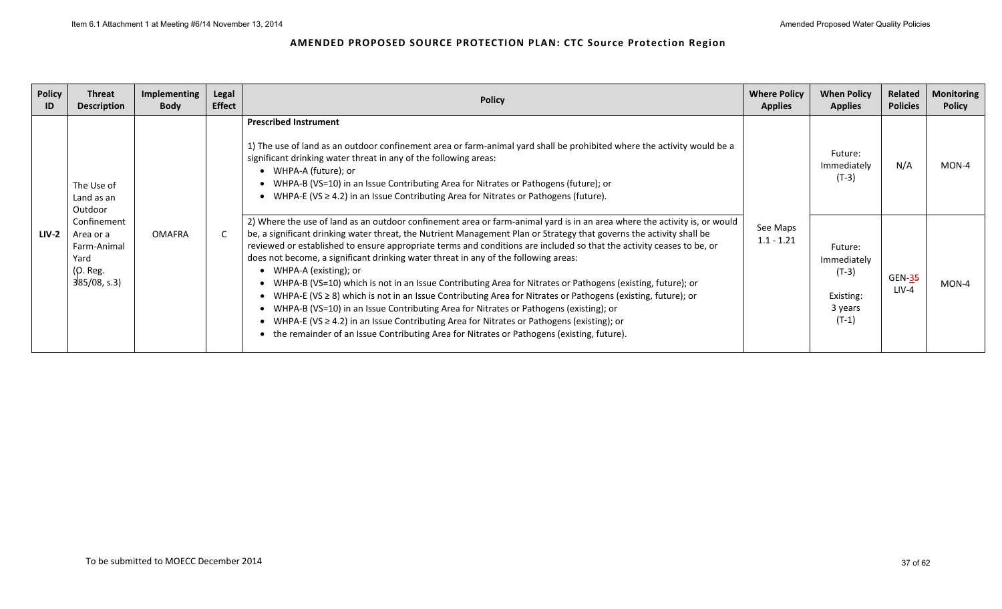| <b>Policy</b><br>ID | <b>Threat</b><br><b>Description</b>                                        | Implementing<br><b>Body</b> | Legal<br><b>Effect</b> | <b>Policy</b>                                                                                                                                                                                                                                                                                                                                                                                                                                                                                                                                                                                                                                                                                                                                                                                                                                                                                                                                                                                                         | <b>Where Policy</b><br><b>Applies</b> | <b>When Policy</b><br><b>Applies</b>                                 | Related<br><b>Policies</b> | <b>Monitoring</b><br><b>Policy</b> |
|---------------------|----------------------------------------------------------------------------|-----------------------------|------------------------|-----------------------------------------------------------------------------------------------------------------------------------------------------------------------------------------------------------------------------------------------------------------------------------------------------------------------------------------------------------------------------------------------------------------------------------------------------------------------------------------------------------------------------------------------------------------------------------------------------------------------------------------------------------------------------------------------------------------------------------------------------------------------------------------------------------------------------------------------------------------------------------------------------------------------------------------------------------------------------------------------------------------------|---------------------------------------|----------------------------------------------------------------------|----------------------------|------------------------------------|
|                     | The Use of<br>Land as an<br>Outdoor                                        |                             |                        | <b>Prescribed Instrument</b><br>1) The use of land as an outdoor confinement area or farm-animal yard shall be prohibited where the activity would be a<br>significant drinking water threat in any of the following areas:<br>• WHPA-A (future); or<br>• WHPA-B (VS=10) in an Issue Contributing Area for Nitrates or Pathogens (future); or<br>• WHPA-E (VS $\geq$ 4.2) in an Issue Contributing Area for Nitrates or Pathogens (future).                                                                                                                                                                                                                                                                                                                                                                                                                                                                                                                                                                           |                                       | Future:<br>Immediately<br>$(T-3)$                                    | N/A                        | $MON-4$                            |
| <b>LIV-2</b>        | Confinement<br>Area or a<br>Farm-Animal<br>Yard<br>(O. Reg.<br>385/08, s.3 | <b>OMAFRA</b>               |                        | 2) Where the use of land as an outdoor confinement area or farm-animal yard is in an area where the activity is, or would<br>be, a significant drinking water threat, the Nutrient Management Plan or Strategy that governs the activity shall be<br>reviewed or established to ensure appropriate terms and conditions are included so that the activity ceases to be, or<br>does not become, a significant drinking water threat in any of the following areas:<br>WHPA-A (existing); or<br>• WHPA-B (VS=10) which is not in an Issue Contributing Area for Nitrates or Pathogens (existing, future); or<br>WHPA-E (VS $\geq$ 8) which is not in an Issue Contributing Area for Nitrates or Pathogens (existing, future); or<br>WHPA-B (VS=10) in an Issue Contributing Area for Nitrates or Pathogens (existing); or<br>WHPA-E (VS $\geq$ 4.2) in an Issue Contributing Area for Nitrates or Pathogens (existing); or<br>the remainder of an Issue Contributing Area for Nitrates or Pathogens (existing, future). | See Maps<br>$1.1 - 1.21$              | Future:<br>Immediately<br>$(T-3)$<br>Existing:<br>3 years<br>$(T-1)$ | <b>GEN-35</b><br>$LIV-4$   | $MON-4$                            |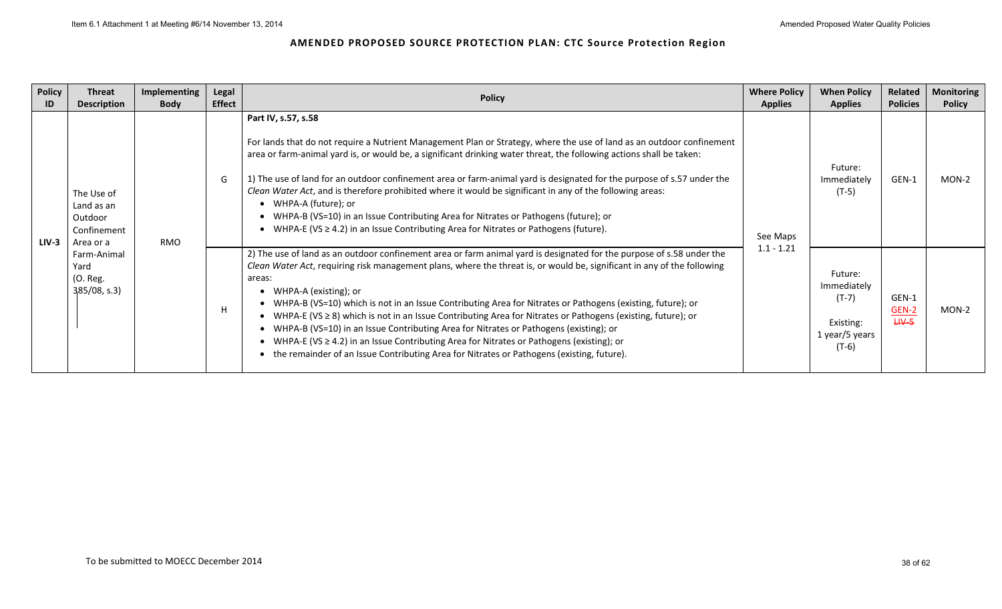| Policy<br>ID | <b>Threat</b><br><b>Description</b>                             | Implementing<br><b>Body</b> | Legal<br><b>Effect</b> | <b>Policy</b>                                                                                                                                                                                                                                                                                                                                                                                                                                                                                                                                                                                                                                                                                                                                                                                                      | <b>Where Policy</b><br><b>Applies</b> | <b>When Policy</b><br><b>Applies</b>                                      | Related<br><b>Policies</b>         | <b>Monitoring</b><br><b>Policy</b> |
|--------------|-----------------------------------------------------------------|-----------------------------|------------------------|--------------------------------------------------------------------------------------------------------------------------------------------------------------------------------------------------------------------------------------------------------------------------------------------------------------------------------------------------------------------------------------------------------------------------------------------------------------------------------------------------------------------------------------------------------------------------------------------------------------------------------------------------------------------------------------------------------------------------------------------------------------------------------------------------------------------|---------------------------------------|---------------------------------------------------------------------------|------------------------------------|------------------------------------|
| $LIV-3$      | The Use of<br>Land as an<br>Outdoor<br>Confinement<br>Area or a | <b>RMO</b>                  | G                      | Part IV, s.57, s.58<br>For lands that do not require a Nutrient Management Plan or Strategy, where the use of land as an outdoor confinement<br>area or farm-animal yard is, or would be, a significant drinking water threat, the following actions shall be taken:<br>1) The use of land for an outdoor confinement area or farm-animal yard is designated for the purpose of s.57 under the<br>Clean Water Act, and is therefore prohibited where it would be significant in any of the following areas:<br>WHPA-A (future); or<br>WHPA-B (VS=10) in an Issue Contributing Area for Nitrates or Pathogens (future); or<br>• WHPA-E (VS $\geq$ 4.2) in an Issue Contributing Area for Nitrates or Pathogens (future).                                                                                            | See Maps<br>$1.1 - 1.21$              | Future:<br>Immediately<br>(T-5)                                           | GEN-1                              | MON-2                              |
|              | Farm-Animal<br>Yard<br>(O. Reg.<br>$385/08$ , s.3)              |                             | H                      | 2) The use of land as an outdoor confinement area or farm animal yard is designated for the purpose of s.58 under the<br>Clean Water Act, requiring risk management plans, where the threat is, or would be, significant in any of the following<br>areas:<br>WHPA-A (existing); or<br>• WHPA-B (VS=10) which is not in an Issue Contributing Area for Nitrates or Pathogens (existing, future); or<br>WHPA-E (VS $\geq$ 8) which is not in an Issue Contributing Area for Nitrates or Pathogens (existing, future); or<br>• WHPA-B (VS=10) in an Issue Contributing Area for Nitrates or Pathogens (existing); or<br>• WHPA-E (VS $\geq$ 4.2) in an Issue Contributing Area for Nitrates or Pathogens (existing); or<br>the remainder of an Issue Contributing Area for Nitrates or Pathogens (existing, future). |                                       | Future:<br>Immediately<br>(T-7)<br>Existing:<br>1 year/5 years<br>$(T-6)$ | GEN-1<br><b>GEN-2</b><br>$H V - 5$ | MON-2                              |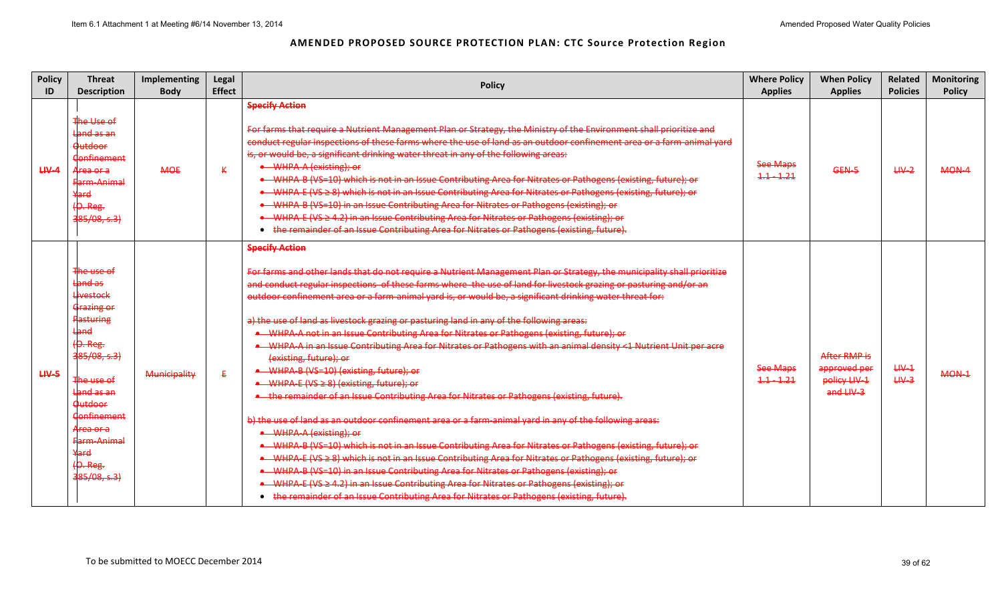| <b>Policy</b><br>ID | <b>Threat</b><br><b>Description</b>                                                                                                                                                                                                                   | Implementing<br><b>Body</b> | Legal<br><b>Effect</b> | <b>Policy</b>                                                                                                                                                                                                                                                                                                                                                                                                                                                                                                                                                                                                                                                                                                                                                                                                                                                                                                                                                                                                                                                                                                                                                                                                                                                                                                                                                                                                                                                                                                                                                                 | <b>Where Policy</b><br><b>Applies</b> | <b>When Policy</b><br><b>Applies</b>                      | Related<br><b>Policies</b> | <b>Monitoring</b><br><b>Policy</b> |
|---------------------|-------------------------------------------------------------------------------------------------------------------------------------------------------------------------------------------------------------------------------------------------------|-----------------------------|------------------------|-------------------------------------------------------------------------------------------------------------------------------------------------------------------------------------------------------------------------------------------------------------------------------------------------------------------------------------------------------------------------------------------------------------------------------------------------------------------------------------------------------------------------------------------------------------------------------------------------------------------------------------------------------------------------------------------------------------------------------------------------------------------------------------------------------------------------------------------------------------------------------------------------------------------------------------------------------------------------------------------------------------------------------------------------------------------------------------------------------------------------------------------------------------------------------------------------------------------------------------------------------------------------------------------------------------------------------------------------------------------------------------------------------------------------------------------------------------------------------------------------------------------------------------------------------------------------------|---------------------------------------|-----------------------------------------------------------|----------------------------|------------------------------------|
| $H V - 4$           | The Use of<br>Land as an<br><b>Outdoor</b><br><b>Confinement</b><br><del>Area or a</del><br>Farm-Animal<br>Yard<br>$(O. Reg.$<br>385/08, s.3                                                                                                          | <b>MOE</b>                  | К                      | <b>Specify Action</b><br>For farms that require a Nutrient Management Plan or Strategy, the Ministry of the Environment shall prioritize and<br>conduct regular inspections of these farms where the use of land as an outdoor confinement area or a farm-animal yard<br>is, or would be, a significant drinking water threat in any of the following areas:<br>• WHPA-A (existing); or<br>• WHPA-B (VS-10) which is not in an Issue Contributing Area for Nitrates or Pathogens (existing, future); or<br>• WHPA-E (VS ≥ 8) which is not in an Issue Contributing Area for Nitrates or Pathogens (existing, future); or<br>• WHPA-B (VS-10) in an Issue Contributing Area for Nitrates or Pathogens (existing); or<br>• WHPA-E (VS ≥ 4.2) in an Issue Contributing Area for Nitrates or Pathogens (existing); or<br>• the remainder of an Issue Contributing Area for Nitrates or Pathogens (existing, future).                                                                                                                                                                                                                                                                                                                                                                                                                                                                                                                                                                                                                                                              | <b>See Maps</b><br>$1.1 - 1.21$       | GEN-5                                                     | $H V - 2$                  | MON-4                              |
| $H V - 5$           | The use of<br>Land as<br><b>Livestock</b><br>Grazing or<br><b>Pasturing</b><br>Land<br>$(0. Reg.$<br>385/08, s.3<br>The use of<br>Land as an<br><b>Outdoor</b><br><b>Confinement</b><br>Area or a<br>Farm-Animal<br>Yard<br>$(O. Reg.$<br>385/08, s.3 | Municipality                | £.                     | <b>Specify Action</b><br>For farms and other lands that do not require a Nutrient Management Plan or Strategy, the municipality shall prioritize<br>and conduct regular inspections of these farms where the use of land for livestock grazing or pasturing and/or an<br>outdoor confinement area or a farm-animal yard is, or would be, a significant drinking water threat for:<br>a) the use of land as livestock grazing or pasturing land in any of the following areas:<br>• WHPA-A not in an Issue Contributing Area for Nitrates or Pathogens (existing, future); or<br>WHPA-A in an Issue Contributing Area for Nitrates or Pathogens with an animal density <1 Nutrient Unit per acre<br>(existing, future); or<br>• WHPA-B (VS=10) (existing, future); or<br>• WHPA-E (VS ≥ 8) (existing, future); or<br>• the remainder of an Issue Contributing Area for Nitrates or Pathogens (existing, future).<br>b) the use of land as an outdoor confinement area or a farm-animal yard in any of the following areas:<br>• WHPA-A (existing); or<br>• WHPA B (VS=10) which is not in an Issue Contributing Area for Nitrates or Pathogens (existing, future); or<br>• WHPA E (VS ≥ 8) which is not in an Issue Contributing Area for Nitrates or Pathogens (existing, future); or<br>• WHPA-B (VS=10) in an Issue Contributing Area for Nitrates or Pathogens (existing); or<br>• WHPA E (VS ≥ 4.2) in an Issue Contributing Area for Nitrates or Pathogens (existing); or<br>• the remainder of an Issue Contributing Area for Nitrates or Pathogens (existing, future). | See Maps<br>$1.1 - 1.21$              | After RMP is<br>approved per<br>policy LIV-1<br>and LIV-3 | $H V - 1$<br>$H V - 3$     | MON-1                              |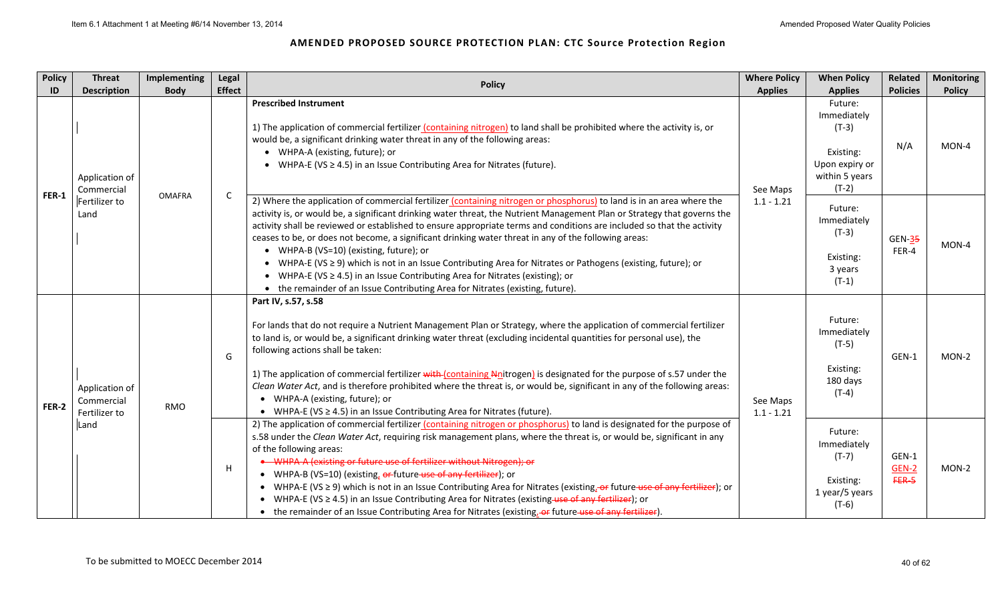| <b>Policy</b> | <b>Threat</b>                                 | Implementing  | Legal         | <b>Policy</b>                                                                                                                                                                                                                                                                                                                                                                                                                                                                                                                                                                                                                                                                                                                                                                                                           | <b>Where Policy</b>      | <b>When Policy</b>                                                                            | Related                   | <b>Monitoring</b> |
|---------------|-----------------------------------------------|---------------|---------------|-------------------------------------------------------------------------------------------------------------------------------------------------------------------------------------------------------------------------------------------------------------------------------------------------------------------------------------------------------------------------------------------------------------------------------------------------------------------------------------------------------------------------------------------------------------------------------------------------------------------------------------------------------------------------------------------------------------------------------------------------------------------------------------------------------------------------|--------------------------|-----------------------------------------------------------------------------------------------|---------------------------|-------------------|
| ID            | <b>Description</b>                            | <b>Body</b>   | <b>Effect</b> |                                                                                                                                                                                                                                                                                                                                                                                                                                                                                                                                                                                                                                                                                                                                                                                                                         | <b>Applies</b>           | <b>Applies</b>                                                                                | <b>Policies</b>           | <b>Policy</b>     |
| <b>FER-1</b>  | Application of<br>Commercial                  | <b>OMAFRA</b> | $\mathsf{C}$  | <b>Prescribed Instrument</b><br>1) The application of commercial fertilizer (containing nitrogen) to land shall be prohibited where the activity is, or<br>would be, a significant drinking water threat in any of the following areas:<br>• WHPA-A (existing, future); or<br>• WHPA-E (VS $\geq$ 4.5) in an Issue Contributing Area for Nitrates (future).                                                                                                                                                                                                                                                                                                                                                                                                                                                             | See Maps                 | Future:<br>Immediately<br>$(T-3)$<br>Existing:<br>Upon expiry or<br>within 5 years<br>$(T-2)$ | N/A                       | MON-4             |
|               | Fertilizer to<br>Land                         |               |               | 2) Where the application of commercial fertilizer (containing nitrogen or phosphorus) to land is in an area where the<br>activity is, or would be, a significant drinking water threat, the Nutrient Management Plan or Strategy that governs the<br>activity shall be reviewed or established to ensure appropriate terms and conditions are included so that the activity<br>ceases to be, or does not become, a significant drinking water threat in any of the following areas:<br>• WHPA-B (VS=10) (existing, future); or<br>• WHPA-E (VS ≥ 9) which is not in an Issue Contributing Area for Nitrates or Pathogens (existing, future); or<br>• WHPA-E (VS $\geq$ 4.5) in an Issue Contributing Area for Nitrates (existing); or<br>• the remainder of an Issue Contributing Area for Nitrates (existing, future). | $1.1 - 1.21$             | Future:<br>Immediately<br>$(T-3)$<br>Existing:<br>3 years<br>$(T-1)$                          | $GEN-35$<br>FER-4         | MON-4             |
| <b>FER-2</b>  | Application of<br>Commercial<br>Fertilizer to | RMO           | G             | Part IV, s.57, s.58<br>For lands that do not require a Nutrient Management Plan or Strategy, where the application of commercial fertilizer<br>to land is, or would be, a significant drinking water threat (excluding incidental quantities for personal use), the<br>following actions shall be taken:<br>1) The application of commercial fertilizer with (containing Nnitrogen) is designated for the purpose of s.57 under the<br>Clean Water Act, and is therefore prohibited where the threat is, or would be, significant in any of the following areas:<br>• WHPA-A (existing, future); or<br>• WHPA-E (VS $\geq$ 4.5) in an Issue Contributing Area for Nitrates (future).                                                                                                                                    | See Maps<br>$1.1 - 1.21$ | Future:<br>Immediately<br>$(T-5)$<br>Existing:<br>180 days<br>$(T-4)$                         | GEN-1                     | MON-2             |
|               | Land                                          |               | $\mathsf H$   | 2) The application of commercial fertilizer (containing nitrogen or phosphorus) to land is designated for the purpose of<br>s.58 under the Clean Water Act, requiring risk management plans, where the threat is, or would be, significant in any<br>of the following areas:<br>• WHPA-A (existing or future use of fertilizer without Nitrogen); or<br>• WHPA-B (VS=10) (existing, or future-use of any fertilizer); or<br>• WHPA-E (VS $\geq$ 9) which is not in an Issue Contributing Area for Nitrates (existing, or future use of any fertilizer); or<br>• WHPA-E (VS $\geq$ 4.5) in an Issue Contributing Area for Nitrates (existing use of any fertilizer); or<br>• the remainder of an Issue Contributing Area for Nitrates (existing, of future use of any fertilizer).                                       |                          | Future:<br>Immediately<br>$(T-7)$<br>Existing:<br>1 year/5 years<br>$(T-6)$                   | GEN-1<br>GEN-2<br>$FER-5$ | MON-2             |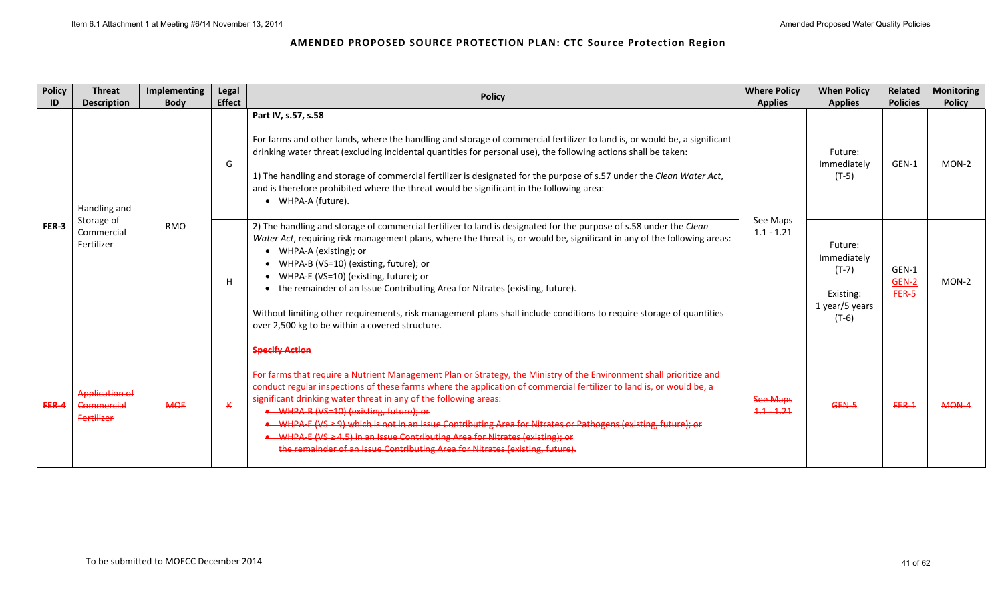| <b>Policy</b><br>ID | <b>Threat</b><br><b>Description</b>                      | Implementing<br><b>Body</b> | Legal<br><b>Effect</b> | <b>Policy</b>                                                                                                                                                                                                                                                                                                                                                                                                                                                                                                                                                                                                                                                       | <b>Where Policy</b><br><b>Applies</b> | <b>When Policy</b><br><b>Applies</b>                                        | Related<br><b>Policies</b> | <b>Monitoring</b><br><b>Policy</b> |
|---------------------|----------------------------------------------------------|-----------------------------|------------------------|---------------------------------------------------------------------------------------------------------------------------------------------------------------------------------------------------------------------------------------------------------------------------------------------------------------------------------------------------------------------------------------------------------------------------------------------------------------------------------------------------------------------------------------------------------------------------------------------------------------------------------------------------------------------|---------------------------------------|-----------------------------------------------------------------------------|----------------------------|------------------------------------|
| FER-3               | Handling and                                             |                             | G                      | Part IV, s.57, s.58<br>For farms and other lands, where the handling and storage of commercial fertilizer to land is, or would be, a significant<br>drinking water threat (excluding incidental quantities for personal use), the following actions shall be taken:<br>1) The handling and storage of commercial fertilizer is designated for the purpose of s.57 under the Clean Water Act,<br>and is therefore prohibited where the threat would be significant in the following area:<br>WHPA-A (future).<br>$\bullet$                                                                                                                                           |                                       | Future:<br>Immediately<br>$(T-5)$                                           | GEN-1                      | MON-2                              |
|                     | Storage of<br>Commercial<br>Fertilizer                   | <b>RMO</b>                  | H                      | 2) The handling and storage of commercial fertilizer to land is designated for the purpose of s.58 under the Clean<br>Water Act, requiring risk management plans, where the threat is, or would be, significant in any of the following areas:<br>WHPA-A (existing); or<br>WHPA-B (VS=10) (existing, future); or<br>WHPA-E (VS=10) (existing, future); or<br>the remainder of an Issue Contributing Area for Nitrates (existing, future).<br>$\bullet$<br>Without limiting other requirements, risk management plans shall include conditions to require storage of quantities<br>over 2,500 kg to be within a covered structure.                                   | See Maps<br>$1.1 - 1.21$              | Future:<br>Immediately<br>$(T-7)$<br>Existing:<br>1 year/5 years<br>$(T-6)$ | GEN-1<br>GEN-2<br>FER-5    | MON-2                              |
| FER-4               | <b>Application of</b><br>Commercial<br><b>Fertilizer</b> | <b>MOE</b>                  | $\kappa$               | <b>Specify Action</b><br>For farms that require a Nutrient Management Plan or Strategy, the Ministry of the Environment shall prioritize and<br>conduct regular inspections of these farms where the application of commercial fertilizer to land is, or would be, a<br>significant drinking water threat in any of the following areas:<br>• WHPA-B (VS=10) (existing, future); or<br>WHPA-E (VS ≥ 9) which is not in an Issue Contributing Area for Nitrates or Pathogens (existing, future); or<br>• WHPA-E (VS ≥ 4.5) in an Issue Contributing Area for Nitrates (existing); or<br>the remainder of an Issue Contributing Area for Nitrates (existing, future). | <b>See Maps</b><br>$1.1 - 1.21$       | GEN-5                                                                       | $FER-1$                    | $MOM-4$                            |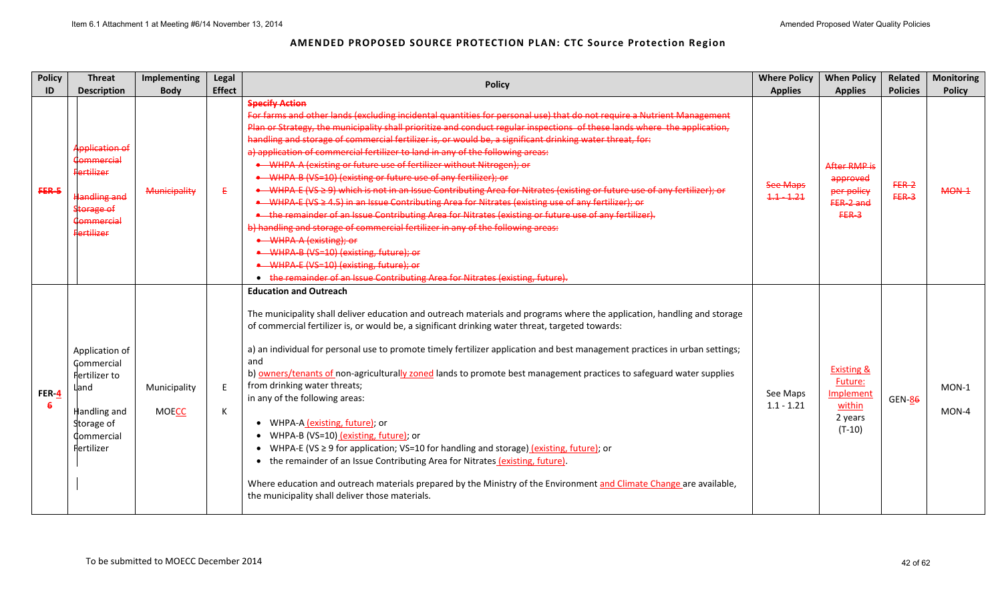| <b>Policy</b> | <b>Threat</b>                                                                                                                           | <b>Implementing</b>          | Legal         | <b>Policy</b>                                                                                                                                                                                                                                                                                                                                                                                                                                                                                                                                                                                                                                                                                                                                                                                                                                                                                                                                                                                                                                                                                                                                                                                                                                            | <b>Where Policy</b>             | <b>When Policy</b>                                                             | Related            | <b>Monitoring</b> |
|---------------|-----------------------------------------------------------------------------------------------------------------------------------------|------------------------------|---------------|----------------------------------------------------------------------------------------------------------------------------------------------------------------------------------------------------------------------------------------------------------------------------------------------------------------------------------------------------------------------------------------------------------------------------------------------------------------------------------------------------------------------------------------------------------------------------------------------------------------------------------------------------------------------------------------------------------------------------------------------------------------------------------------------------------------------------------------------------------------------------------------------------------------------------------------------------------------------------------------------------------------------------------------------------------------------------------------------------------------------------------------------------------------------------------------------------------------------------------------------------------|---------------------------------|--------------------------------------------------------------------------------|--------------------|-------------------|
| ID            | <b>Description</b>                                                                                                                      | <b>Body</b>                  | <b>Effect</b> |                                                                                                                                                                                                                                                                                                                                                                                                                                                                                                                                                                                                                                                                                                                                                                                                                                                                                                                                                                                                                                                                                                                                                                                                                                                          | <b>Applies</b>                  | <b>Applies</b>                                                                 | <b>Policies</b>    | <b>Policy</b>     |
| FER-5         | <b>Application of</b><br>Commercial<br><b>Fertilizer</b><br><b>Handling and</b><br><b>Storage of</b><br>Commercial<br><b>Fertilizer</b> | Municipality                 | Ε             | <b>Specify Action</b><br>For farms and other lands (excluding incidental quantities for personal use) that do not require a Nutrient Management<br>Plan or Strategy, the municipality shall prioritize and conduct regular inspections of these lands where the application,<br>handling and storage of commercial fertilizer is, or would be, a significant drinking water threat, for:<br>a) application of commercial fertilizer to land in any of the following areas:<br>• WHPA-A (existing or future use of fertilizer without Nitrogen); or<br>• WHPA-B (VS=10) (existing or future use of any fertilizer); or<br>• WHPA-E (VS ≥ 9) which is not in an Issue Contributing Area for Nitrates (existing or future use of any fertilizer); or<br>• WHPA-E (VS ≥ 4.5) in an Issue Contributing Area for Nitrates (existing use of any fertilizer); or<br>. the remainder of an Issue Contributing Area for Nitrates (existing or future use of any fertilizer).<br>b) handling and storage of commercial fertilizer in any of the following areas:<br>• WHPA-A (existing); or<br>• WHPA-B (VS=10) (existing, future); or<br>• WHPA-E (VS=10) (existing, future); or<br>• the remainder of an Issue Contributing Area for Nitrates (existing, future). | <b>See Maps</b><br>$1.1 - 1.21$ | After RMP is<br>approved<br>per policy<br>FER-2 and<br>$FER-3$                 | $FER-2$<br>$FER-3$ | MON-1             |
| FER- $4$<br>6 | Application of<br>Commercial<br>Fertilizer to<br>Lland<br>Handling and<br>Storage of<br>Commercial<br>Fertilizer                        | Municipality<br><b>MOECC</b> | E<br>К        | <b>Education and Outreach</b><br>The municipality shall deliver education and outreach materials and programs where the application, handling and storage<br>of commercial fertilizer is, or would be, a significant drinking water threat, targeted towards:<br>a) an individual for personal use to promote timely fertilizer application and best management practices in urban settings;<br>and<br>b) owners/tenants of non-agriculturally zoned lands to promote best management practices to safeguard water supplies<br>from drinking water threats;<br>in any of the following areas:<br>• WHPA-A (existing, future); or<br>WHPA-B (VS=10) (existing, future); or<br>WHPA-E (VS $\geq$ 9 for application; VS=10 for handling and storage) (existing, future); or<br>$\bullet$<br>• the remainder of an Issue Contributing Area for Nitrates (existing, future).<br>Where education and outreach materials prepared by the Ministry of the Environment and Climate Change are available,<br>the municipality shall deliver those materials.                                                                                                                                                                                                       | See Maps<br>$1.1 - 1.21$        | <b>Existing &amp;</b><br>Future:<br>Implement<br>within<br>2 years<br>$(T-10)$ | <b>GEN-86</b>      | $MON-1$<br>MON-4  |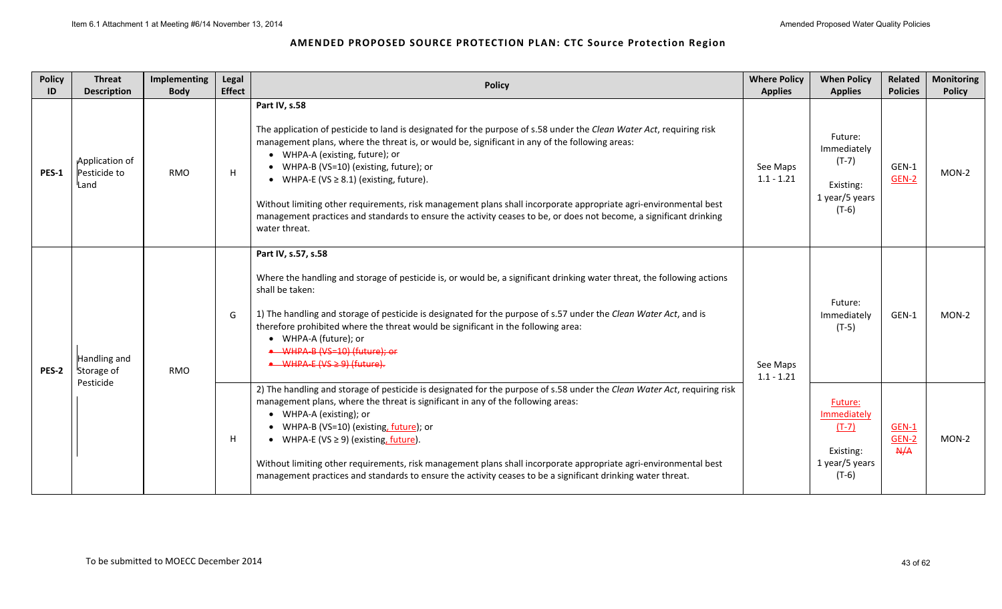| <b>Policy</b><br>ID | <b>Threat</b><br><b>Description</b>    | Implementing<br><b>Body</b> | Legal<br><b>Effect</b> | <b>Policy</b>                                                                                                                                                                                                                                                                                                                                                                                                                                                                                                                                                                                                                    | <b>Where Policy</b><br><b>Applies</b> | <b>When Policy</b><br><b>Applies</b>                                        | Related<br><b>Policies</b> | <b>Monitoring</b><br><b>Policy</b> |
|---------------------|----------------------------------------|-----------------------------|------------------------|----------------------------------------------------------------------------------------------------------------------------------------------------------------------------------------------------------------------------------------------------------------------------------------------------------------------------------------------------------------------------------------------------------------------------------------------------------------------------------------------------------------------------------------------------------------------------------------------------------------------------------|---------------------------------------|-----------------------------------------------------------------------------|----------------------------|------------------------------------|
| <b>PES-1</b>        | Application of<br>Pesticide to<br>Land | <b>RMO</b>                  | H                      | Part IV, s.58<br>The application of pesticide to land is designated for the purpose of s.58 under the Clean Water Act, requiring risk<br>management plans, where the threat is, or would be, significant in any of the following areas:<br>• WHPA-A (existing, future); or<br>• WHPA-B (VS=10) (existing, future); or<br>• WHPA-E (VS $\geq$ 8.1) (existing, future).<br>Without limiting other requirements, risk management plans shall incorporate appropriate agri-environmental best<br>management practices and standards to ensure the activity ceases to be, or does not become, a significant drinking<br>water threat. | See Maps<br>$1.1 - 1.21$              | Future:<br>Immediately<br>$(T-7)$<br>Existing:<br>1 year/5 years<br>$(T-6)$ | GEN-1<br>GEN-2             | MON-2                              |
| <b>PES-2</b>        | Handling and<br>Storage of             | <b>RMO</b>                  | G                      | Part IV, s.57, s.58<br>Where the handling and storage of pesticide is, or would be, a significant drinking water threat, the following actions<br>shall be taken:<br>1) The handling and storage of pesticide is designated for the purpose of s.57 under the Clean Water Act, and is<br>therefore prohibited where the threat would be significant in the following area:<br>• WHPA-A (future); or<br>• WHPA-B (VS-10) (future): or<br>$\bullet$ WHPA-E (VS $\geq$ 9) (future).                                                                                                                                                 | See Maps<br>$1.1 - 1.21$              | Future:<br>Immediately<br>$(T-5)$                                           | GEN-1                      | $MON-2$                            |
|                     | Pesticide                              |                             | H                      | 2) The handling and storage of pesticide is designated for the purpose of s.58 under the Clean Water Act, requiring risk<br>management plans, where the threat is significant in any of the following areas:<br>• WHPA-A (existing); or<br>• WHPA-B (VS=10) (existing, future); or<br>• WHPA-E (VS $\geq$ 9) (existing, future).<br>Without limiting other requirements, risk management plans shall incorporate appropriate agri-environmental best<br>management practices and standards to ensure the activity ceases to be a significant drinking water threat.                                                              |                                       | Future:<br>Immediately<br>$(T-7)$<br>Existing:<br>1 year/5 years<br>$(T-6)$ | GEN-1<br>GEN-2<br>A/A      | $MON-2$                            |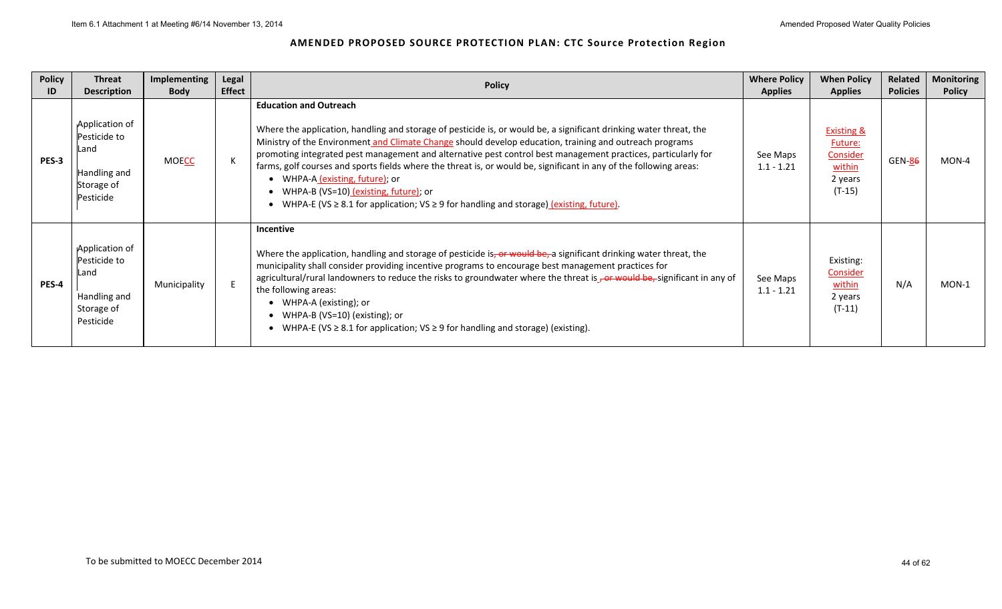| <b>Policy</b><br>ID | <b>Threat</b><br><b>Description</b>                                               | <b>Implementing</b><br><b>Body</b> | Legal<br><b>Effect</b> | <b>Policy</b>                                                                                                                                                                                                                                                                                                                                                                                                                                                                                                                                                                                                                                                                             | <b>Where Policy</b><br><b>Applies</b> | <b>When Policy</b><br><b>Applies</b>                                          | Related<br><b>Policies</b> | <b>Monitoring</b><br><b>Policy</b> |
|---------------------|-----------------------------------------------------------------------------------|------------------------------------|------------------------|-------------------------------------------------------------------------------------------------------------------------------------------------------------------------------------------------------------------------------------------------------------------------------------------------------------------------------------------------------------------------------------------------------------------------------------------------------------------------------------------------------------------------------------------------------------------------------------------------------------------------------------------------------------------------------------------|---------------------------------------|-------------------------------------------------------------------------------|----------------------------|------------------------------------|
| PES-3               | Application of<br>Pesticide to<br>Land<br>Handling and<br>Storage of<br>Pesticide | <b>MOECC</b>                       |                        | <b>Education and Outreach</b><br>Where the application, handling and storage of pesticide is, or would be, a significant drinking water threat, the<br>Ministry of the Environment and Climate Change should develop education, training and outreach programs<br>promoting integrated pest management and alternative pest control best management practices, particularly for<br>farms, golf courses and sports fields where the threat is, or would be, significant in any of the following areas:<br>• WHPA-A (existing, future); or<br>• WHPA-B (VS=10) (existing, future); or<br>• WHPA-E (VS $\geq$ 8.1 for application; VS $\geq$ 9 for handling and storage) (existing, future). | See Maps<br>$1.1 - 1.21$              | <b>Existing &amp;</b><br>Future:<br>Consider<br>within<br>2 years<br>$(T-15)$ | GEN-86                     | MON-4                              |
| PES-4               | Application of<br>Pesticide to<br>Land<br>Handling and<br>Storage of<br>Pesticide | Municipality                       |                        | <b>Incentive</b><br>Where the application, handling and storage of pesticide is, or would be, a significant drinking water threat, the<br>municipality shall consider providing incentive programs to encourage best management practices for<br>agricultural/rural landowners to reduce the risks to groundwater where the threat is $\frac{1}{\sqrt{2}}$ or would be, significant in any of<br>the following areas:<br>WHPA-A (existing); or<br>• WHPA-B (VS=10) (existing); or<br>• WHPA-E (VS $\geq$ 8.1 for application; VS $\geq$ 9 for handling and storage) (existing).                                                                                                           | See Maps<br>$1.1 - 1.21$              | Existing:<br><b>Consider</b><br>within<br>2 years<br>$(T-11)$                 | N/A                        | MON-1                              |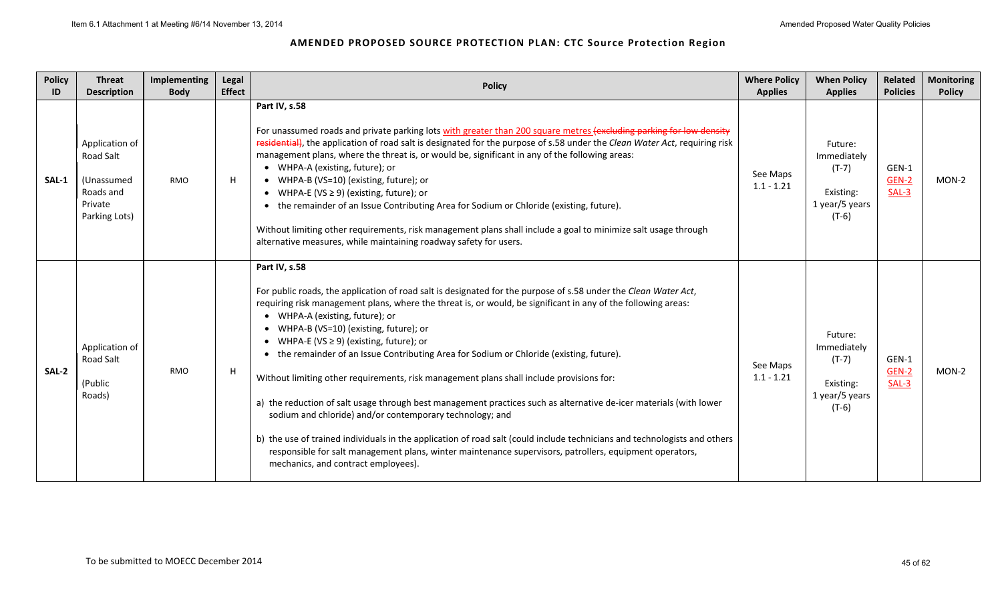| <b>Policy</b><br>ID | <b>Threat</b><br><b>Description</b>                                                | <b>Implementing</b><br><b>Body</b> | Legal<br><b>Effect</b> | <b>Policy</b>                                                                                                                                                                                                                                                                                                                                                                                                                                                                                                                                                                                                                                                                                                                                                                                                                                                                                                                                                                                                                                    | <b>Where Policy</b><br><b>Applies</b> | <b>When Policy</b><br><b>Applies</b>                                        | Related<br><b>Policies</b> | <b>Monitoring</b><br><b>Policy</b> |
|---------------------|------------------------------------------------------------------------------------|------------------------------------|------------------------|--------------------------------------------------------------------------------------------------------------------------------------------------------------------------------------------------------------------------------------------------------------------------------------------------------------------------------------------------------------------------------------------------------------------------------------------------------------------------------------------------------------------------------------------------------------------------------------------------------------------------------------------------------------------------------------------------------------------------------------------------------------------------------------------------------------------------------------------------------------------------------------------------------------------------------------------------------------------------------------------------------------------------------------------------|---------------------------------------|-----------------------------------------------------------------------------|----------------------------|------------------------------------|
| SAL-1               | Application of<br>Road Salt<br>(Unassumed<br>Roads and<br>Private<br>Parking Lots) | <b>RMO</b>                         | H                      | Part IV, s.58<br>For unassumed roads and private parking lots with greater than 200 square metres (excluding parking for low density<br>residential), the application of road salt is designated for the purpose of s.58 under the Clean Water Act, requiring risk<br>management plans, where the threat is, or would be, significant in any of the following areas:<br>• WHPA-A (existing, future); or<br>• WHPA-B (VS=10) (existing, future); or<br>• WHPA-E (VS $\geq$ 9) (existing, future); or<br>the remainder of an Issue Contributing Area for Sodium or Chloride (existing, future).<br>Without limiting other requirements, risk management plans shall include a goal to minimize salt usage through<br>alternative measures, while maintaining roadway safety for users.                                                                                                                                                                                                                                                             | See Maps<br>$1.1 - 1.21$              | Future:<br>Immediately<br>$(T-7)$<br>Existing:<br>1 year/5 years<br>$(T-6)$ | GEN-1<br>GEN-2<br>$SAL-3$  | $MON-2$                            |
| SAL-2               | Application of<br><b>Road Salt</b><br>(Public<br>Roads)                            | <b>RMO</b>                         | H                      | Part IV, s.58<br>For public roads, the application of road salt is designated for the purpose of s.58 under the Clean Water Act,<br>requiring risk management plans, where the threat is, or would, be significant in any of the following areas:<br>WHPA-A (existing, future); or<br>$\bullet$<br>WHPA-B (VS=10) (existing, future); or<br>WHPA-E (VS $\geq$ 9) (existing, future); or<br>• the remainder of an Issue Contributing Area for Sodium or Chloride (existing, future).<br>Without limiting other requirements, risk management plans shall include provisions for:<br>a) the reduction of salt usage through best management practices such as alternative de-icer materials (with lower<br>sodium and chloride) and/or contemporary technology; and<br>b) the use of trained individuals in the application of road salt (could include technicians and technologists and others<br>responsible for salt management plans, winter maintenance supervisors, patrollers, equipment operators,<br>mechanics, and contract employees). | See Maps<br>$1.1 - 1.21$              | Future:<br>Immediately<br>$(T-7)$<br>Existing:<br>1 year/5 years<br>$(T-6)$ | GEN-1<br>GEN-2<br>SAL-3    | MON-2                              |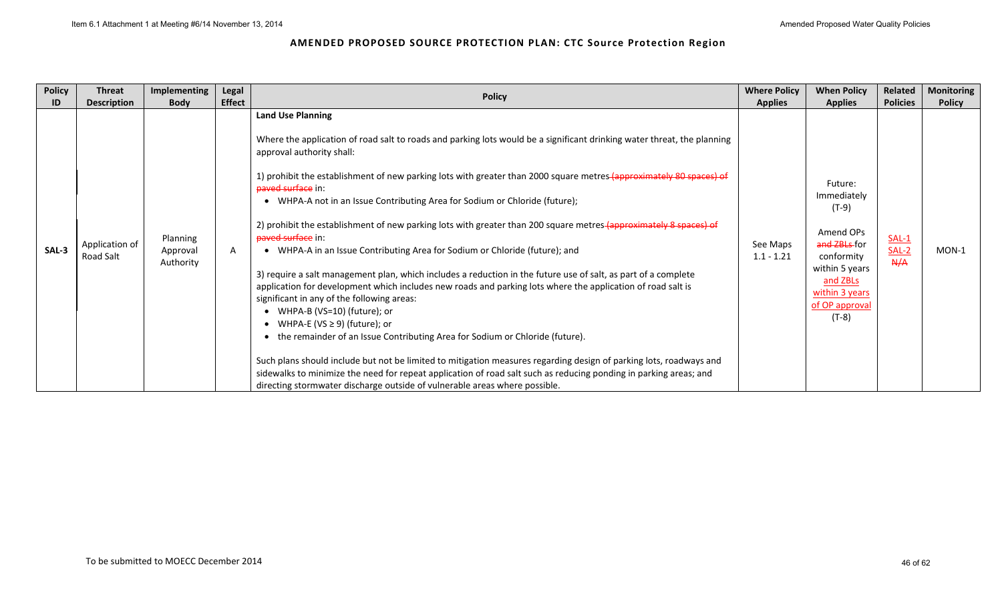| <b>Policy</b> | <b>Threat</b>               | Implementing                      | Legal         | <b>Policy</b>                                                                                                                                                                                                                                                                                                                                                                                                                                                                                                                                                                                                                                                                                                                                                                                                                                                                                                                                                                                                                                                                                                                                                                                                                                                                                                                                                                                      | <b>Where Policy</b>      | <b>When Policy</b>                                                                                                                                        | Related                   | <b>Monitoring</b> |
|---------------|-----------------------------|-----------------------------------|---------------|----------------------------------------------------------------------------------------------------------------------------------------------------------------------------------------------------------------------------------------------------------------------------------------------------------------------------------------------------------------------------------------------------------------------------------------------------------------------------------------------------------------------------------------------------------------------------------------------------------------------------------------------------------------------------------------------------------------------------------------------------------------------------------------------------------------------------------------------------------------------------------------------------------------------------------------------------------------------------------------------------------------------------------------------------------------------------------------------------------------------------------------------------------------------------------------------------------------------------------------------------------------------------------------------------------------------------------------------------------------------------------------------------|--------------------------|-----------------------------------------------------------------------------------------------------------------------------------------------------------|---------------------------|-------------------|
| ID            | <b>Description</b>          | <b>Body</b>                       | <b>Effect</b> |                                                                                                                                                                                                                                                                                                                                                                                                                                                                                                                                                                                                                                                                                                                                                                                                                                                                                                                                                                                                                                                                                                                                                                                                                                                                                                                                                                                                    | <b>Applies</b>           | <b>Applies</b>                                                                                                                                            | <b>Policies</b>           | <b>Policy</b>     |
| SAL-3         | Application of<br>Road Salt | Planning<br>Approval<br>Authority | A             | <b>Land Use Planning</b><br>Where the application of road salt to roads and parking lots would be a significant drinking water threat, the planning<br>approval authority shall:<br>1) prohibit the establishment of new parking lots with greater than 2000 square metres-(approximately 80 spaces) of<br>paved surface in:<br>• WHPA-A not in an Issue Contributing Area for Sodium or Chloride (future);<br>2) prohibit the establishment of new parking lots with greater than 200 square metres-(approximately 8 spaces) of<br>paved surface in:<br>• WHPA-A in an Issue Contributing Area for Sodium or Chloride (future); and<br>3) require a salt management plan, which includes a reduction in the future use of salt, as part of a complete<br>application for development which includes new roads and parking lots where the application of road salt is<br>significant in any of the following areas:<br>• WHPA-B (VS=10) (future); or<br>WHPA-E (VS $\geq$ 9) (future); or<br>the remainder of an Issue Contributing Area for Sodium or Chloride (future).<br>Such plans should include but not be limited to mitigation measures regarding design of parking lots, roadways and<br>sidewalks to minimize the need for repeat application of road salt such as reducing ponding in parking areas; and<br>directing stormwater discharge outside of vulnerable areas where possible. | See Maps<br>$1.1 - 1.21$ | Future:<br>Immediately<br>$(T-9)$<br>Amend OPs<br>and ZBLs-for<br>conformity<br>within 5 years<br>and ZBLs<br>within 3 years<br>of OP approval<br>$(T-8)$ | $SAL-1$<br>$SAL-2$<br>A/A | MON-1             |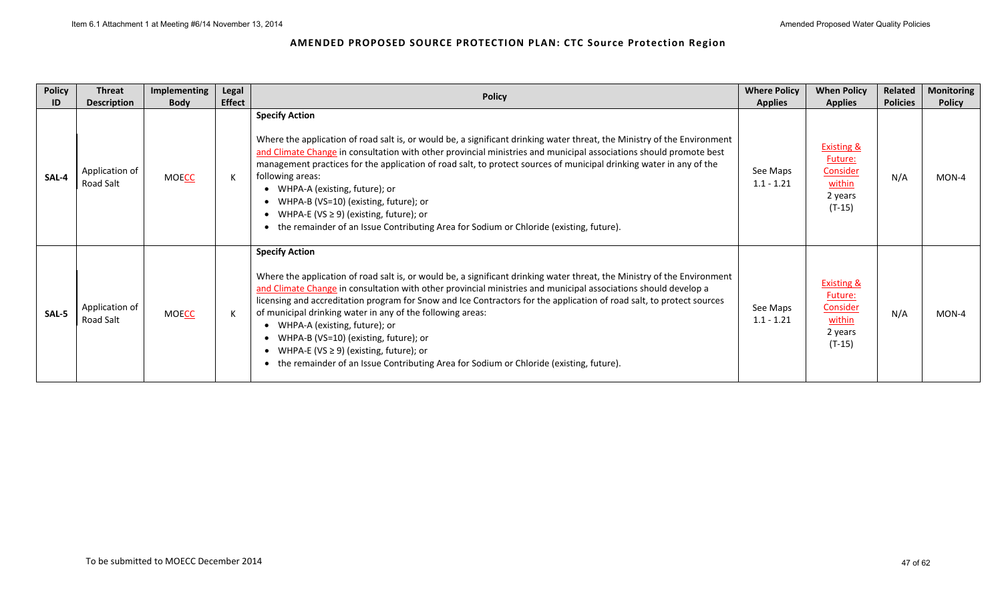| <b>Policy</b> | <b>Threat</b>                                     | Implementing                | Legal         | <b>Policy</b>                                                                                                                                                                                                                                                                                                                                                                                                                                                                                                                                                                                                                                                                  | <b>Where Policy</b>                        | <b>When Policy</b>                                                                              | Related                | <b>Monitoring</b>      |
|---------------|---------------------------------------------------|-----------------------------|---------------|--------------------------------------------------------------------------------------------------------------------------------------------------------------------------------------------------------------------------------------------------------------------------------------------------------------------------------------------------------------------------------------------------------------------------------------------------------------------------------------------------------------------------------------------------------------------------------------------------------------------------------------------------------------------------------|--------------------------------------------|-------------------------------------------------------------------------------------------------|------------------------|------------------------|
| ID<br>SAL-4   | <b>Description</b><br>Application of<br>Road Salt | <b>Body</b><br><b>MOECC</b> | <b>Effect</b> | <b>Specify Action</b><br>Where the application of road salt is, or would be, a significant drinking water threat, the Ministry of the Environment<br>and Climate Change in consultation with other provincial ministries and municipal associations should promote best<br>management practices for the application of road salt, to protect sources of municipal drinking water in any of the<br>following areas:<br>WHPA-A (existing, future); or<br>WHPA-B (VS=10) (existing, future); or<br>WHPA-E (VS $\geq$ 9) (existing, future); or<br>the remainder of an Issue Contributing Area for Sodium or Chloride (existing, future).                                          | <b>Applies</b><br>See Maps<br>$1.1 - 1.21$ | <b>Applies</b><br><b>Existing &amp;</b><br>Future:<br>Consider<br>within<br>2 years<br>$(T-15)$ | <b>Policies</b><br>N/A | <b>Policy</b><br>MON-4 |
| SAL-5         | Application of<br>Road Salt                       | <b>MOECC</b>                |               | <b>Specify Action</b><br>Where the application of road salt is, or would be, a significant drinking water threat, the Ministry of the Environment<br>and Climate Change in consultation with other provincial ministries and municipal associations should develop a<br>licensing and accreditation program for Snow and Ice Contractors for the application of road salt, to protect sources<br>of municipal drinking water in any of the following areas:<br>WHPA-A (existing, future); or<br>WHPA-B (VS=10) (existing, future); or<br>WHPA-E (VS $\geq$ 9) (existing, future); or<br>the remainder of an Issue Contributing Area for Sodium or Chloride (existing, future). | See Maps<br>$1.1 - 1.21$                   | <b>Existing &amp;</b><br>Future:<br>Consider<br>within<br>2 years<br>$(T-15)$                   | N/A                    | MON-4                  |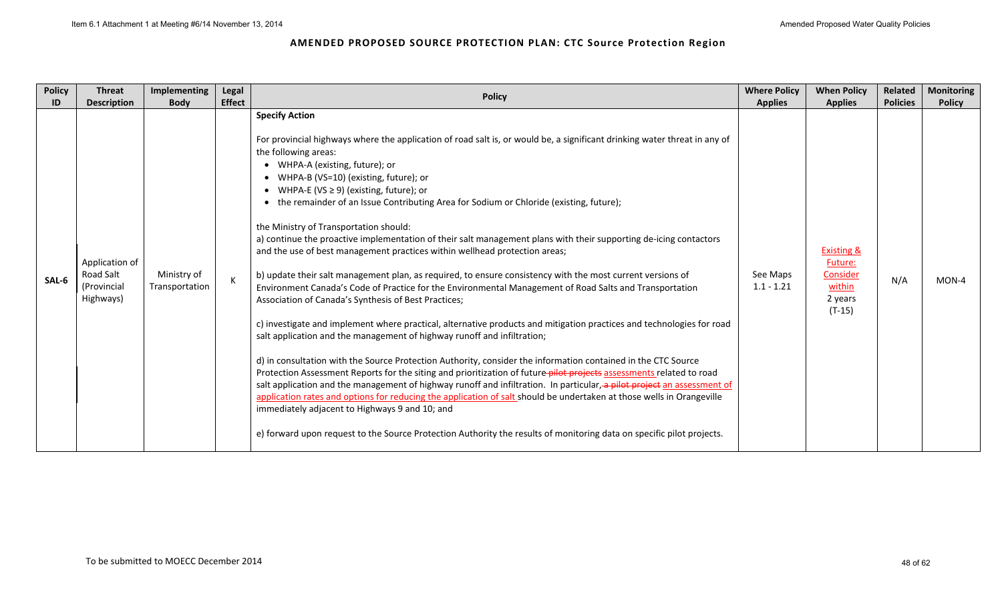| <b>Policy</b> | <b>Threat</b>                                           | <b>Implementing</b>           | Legal         | <b>Policy</b>                                                                                                                                                                                                                                                                                                                                                                                                                                                                                                                                                                                                                                                                                                                                                                                                                                                                                                                                                                                                                                                                                                                                                                                                                                                                                                                                                                                                                                                                                                                                                                                                                                                                                                                                                                                           | <b>Where Policy</b>      | <b>When Policy</b>                                                            | Related         | <b>Monitoring</b> |
|---------------|---------------------------------------------------------|-------------------------------|---------------|---------------------------------------------------------------------------------------------------------------------------------------------------------------------------------------------------------------------------------------------------------------------------------------------------------------------------------------------------------------------------------------------------------------------------------------------------------------------------------------------------------------------------------------------------------------------------------------------------------------------------------------------------------------------------------------------------------------------------------------------------------------------------------------------------------------------------------------------------------------------------------------------------------------------------------------------------------------------------------------------------------------------------------------------------------------------------------------------------------------------------------------------------------------------------------------------------------------------------------------------------------------------------------------------------------------------------------------------------------------------------------------------------------------------------------------------------------------------------------------------------------------------------------------------------------------------------------------------------------------------------------------------------------------------------------------------------------------------------------------------------------------------------------------------------------|--------------------------|-------------------------------------------------------------------------------|-----------------|-------------------|
| ID            | <b>Description</b>                                      | <b>Body</b>                   | <b>Effect</b> |                                                                                                                                                                                                                                                                                                                                                                                                                                                                                                                                                                                                                                                                                                                                                                                                                                                                                                                                                                                                                                                                                                                                                                                                                                                                                                                                                                                                                                                                                                                                                                                                                                                                                                                                                                                                         | <b>Applies</b>           | <b>Applies</b>                                                                | <b>Policies</b> | <b>Policy</b>     |
| SAL-6         | Application of<br>Road Salt<br>(Provincial<br>Highways) | Ministry of<br>Transportation | K             | <b>Specify Action</b><br>For provincial highways where the application of road salt is, or would be, a significant drinking water threat in any of<br>the following areas:<br>WHPA-A (existing, future); or<br>WHPA-B (VS=10) (existing, future); or<br>WHPA-E (VS $\geq$ 9) (existing, future); or<br>the remainder of an Issue Contributing Area for Sodium or Chloride (existing, future);<br>the Ministry of Transportation should:<br>a) continue the proactive implementation of their salt management plans with their supporting de-icing contactors<br>and the use of best management practices within wellhead protection areas;<br>b) update their salt management plan, as required, to ensure consistency with the most current versions of<br>Environment Canada's Code of Practice for the Environmental Management of Road Salts and Transportation<br>Association of Canada's Synthesis of Best Practices;<br>c) investigate and implement where practical, alternative products and mitigation practices and technologies for road<br>salt application and the management of highway runoff and infiltration;<br>d) in consultation with the Source Protection Authority, consider the information contained in the CTC Source<br>Protection Assessment Reports for the siting and prioritization of future-pilot-projects assessments related to road<br>salt application and the management of highway runoff and infiltration. In particular, a pilot project an assessment of<br>application rates and options for reducing the application of salt should be undertaken at those wells in Orangeville<br>immediately adjacent to Highways 9 and 10; and<br>e) forward upon request to the Source Protection Authority the results of monitoring data on specific pilot projects. | See Maps<br>$1.1 - 1.21$ | <b>Existing &amp;</b><br>Future:<br>Consider<br>within<br>2 years<br>$(T-15)$ | N/A             | MON-4             |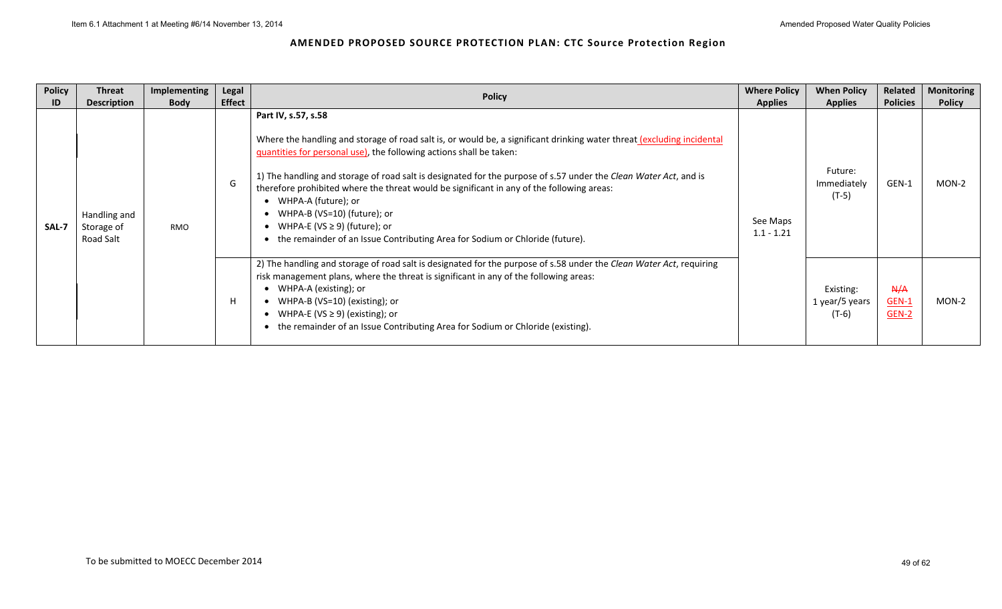| <b>Policy</b> | <b>Threat</b>                           | Implementing | Legal         |                                                                                                                                                                                                                                                                                                                                                                                                                                                                                                                                                                                                                               | <b>Where Policy</b>      | <b>When Policy</b>                     | Related                      | <b>Monitoring</b> |
|---------------|-----------------------------------------|--------------|---------------|-------------------------------------------------------------------------------------------------------------------------------------------------------------------------------------------------------------------------------------------------------------------------------------------------------------------------------------------------------------------------------------------------------------------------------------------------------------------------------------------------------------------------------------------------------------------------------------------------------------------------------|--------------------------|----------------------------------------|------------------------------|-------------------|
| ID            | <b>Description</b>                      | <b>Body</b>  | <b>Effect</b> | <b>Policy</b>                                                                                                                                                                                                                                                                                                                                                                                                                                                                                                                                                                                                                 | <b>Applies</b>           | <b>Applies</b>                         | <b>Policies</b>              | <b>Policy</b>     |
| SAL-7         | Handling and<br>Storage of<br>Road Salt | <b>RMO</b>   | G             | Part IV, s.57, s.58<br>Where the handling and storage of road salt is, or would be, a significant drinking water threat (excluding incidental<br>quantities for personal use), the following actions shall be taken:<br>1) The handling and storage of road salt is designated for the purpose of s.57 under the Clean Water Act, and is<br>therefore prohibited where the threat would be significant in any of the following areas:<br>WHPA-A (future); or<br>$\bullet$<br>WHPA-B (VS=10) (future); or<br>WHPA-E (VS $\geq$ 9) (future); or<br>the remainder of an Issue Contributing Area for Sodium or Chloride (future). | See Maps<br>$1.1 - 1.21$ | Future:<br>Immediately<br>$(T-5)$      | GEN-1                        | MON-2             |
|               |                                         |              | н             | 2) The handling and storage of road salt is designated for the purpose of s.58 under the Clean Water Act, requiring<br>risk management plans, where the threat is significant in any of the following areas:<br>WHPA-A (existing); or<br>WHPA-B (VS=10) (existing); or<br>WHPA-E (VS $\geq$ 9) (existing); or<br>the remainder of an Issue Contributing Area for Sodium or Chloride (existing).                                                                                                                                                                                                                               |                          | Existing:<br>1 year/5 years<br>$(T-6)$ | A/A<br><b>GEN-1</b><br>GEN-2 | MON-2             |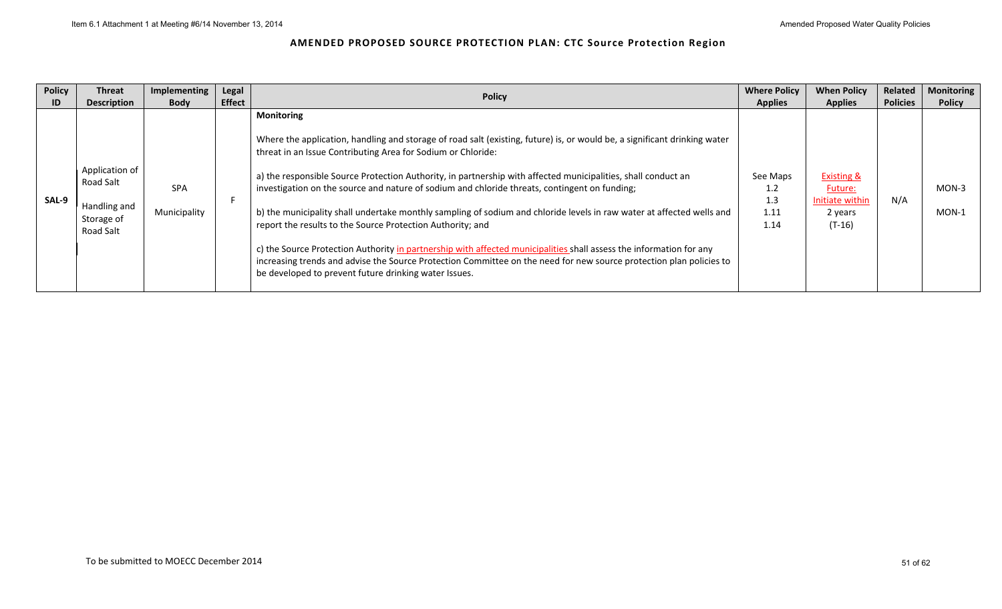| <b>Policy</b> | <b>Threat</b>                                                          | Implementing               | Legal         | <b>Policy</b>                                                                                                                                                                                                                                                                                                                                                                                                                                                                                                                                                                                                                                                                                                                                                                                                                                                                                                                  | <b>Where Policy</b>                    | <b>When Policy</b>                                                         | Related         | <b>Monitoring</b>  |
|---------------|------------------------------------------------------------------------|----------------------------|---------------|--------------------------------------------------------------------------------------------------------------------------------------------------------------------------------------------------------------------------------------------------------------------------------------------------------------------------------------------------------------------------------------------------------------------------------------------------------------------------------------------------------------------------------------------------------------------------------------------------------------------------------------------------------------------------------------------------------------------------------------------------------------------------------------------------------------------------------------------------------------------------------------------------------------------------------|----------------------------------------|----------------------------------------------------------------------------|-----------------|--------------------|
| ID            | <b>Description</b>                                                     | <b>Body</b>                | <b>Effect</b> |                                                                                                                                                                                                                                                                                                                                                                                                                                                                                                                                                                                                                                                                                                                                                                                                                                                                                                                                | <b>Applies</b>                         | <b>Applies</b>                                                             | <b>Policies</b> | <b>Policy</b>      |
| SAL-9         | Application of<br>Road Salt<br>Handling and<br>Storage of<br>Road Salt | <b>SPA</b><br>Municipality |               | <b>Monitoring</b><br>Where the application, handling and storage of road salt (existing, future) is, or would be, a significant drinking water<br>threat in an Issue Contributing Area for Sodium or Chloride:<br>a) the responsible Source Protection Authority, in partnership with affected municipalities, shall conduct an<br>investigation on the source and nature of sodium and chloride threats, contingent on funding;<br>b) the municipality shall undertake monthly sampling of sodium and chloride levels in raw water at affected wells and<br>report the results to the Source Protection Authority; and<br>c) the Source Protection Authority in partnership with affected municipalities shall assess the information for any<br>increasing trends and advise the Source Protection Committee on the need for new source protection plan policies to<br>be developed to prevent future drinking water Issues. | See Maps<br>1.2<br>1.3<br>1.11<br>1.14 | <b>Existing &amp;</b><br>Future:<br>Initiate within<br>2 years<br>$(T-16)$ | N/A             | $MON-3$<br>$MON-1$ |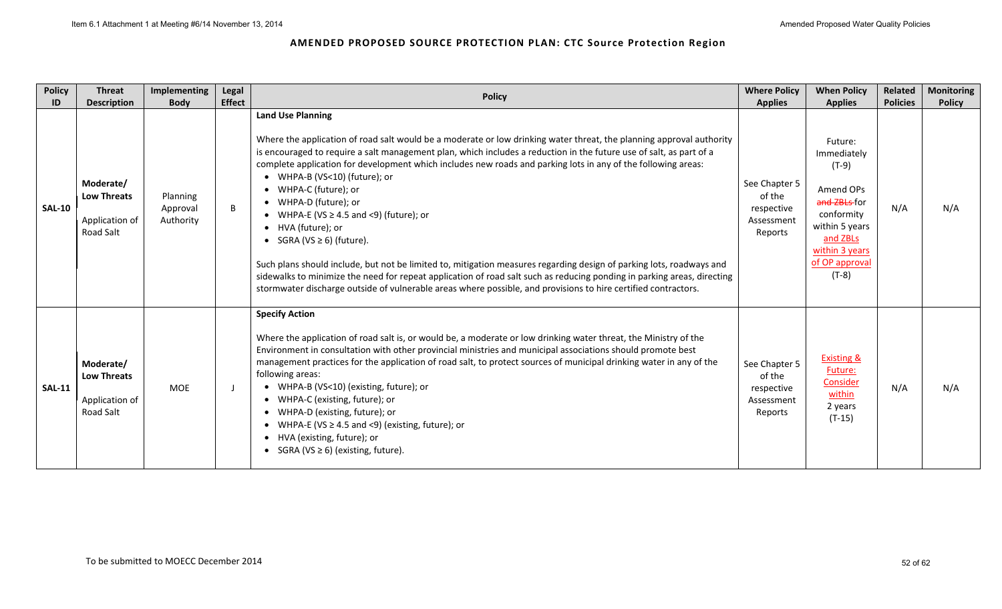| <b>Policy</b><br>ID | <b>Threat</b><br><b>Description</b>                            | Implementing<br><b>Body</b>       | Legal<br><b>Effect</b> | <b>Policy</b>                                                                                                                                                                                                                                                                                                                                                                                                                                                                                                                                                                                                                                                                                                                                                                                                                                                                                                                                                       | <b>Where Policy</b><br><b>Applies</b>                          | <b>When Policy</b><br><b>Applies</b>                                                                                                                      | Related<br><b>Policies</b> | <b>Monitoring</b><br><b>Policy</b> |
|---------------------|----------------------------------------------------------------|-----------------------------------|------------------------|---------------------------------------------------------------------------------------------------------------------------------------------------------------------------------------------------------------------------------------------------------------------------------------------------------------------------------------------------------------------------------------------------------------------------------------------------------------------------------------------------------------------------------------------------------------------------------------------------------------------------------------------------------------------------------------------------------------------------------------------------------------------------------------------------------------------------------------------------------------------------------------------------------------------------------------------------------------------|----------------------------------------------------------------|-----------------------------------------------------------------------------------------------------------------------------------------------------------|----------------------------|------------------------------------|
| <b>SAL-10</b>       | Moderate/<br><b>Low Threats</b><br>Application of<br>Road Salt | Planning<br>Approval<br>Authority | B                      | <b>Land Use Planning</b><br>Where the application of road salt would be a moderate or low drinking water threat, the planning approval authority<br>is encouraged to require a salt management plan, which includes a reduction in the future use of salt, as part of a<br>complete application for development which includes new roads and parking lots in any of the following areas:<br>• WHPA-B (VS<10) (future); or<br>• WHPA-C (future); or<br>• WHPA-D (future); or<br>• WHPA-E (VS $\geq$ 4.5 and <9) (future); or<br>• HVA (future); or<br>SGRA (VS $\geq$ 6) (future).<br>$\bullet$<br>Such plans should include, but not be limited to, mitigation measures regarding design of parking lots, roadways and<br>sidewalks to minimize the need for repeat application of road salt such as reducing ponding in parking areas, directing<br>stormwater discharge outside of vulnerable areas where possible, and provisions to hire certified contractors. | See Chapter 5<br>of the<br>respective<br>Assessment<br>Reports | Future:<br>Immediately<br>$(T-9)$<br>Amend OPs<br>and ZBLs-for<br>conformity<br>within 5 years<br>and ZBLs<br>within 3 years<br>of OP approval<br>$(T-8)$ | N/A                        | N/A                                |
| <b>SAL-11</b>       | Moderate/<br><b>Low Threats</b><br>Application of<br>Road Salt | <b>MOE</b>                        |                        | <b>Specify Action</b><br>Where the application of road salt is, or would be, a moderate or low drinking water threat, the Ministry of the<br>Environment in consultation with other provincial ministries and municipal associations should promote best<br>management practices for the application of road salt, to protect sources of municipal drinking water in any of the<br>following areas:<br>• WHPA-B (VS<10) (existing, future); or<br>WHPA-C (existing, future); or<br>WHPA-D (existing, future); or<br>WHPA-E (VS $\geq$ 4.5 and <9) (existing, future); or<br>HVA (existing, future); or<br>SGRA (VS $\geq$ 6) (existing, future).                                                                                                                                                                                                                                                                                                                    | See Chapter 5<br>of the<br>respective<br>Assessment<br>Reports | <b>Existing &amp;</b><br>Future:<br>Consider<br>within<br>2 years<br>$(T-15)$                                                                             | N/A                        | N/A                                |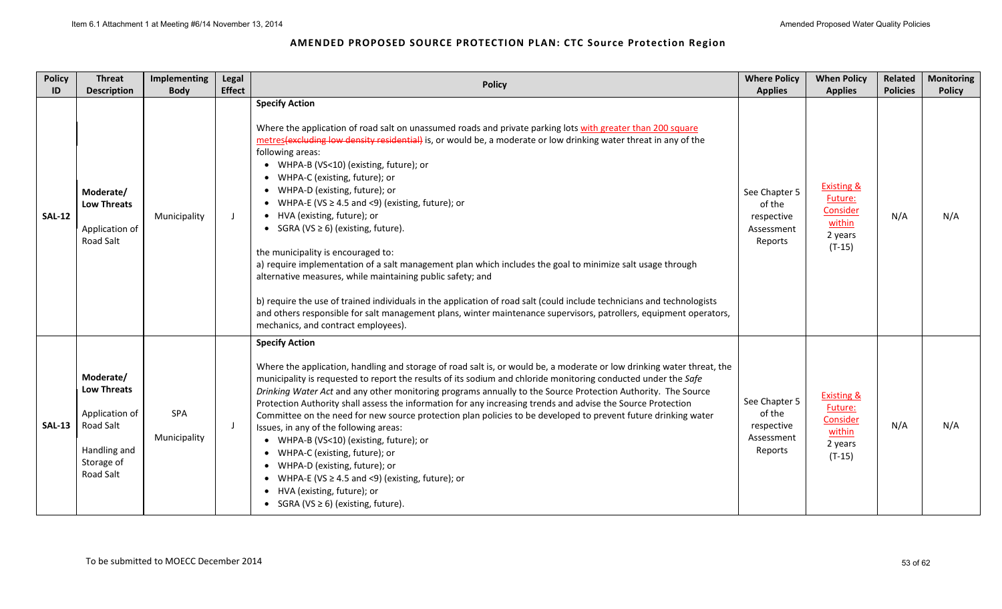| <b>Policy</b><br>ID | <b>Threat</b><br><b>Description</b>                                                                       | Implementing<br><b>Body</b> | Legal<br><b>Effect</b> | <b>Policy</b>                                                                                                                                                                                                                                                                                                                                                                                                                                                                                                                                                                                                                                                                                                                                                                                                                                                                                                                                                                                                                           | <b>Where Policy</b><br><b>Applies</b>                          | <b>When Policy</b><br><b>Applies</b>                                          | Related<br><b>Policies</b> | <b>Monitoring</b><br><b>Policy</b> |
|---------------------|-----------------------------------------------------------------------------------------------------------|-----------------------------|------------------------|-----------------------------------------------------------------------------------------------------------------------------------------------------------------------------------------------------------------------------------------------------------------------------------------------------------------------------------------------------------------------------------------------------------------------------------------------------------------------------------------------------------------------------------------------------------------------------------------------------------------------------------------------------------------------------------------------------------------------------------------------------------------------------------------------------------------------------------------------------------------------------------------------------------------------------------------------------------------------------------------------------------------------------------------|----------------------------------------------------------------|-------------------------------------------------------------------------------|----------------------------|------------------------------------|
| <b>SAL-12</b>       | Moderate/<br><b>Low Threats</b><br>Application of<br><b>Road Salt</b>                                     | Municipality                | $\Box$                 | <b>Specify Action</b><br>Where the application of road salt on unassumed roads and private parking lots with greater than 200 square<br>metres (excluding low density residential) is, or would be, a moderate or low drinking water threat in any of the<br>following areas:<br>• WHPA-B (VS<10) (existing, future); or<br>WHPA-C (existing, future); or<br>WHPA-D (existing, future); or<br>WHPA-E (VS $\geq$ 4.5 and <9) (existing, future); or<br>• HVA (existing, future); or<br>• SGRA (VS $\geq$ 6) (existing, future).<br>the municipality is encouraged to:<br>a) require implementation of a salt management plan which includes the goal to minimize salt usage through<br>alternative measures, while maintaining public safety; and<br>b) require the use of trained individuals in the application of road salt (could include technicians and technologists<br>and others responsible for salt management plans, winter maintenance supervisors, patrollers, equipment operators,<br>mechanics, and contract employees). | See Chapter 5<br>of the<br>respective<br>Assessment<br>Reports | <b>Existing &amp;</b><br>Future:<br>Consider<br>within<br>2 years<br>$(T-15)$ | N/A                        | N/A                                |
| <b>SAL-13</b>       | Moderate/<br><b>Low Threats</b><br>Application of<br>Road Salt<br>Handling and<br>Storage of<br>Road Salt | SPA<br>Municipality         | J                      | <b>Specify Action</b><br>Where the application, handling and storage of road salt is, or would be, a moderate or low drinking water threat, the<br>municipality is requested to report the results of its sodium and chloride monitoring conducted under the Safe<br>Drinking Water Act and any other monitoring programs annually to the Source Protection Authority. The Source<br>Protection Authority shall assess the information for any increasing trends and advise the Source Protection<br>Committee on the need for new source protection plan policies to be developed to prevent future drinking water<br>Issues, in any of the following areas:<br>• WHPA-B (VS<10) (existing, future); or<br>WHPA-C (existing, future); or<br>WHPA-D (existing, future); or<br>WHPA-E (VS $\geq$ 4.5 and <9) (existing, future); or<br>HVA (existing, future); or<br>• SGRA (VS $\geq$ 6) (existing, future).                                                                                                                            | See Chapter 5<br>of the<br>respective<br>Assessment<br>Reports | <b>Existing &amp;</b><br>Future:<br>Consider<br>within<br>2 years<br>$(T-15)$ | N/A                        | N/A                                |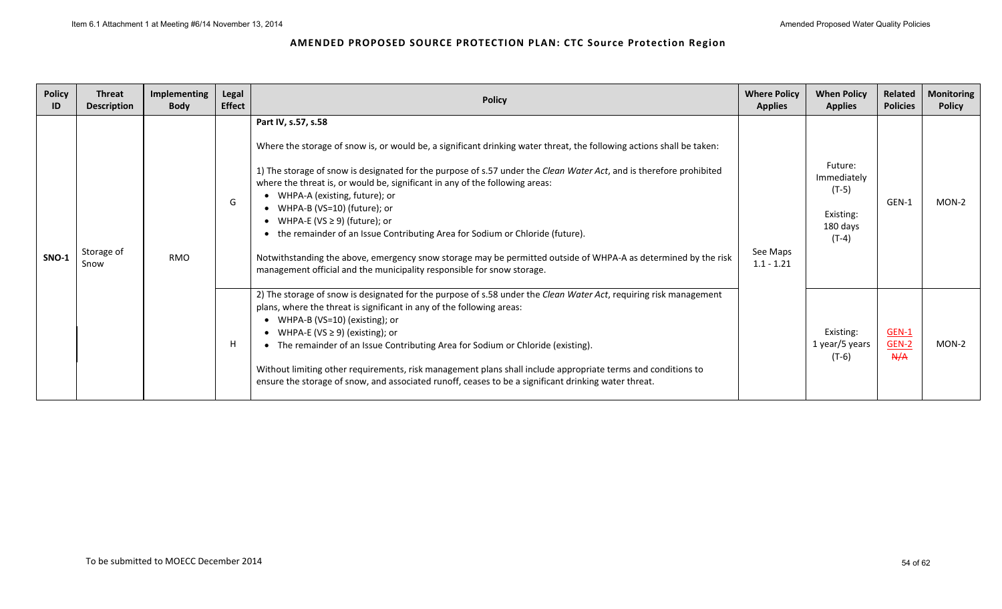| <b>Policy</b><br>ID | <b>Threat</b><br><b>Description</b> | Implementing<br><b>Body</b> | Legal<br><b>Effect</b> | <b>Policy</b>                                                                                                                                                                                                                                                                                                                                                                                                                                                                                                                                                                                                                                                                                                                          | <b>Where Policy</b><br><b>Applies</b> | <b>When Policy</b><br><b>Applies</b>                                  | Related<br><b>Policies</b> | <b>Monitoring</b><br><b>Policy</b> |
|---------------------|-------------------------------------|-----------------------------|------------------------|----------------------------------------------------------------------------------------------------------------------------------------------------------------------------------------------------------------------------------------------------------------------------------------------------------------------------------------------------------------------------------------------------------------------------------------------------------------------------------------------------------------------------------------------------------------------------------------------------------------------------------------------------------------------------------------------------------------------------------------|---------------------------------------|-----------------------------------------------------------------------|----------------------------|------------------------------------|
| SNO-1               | Storage of<br>Snow                  | <b>RMO</b>                  | G                      | Part IV, s.57, s.58<br>Where the storage of snow is, or would be, a significant drinking water threat, the following actions shall be taken:<br>1) The storage of snow is designated for the purpose of s.57 under the Clean Water Act, and is therefore prohibited<br>where the threat is, or would be, significant in any of the following areas:<br>WHPA-A (existing, future); or<br>• WHPA-B (VS=10) (future); or<br>WHPA-E (VS $\geq$ 9) (future); or<br>the remainder of an Issue Contributing Area for Sodium or Chloride (future).<br>Notwithstanding the above, emergency snow storage may be permitted outside of WHPA-A as determined by the risk<br>management official and the municipality responsible for snow storage. | See Maps<br>$1.1 - 1.21$              | Future:<br>Immediately<br>$(T-5)$<br>Existing:<br>180 days<br>$(T-4)$ | GEN-1                      | $MON-2$                            |
|                     |                                     |                             | Н                      | 2) The storage of snow is designated for the purpose of s.58 under the Clean Water Act, requiring risk management<br>plans, where the threat is significant in any of the following areas:<br>WHPA-B (VS=10) (existing); or<br>WHPA-E (VS $\geq$ 9) (existing); or<br>The remainder of an Issue Contributing Area for Sodium or Chloride (existing).<br>Without limiting other requirements, risk management plans shall include appropriate terms and conditions to<br>ensure the storage of snow, and associated runoff, ceases to be a significant drinking water threat.                                                                                                                                                           |                                       | Existing:<br>1 year/5 years<br>(T-6)                                  | $GEN-1$<br>$GEN-2$<br>A/A  | MON-2                              |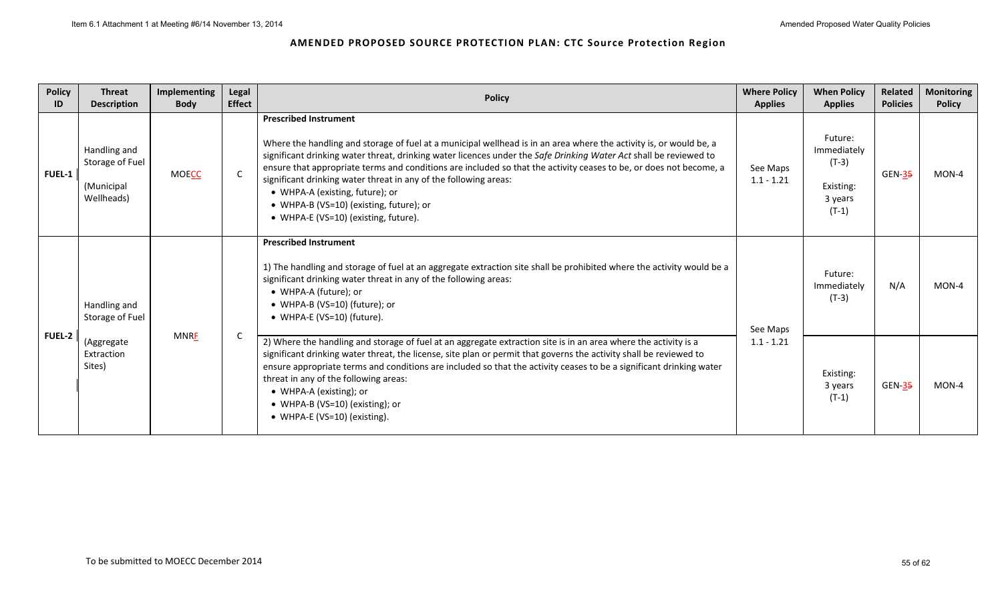| <b>Policy</b><br>ID | <b>Threat</b><br><b>Description</b>                         | Implementing<br><b>Body</b> | Legal<br><b>Effect</b> | <b>Policy</b>                                                                                                                                                                                                                                                                                                                                                                                                                                                                                                                                                                           | <b>Where Policy</b><br><b>Applies</b> | <b>When Policy</b><br><b>Applies</b>                                 | Related<br><b>Policies</b> | <b>Monitoring</b><br><b>Policy</b> |
|---------------------|-------------------------------------------------------------|-----------------------------|------------------------|-----------------------------------------------------------------------------------------------------------------------------------------------------------------------------------------------------------------------------------------------------------------------------------------------------------------------------------------------------------------------------------------------------------------------------------------------------------------------------------------------------------------------------------------------------------------------------------------|---------------------------------------|----------------------------------------------------------------------|----------------------------|------------------------------------|
| <b>FUEL-1</b>       | Handling and<br>Storage of Fuel<br>(Municipal<br>Wellheads) | <b>MOECC</b>                | $\mathsf{C}$           | <b>Prescribed Instrument</b><br>Where the handling and storage of fuel at a municipal wellhead is in an area where the activity is, or would be, a<br>significant drinking water threat, drinking water licences under the Safe Drinking Water Act shall be reviewed to<br>ensure that appropriate terms and conditions are included so that the activity ceases to be, or does not become, a<br>significant drinking water threat in any of the following areas:<br>• WHPA-A (existing, future); or<br>• WHPA-B (VS=10) (existing, future); or<br>• WHPA-E (VS=10) (existing, future). | See Maps<br>$1.1 - 1.21$              | Future:<br>Immediately<br>$(T-3)$<br>Existing:<br>3 years<br>$(T-1)$ | <b>GEN-35</b>              | MON-4                              |
|                     | Handling and<br>Storage of Fuel                             |                             |                        | <b>Prescribed Instrument</b><br>1) The handling and storage of fuel at an aggregate extraction site shall be prohibited where the activity would be a<br>significant drinking water threat in any of the following areas:<br>• WHPA-A (future); or<br>• WHPA-B (VS=10) (future); or<br>• WHPA-E (VS=10) (future).                                                                                                                                                                                                                                                                       | See Maps                              | Future:<br>Immediately<br>$(T-3)$                                    | N/A                        | MON-4                              |
| <b>FUEL-2</b>       | (Aggregate<br>Extraction<br>Sites)                          | <b>MNRF</b>                 | C                      | 2) Where the handling and storage of fuel at an aggregate extraction site is in an area where the activity is a<br>significant drinking water threat, the license, site plan or permit that governs the activity shall be reviewed to<br>ensure appropriate terms and conditions are included so that the activity ceases to be a significant drinking water<br>threat in any of the following areas:<br>• WHPA-A (existing); or<br>• WHPA-B (VS=10) (existing); or<br>• WHPA-E (VS=10) (existing).                                                                                     | $1.1 - 1.21$                          | Existing:<br>3 years<br>$(T-1)$                                      | <b>GEN-35</b>              | MON-4                              |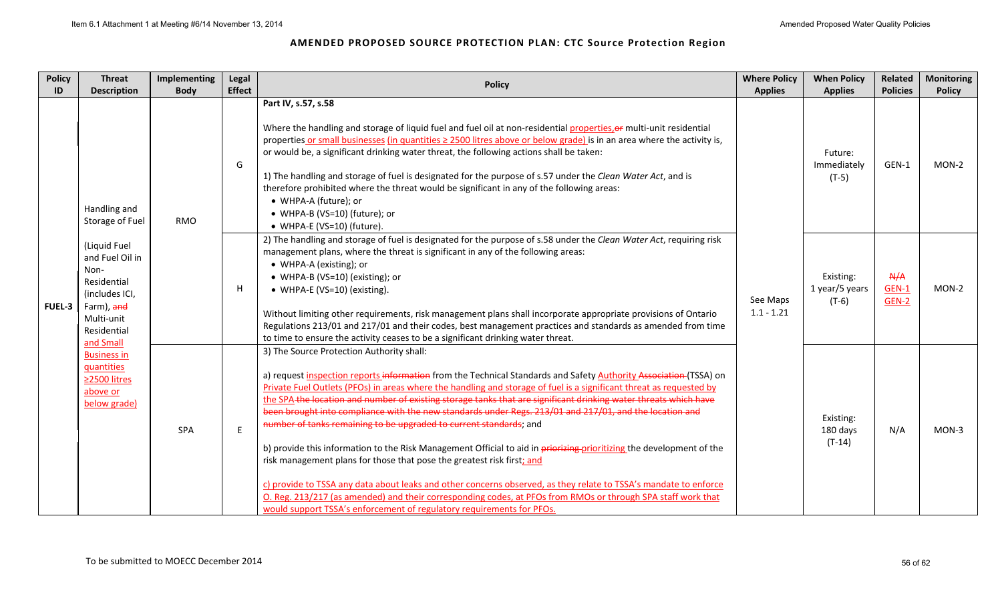| <b>Policy</b> | <b>Threat</b>                                                                                                                    | Implementing | Legal         |                                                                                                                                                                                                                                                                                                                                                                                                                                                                                                                                                                                                                                                                                                                                                                                                                                                                                                                                                                                                                                                                                                           | <b>Where Policy</b>      | <b>When Policy</b>                     | <b>Related</b>        | <b>Monitoring</b> |
|---------------|----------------------------------------------------------------------------------------------------------------------------------|--------------|---------------|-----------------------------------------------------------------------------------------------------------------------------------------------------------------------------------------------------------------------------------------------------------------------------------------------------------------------------------------------------------------------------------------------------------------------------------------------------------------------------------------------------------------------------------------------------------------------------------------------------------------------------------------------------------------------------------------------------------------------------------------------------------------------------------------------------------------------------------------------------------------------------------------------------------------------------------------------------------------------------------------------------------------------------------------------------------------------------------------------------------|--------------------------|----------------------------------------|-----------------------|-------------------|
| ID            | <b>Description</b>                                                                                                               | <b>Body</b>  | <b>Effect</b> | <b>Policy</b>                                                                                                                                                                                                                                                                                                                                                                                                                                                                                                                                                                                                                                                                                                                                                                                                                                                                                                                                                                                                                                                                                             | <b>Applies</b>           | <b>Applies</b>                         | <b>Policies</b>       | <b>Policy</b>     |
|               | Handling and<br>Storage of Fuel                                                                                                  | <b>RMO</b>   | G             | Part IV, s.57, s.58<br>Where the handling and storage of liquid fuel and fuel oil at non-residential properties, or multi-unit residential<br>properties or small businesses (in quantities ≥ 2500 litres above or below grade) is in an area where the activity is,<br>or would be, a significant drinking water threat, the following actions shall be taken:<br>1) The handling and storage of fuel is designated for the purpose of s.57 under the Clean Water Act, and is<br>therefore prohibited where the threat would be significant in any of the following areas:<br>• WHPA-A (future); or<br>• WHPA-B (VS=10) (future); or<br>• WHPA-E (VS=10) (future).                                                                                                                                                                                                                                                                                                                                                                                                                                       |                          | Future:<br>Immediately<br>$(T-5)$      | GEN-1                 | MON-2             |
| <b>FUEL-3</b> | (Liquid Fuel<br>and Fuel Oil in<br>Non-<br>Residential<br>(includes ICI,<br>Farm), and<br>Multi-unit<br>Residential<br>and Small |              | H             | 2) The handling and storage of fuel is designated for the purpose of s.58 under the Clean Water Act, requiring risk<br>management plans, where the threat is significant in any of the following areas:<br>• WHPA-A (existing); or<br>• WHPA-B (VS=10) (existing); or<br>• WHPA-E (VS=10) (existing).<br>Without limiting other requirements, risk management plans shall incorporate appropriate provisions of Ontario<br>Regulations 213/01 and 217/01 and their codes, best management practices and standards as amended from time<br>to time to ensure the activity ceases to be a significant drinking water threat.                                                                                                                                                                                                                                                                                                                                                                                                                                                                                | See Maps<br>$1.1 - 1.21$ | Existing:<br>1 year/5 years<br>$(T-6)$ | A/A<br>GEN-1<br>GEN-2 | MON-2             |
|               | <b>Business in</b><br>quantities<br>≥2500 litres<br>above or<br>below grade)                                                     | SPA          | E             | 3) The Source Protection Authority shall:<br>a) request inspection reports information from the Technical Standards and Safety Authority Association (TSSA) on<br>Private Fuel Outlets (PFOs) in areas where the handling and storage of fuel is a significant threat as requested by<br>the SPA-the-location and number of existing storage tanks that are significant drinking water threats which have<br>been brought into compliance with the new standards under Regs. 213/01 and 217/01, and the location and<br>number of tanks remaining to be upgraded to current standards; and<br>b) provide this information to the Risk Management Official to aid in priorizing prioritizing the development of the<br>risk management plans for those that pose the greatest risk first; and<br>c) provide to TSSA any data about leaks and other concerns observed, as they relate to TSSA's mandate to enforce<br>O. Reg. 213/217 (as amended) and their corresponding codes, at PFOs from RMOs or through SPA staff work that<br>would support TSSA's enforcement of regulatory requirements for PFOs. |                          | Existing:<br>180 days<br>$(T-14)$      | N/A                   | MON-3             |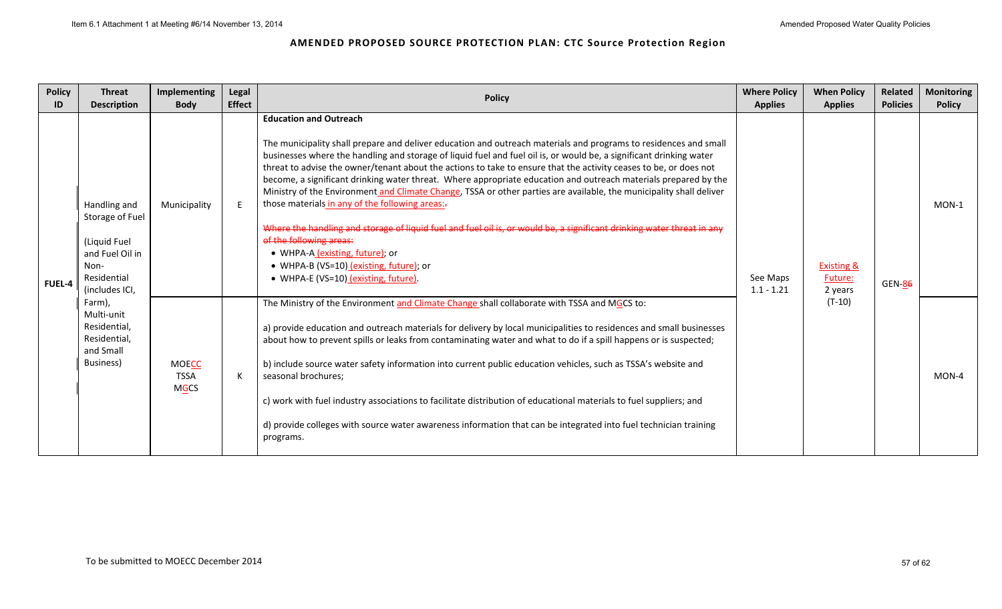| <b>Policy</b><br>ID | <b>Threat</b><br><b>Description</b>                                                                         | Implementing<br><b>Body</b>                | Legal<br><b>Effect</b> | <b>Policy</b>                                                                                                                                                                                                                                                                                                                                                                                                                                                                                                                                                                                                                                                                                                                                                                                                                                                                                                                                                         | <b>Where Policy</b><br><b>Applies</b> | <b>When Policy</b><br><b>Applies</b>               | Related<br><b>Policies</b> | <b>Monitoring</b><br><b>Policy</b> |
|---------------------|-------------------------------------------------------------------------------------------------------------|--------------------------------------------|------------------------|-----------------------------------------------------------------------------------------------------------------------------------------------------------------------------------------------------------------------------------------------------------------------------------------------------------------------------------------------------------------------------------------------------------------------------------------------------------------------------------------------------------------------------------------------------------------------------------------------------------------------------------------------------------------------------------------------------------------------------------------------------------------------------------------------------------------------------------------------------------------------------------------------------------------------------------------------------------------------|---------------------------------------|----------------------------------------------------|----------------------------|------------------------------------|
| <b>FUEL-4</b>       | Handling and<br>Storage of Fuel<br>(Liquid Fuel<br>and Fuel Oil in<br>Non-<br>Residential<br>(includes ICI, | Municipality                               |                        | <b>Education and Outreach</b><br>The municipality shall prepare and deliver education and outreach materials and programs to residences and small<br>businesses where the handling and storage of liquid fuel and fuel oil is, or would be, a significant drinking water<br>threat to advise the owner/tenant about the actions to take to ensure that the activity ceases to be, or does not<br>become, a significant drinking water threat. Where appropriate education and outreach materials prepared by the<br>Ministry of the Environment and Climate Change, TSSA or other parties are available, the municipality shall deliver<br>those materials in any of the following areas:-<br>Where the handling and storage of liquid fuel and fuel oil is, or would be, a significant drinking water threat in any<br>of the following areas:<br>• WHPA-A (existing, future); or<br>• WHPA-B (VS=10) (existing, future); or<br>• WHPA-E (VS=10) (existing, future). | See Maps<br>$1.1 - 1.21$              | <b>Existing &amp;</b><br><b>Future:</b><br>2 years | GEN-8 <del>6</del>         | $MON-1$                            |
|                     | Farm),<br>Multi-unit<br>Residential,<br>Residential,<br>and Small<br>Business)                              | <b>MOECC</b><br><b>TSSA</b><br><b>MGCS</b> | К                      | The Ministry of the Environment and Climate Change shall collaborate with TSSA and MGCS to:<br>a) provide education and outreach materials for delivery by local municipalities to residences and small businesses<br>about how to prevent spills or leaks from contaminating water and what to do if a spill happens or is suspected;<br>b) include source water safety information into current public education vehicles, such as TSSA's website and<br>seasonal brochures;<br>c) work with fuel industry associations to facilitate distribution of educational materials to fuel suppliers; and<br>d) provide colleges with source water awareness information that can be integrated into fuel technician training<br>programs.                                                                                                                                                                                                                                 |                                       | $(T-10)$                                           |                            | MON-4                              |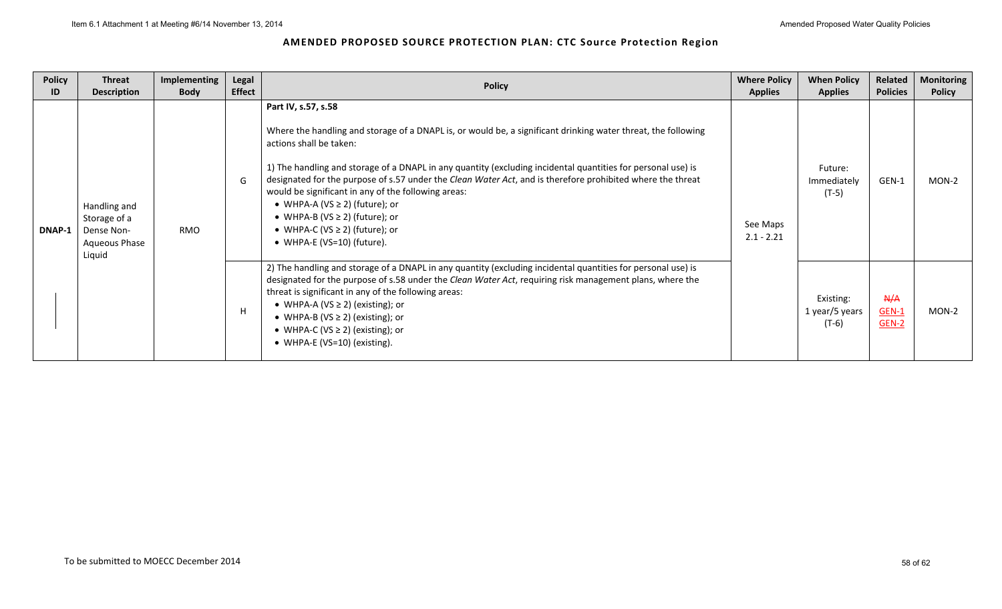| <b>Policy</b><br>ID | <b>Threat</b><br><b>Description</b>                                   | <b>Implementing</b><br><b>Body</b> | Legal<br><b>Effect</b> | <b>Policy</b>                                                                                                                                                                                                                                                                                                                                                                                                                                                                                                                                                                                           | <b>Where Policy</b><br><b>Applies</b> | <b>When Policy</b><br><b>Applies</b>   | Related<br><b>Policies</b>     | <b>Monitoring</b><br><b>Policy</b> |
|---------------------|-----------------------------------------------------------------------|------------------------------------|------------------------|---------------------------------------------------------------------------------------------------------------------------------------------------------------------------------------------------------------------------------------------------------------------------------------------------------------------------------------------------------------------------------------------------------------------------------------------------------------------------------------------------------------------------------------------------------------------------------------------------------|---------------------------------------|----------------------------------------|--------------------------------|------------------------------------|
| DNAP-1              | Handling and<br>Storage of a<br>Dense Non-<br>Aqueous Phase<br>Liquid | <b>RMO</b>                         | G                      | Part IV, s.57, s.58<br>Where the handling and storage of a DNAPL is, or would be, a significant drinking water threat, the following<br>actions shall be taken:<br>1) The handling and storage of a DNAPL in any quantity (excluding incidental quantities for personal use) is<br>designated for the purpose of s.57 under the Clean Water Act, and is therefore prohibited where the threat<br>would be significant in any of the following areas:<br>• WHPA-A (VS $\geq$ 2) (future); or<br>• WHPA-B (VS $\geq$ 2) (future); or<br>• WHPA-C (VS $\geq$ 2) (future); or<br>• WHPA-E (VS=10) (future). | See Maps<br>$2.1 - 2.21$              | Future:<br>Immediately<br>$(T-5)$      | GEN-1                          | MON-2                              |
|                     |                                                                       |                                    | H                      | 2) The handling and storage of a DNAPL in any quantity (excluding incidental quantities for personal use) is<br>designated for the purpose of s.58 under the Clean Water Act, requiring risk management plans, where the<br>threat is significant in any of the following areas:<br>• WHPA-A (VS $\geq$ 2) (existing); or<br>• WHPA-B (VS $\geq$ 2) (existing); or<br>• WHPA-C (VS $\geq$ 2) (existing); or<br>• WHPA-E (VS=10) (existing).                                                                                                                                                             |                                       | Existing:<br>1 year/5 years<br>$(T-6)$ | A/A<br>$GEN-1$<br><b>GEN-2</b> | MON-2                              |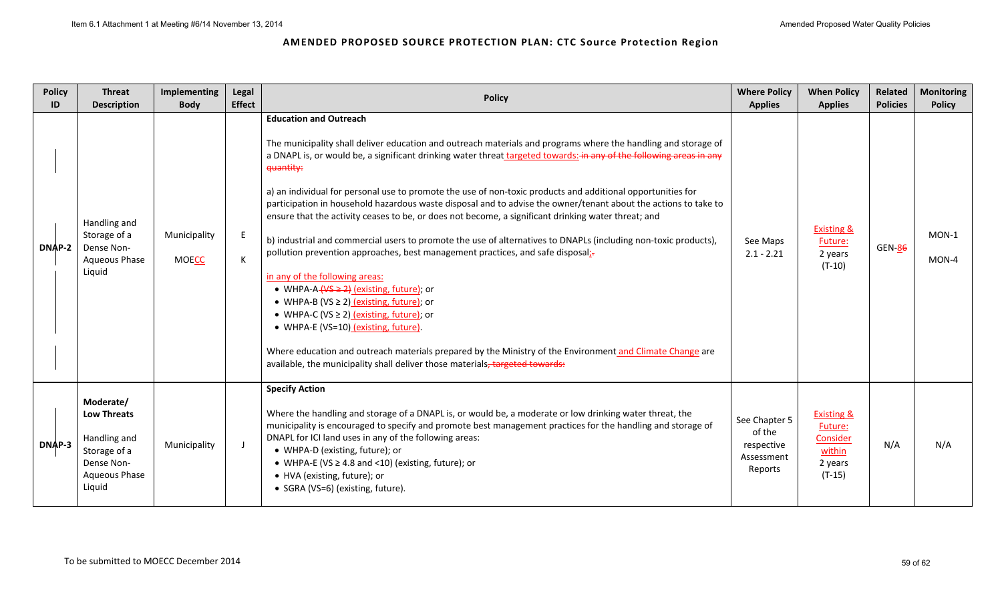| <b>Policy</b><br>ID | <b>Threat</b><br><b>Description</b>                                                                             | Implementing<br><b>Body</b>  | Legal<br><b>Effect</b> | <b>Policy</b>                                                                                                                                                                                                                                                                                                                                                                                                                                                                                                                                                                                                                                                                                                                                                                                                                                                                                                                                                                                                                                                                                                                                                                                                                                                      | <b>Where Policy</b><br><b>Applies</b>                          | <b>When Policy</b><br><b>Applies</b>                                          | Related<br><b>Policies</b> | <b>Monitoring</b><br><b>Policy</b> |
|---------------------|-----------------------------------------------------------------------------------------------------------------|------------------------------|------------------------|--------------------------------------------------------------------------------------------------------------------------------------------------------------------------------------------------------------------------------------------------------------------------------------------------------------------------------------------------------------------------------------------------------------------------------------------------------------------------------------------------------------------------------------------------------------------------------------------------------------------------------------------------------------------------------------------------------------------------------------------------------------------------------------------------------------------------------------------------------------------------------------------------------------------------------------------------------------------------------------------------------------------------------------------------------------------------------------------------------------------------------------------------------------------------------------------------------------------------------------------------------------------|----------------------------------------------------------------|-------------------------------------------------------------------------------|----------------------------|------------------------------------|
| <b>DNAP-2</b>       | Handling and<br>Storage of a<br>Dense Non-<br><b>Aqueous Phase</b><br>Liquid                                    | Municipality<br><b>MOECC</b> | E<br>К                 | <b>Education and Outreach</b><br>The municipality shall deliver education and outreach materials and programs where the handling and storage of<br>a DNAPL is, or would be, a significant drinking water threat targeted towards: in any of the following areas in any<br>quantity:<br>a) an individual for personal use to promote the use of non-toxic products and additional opportunities for<br>participation in household hazardous waste disposal and to advise the owner/tenant about the actions to take to<br>ensure that the activity ceases to be, or does not become, a significant drinking water threat; and<br>b) industrial and commercial users to promote the use of alternatives to DNAPLs (including non-toxic products),<br>pollution prevention approaches, best management practices, and safe disposal;-<br>in any of the following areas:<br>• WHPA-A- $\sqrt{45 \geq 2}$ (existing, future); or<br>• WHPA-B (VS $\geq$ 2) (existing, future); or<br>• WHPA-C (VS $\geq$ 2) (existing, future); or<br>• WHPA-E (VS=10) (existing, future).<br>Where education and outreach materials prepared by the Ministry of the Environment and Climate Change are<br>available, the municipality shall deliver those materials, targeted towards: | See Maps<br>$2.1 - 2.21$                                       | <b>Existing &amp;</b><br>Future:<br>2 years<br>$(T-10)$                       | <b>GEN-86</b>              | $MON-1$<br>MON-4                   |
| DNAP-3              | Moderate/<br><b>Low Threats</b><br>Handling and<br>Storage of a<br>Dense Non-<br><b>Aqueous Phase</b><br>Liquid | Municipality                 | J.                     | <b>Specify Action</b><br>Where the handling and storage of a DNAPL is, or would be, a moderate or low drinking water threat, the<br>municipality is encouraged to specify and promote best management practices for the handling and storage of<br>DNAPL for ICI land uses in any of the following areas:<br>• WHPA-D (existing, future); or<br>• WHPA-E (VS $\geq$ 4.8 and <10) (existing, future); or<br>• HVA (existing, future); or<br>• SGRA (VS=6) (existing, future).                                                                                                                                                                                                                                                                                                                                                                                                                                                                                                                                                                                                                                                                                                                                                                                       | See Chapter 5<br>of the<br>respective<br>Assessment<br>Reports | <b>Existing &amp;</b><br>Future:<br>Consider<br>within<br>2 years<br>$(T-15)$ | N/A                        | N/A                                |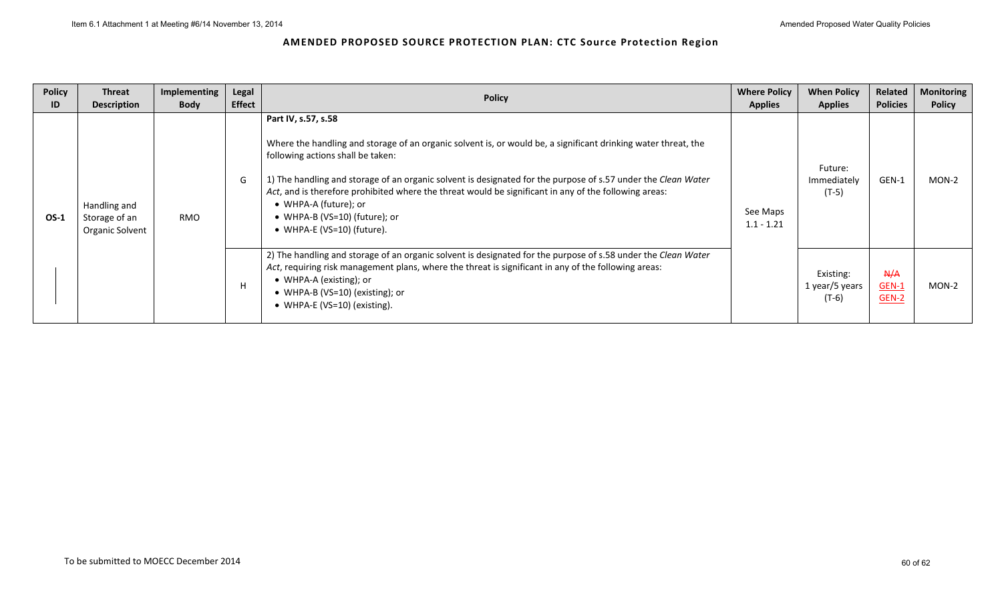| <b>Policy</b><br>ID | <b>Threat</b><br><b>Description</b>              | <b>Implementing</b><br><b>Body</b> | Legal<br><b>Effect</b> | <b>Policy</b>                                                                                                                                                                                                                                                                                                                                                                                                                                                                                | <b>Where Policy</b><br><b>Applies</b> | <b>When Policy</b><br><b>Applies</b>   | Related<br><b>Policies</b> | <b>Monitoring</b><br><b>Policy</b> |
|---------------------|--------------------------------------------------|------------------------------------|------------------------|----------------------------------------------------------------------------------------------------------------------------------------------------------------------------------------------------------------------------------------------------------------------------------------------------------------------------------------------------------------------------------------------------------------------------------------------------------------------------------------------|---------------------------------------|----------------------------------------|----------------------------|------------------------------------|
| OS-1                | Handling and<br>Storage of an<br>Organic Solvent | RMO                                | G                      | Part IV, s.57, s.58<br>Where the handling and storage of an organic solvent is, or would be, a significant drinking water threat, the<br>following actions shall be taken:<br>1) The handling and storage of an organic solvent is designated for the purpose of s.57 under the Clean Water<br>Act, and is therefore prohibited where the threat would be significant in any of the following areas:<br>• WHPA-A (future); or<br>• WHPA-B (VS=10) (future); or<br>• WHPA-E (VS=10) (future). | See Maps<br>$1.1 - 1.21$              | Future:<br>Immediately<br>$(T-5)$      | GEN-1                      | MON-2                              |
|                     |                                                  |                                    | H                      | 2) The handling and storage of an organic solvent is designated for the purpose of s.58 under the Clean Water<br>Act, requiring risk management plans, where the threat is significant in any of the following areas:<br>• WHPA-A (existing); or<br>• WHPA-B (VS=10) (existing); or<br>• WHPA-E (VS=10) (existing).                                                                                                                                                                          |                                       | Existing:<br>1 year/5 years<br>$(T-6)$ | A/A<br>$GEN-1$<br>$GEN-2$  | $MON-2$                            |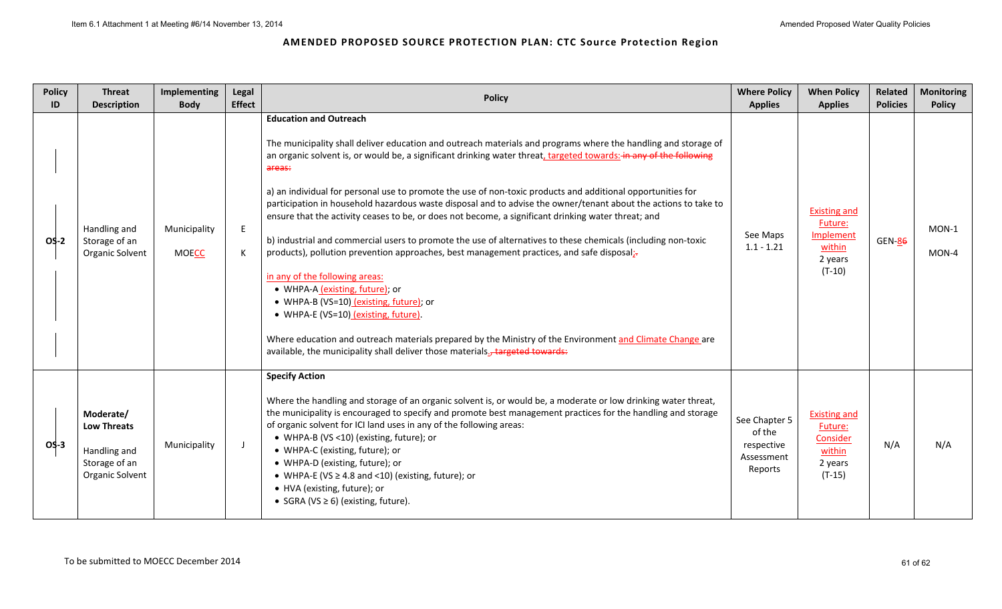| <b>Policy</b><br>ID | <b>Threat</b><br><b>Description</b>                                                 | <b>Implementing</b><br><b>Body</b> | Legal<br><b>Effect</b> | <b>Policy</b>                                                                                                                                                                                                                                                                                                                                                                                                                                                                                                                                                                                                                                                                                                                                                                                                                                                                                                                                                                                                                                                                                                                                                                                 | <b>Where Policy</b><br><b>Applies</b>                          | <b>When Policy</b><br><b>Applies</b>                                                | Related<br><b>Policies</b> | <b>Monitoring</b><br><b>Policy</b> |
|---------------------|-------------------------------------------------------------------------------------|------------------------------------|------------------------|-----------------------------------------------------------------------------------------------------------------------------------------------------------------------------------------------------------------------------------------------------------------------------------------------------------------------------------------------------------------------------------------------------------------------------------------------------------------------------------------------------------------------------------------------------------------------------------------------------------------------------------------------------------------------------------------------------------------------------------------------------------------------------------------------------------------------------------------------------------------------------------------------------------------------------------------------------------------------------------------------------------------------------------------------------------------------------------------------------------------------------------------------------------------------------------------------|----------------------------------------------------------------|-------------------------------------------------------------------------------------|----------------------------|------------------------------------|
| OS-2                | Handling and<br>Storage of an<br>Organic Solvent                                    | Municipality<br><b>MOECC</b>       | E<br>К                 | <b>Education and Outreach</b><br>The municipality shall deliver education and outreach materials and programs where the handling and storage of<br>an organic solvent is, or would be, a significant drinking water threat, targeted towards: in any of the following<br>areas:<br>a) an individual for personal use to promote the use of non-toxic products and additional opportunities for<br>participation in household hazardous waste disposal and to advise the owner/tenant about the actions to take to<br>ensure that the activity ceases to be, or does not become, a significant drinking water threat; and<br>b) industrial and commercial users to promote the use of alternatives to these chemicals (including non-toxic<br>products), pollution prevention approaches, best management practices, and safe disposal;-<br>in any of the following areas:<br>• WHPA-A (existing, future); or<br>• WHPA-B (VS=10) (existing, future); or<br>• WHPA-E (VS=10) (existing, future).<br>Where education and outreach materials prepared by the Ministry of the Environment and Climate Change are<br>available, the municipality shall deliver those materials., targeted towards: | See Maps<br>$1.1 - 1.21$                                       | <b>Existing and</b><br>Future:<br><b>Implement</b><br>within<br>2 years<br>$(T-10)$ | <b>GEN-86</b>              | MON-1<br>MON-4                     |
| $OS-3$              | Moderate/<br><b>Low Threats</b><br>Handling and<br>Storage of an<br>Organic Solvent | Municipality                       | J                      | <b>Specify Action</b><br>Where the handling and storage of an organic solvent is, or would be, a moderate or low drinking water threat,<br>the municipality is encouraged to specify and promote best management practices for the handling and storage<br>of organic solvent for ICI land uses in any of the following areas:<br>• WHPA-B (VS <10) (existing, future); or<br>• WHPA-C (existing, future); or<br>• WHPA-D (existing, future); or<br>• WHPA-E (VS $\geq$ 4.8 and <10) (existing, future); or<br>• HVA (existing, future); or<br>• SGRA (VS $\geq$ 6) (existing, future).                                                                                                                                                                                                                                                                                                                                                                                                                                                                                                                                                                                                       | See Chapter 5<br>of the<br>respective<br>Assessment<br>Reports | <b>Existing and</b><br>Future:<br>Consider<br>within<br>2 years<br>$(T-15)$         | N/A                        | N/A                                |